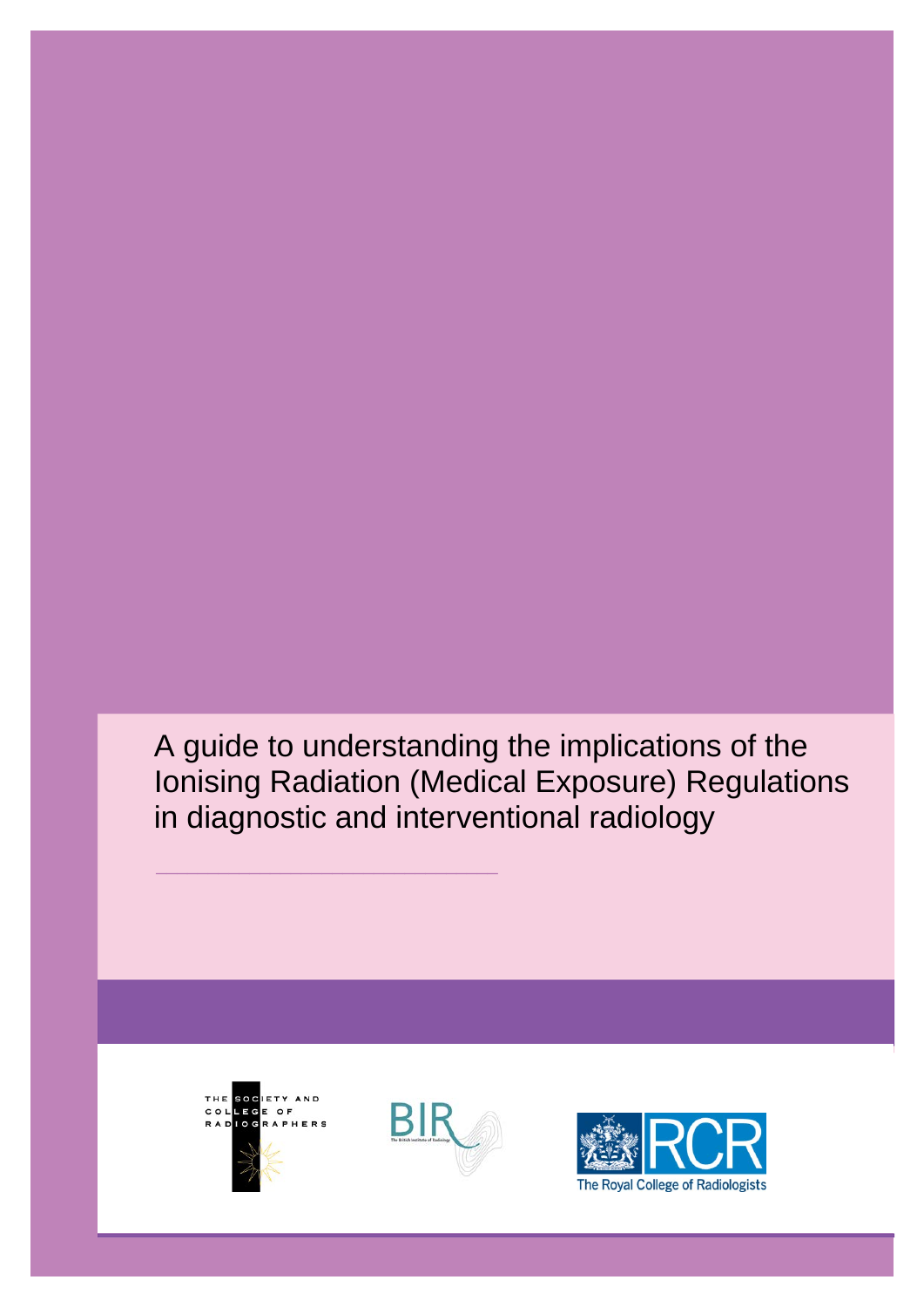A guide to understanding the implications of the Ionising Radiation (Medical Exposure) Regulations in diagnostic and interventional radiology



\_\_\_\_\_\_\_\_\_\_\_\_\_\_\_\_\_\_\_\_\_\_\_\_\_\_\_\_\_\_\_\_\_



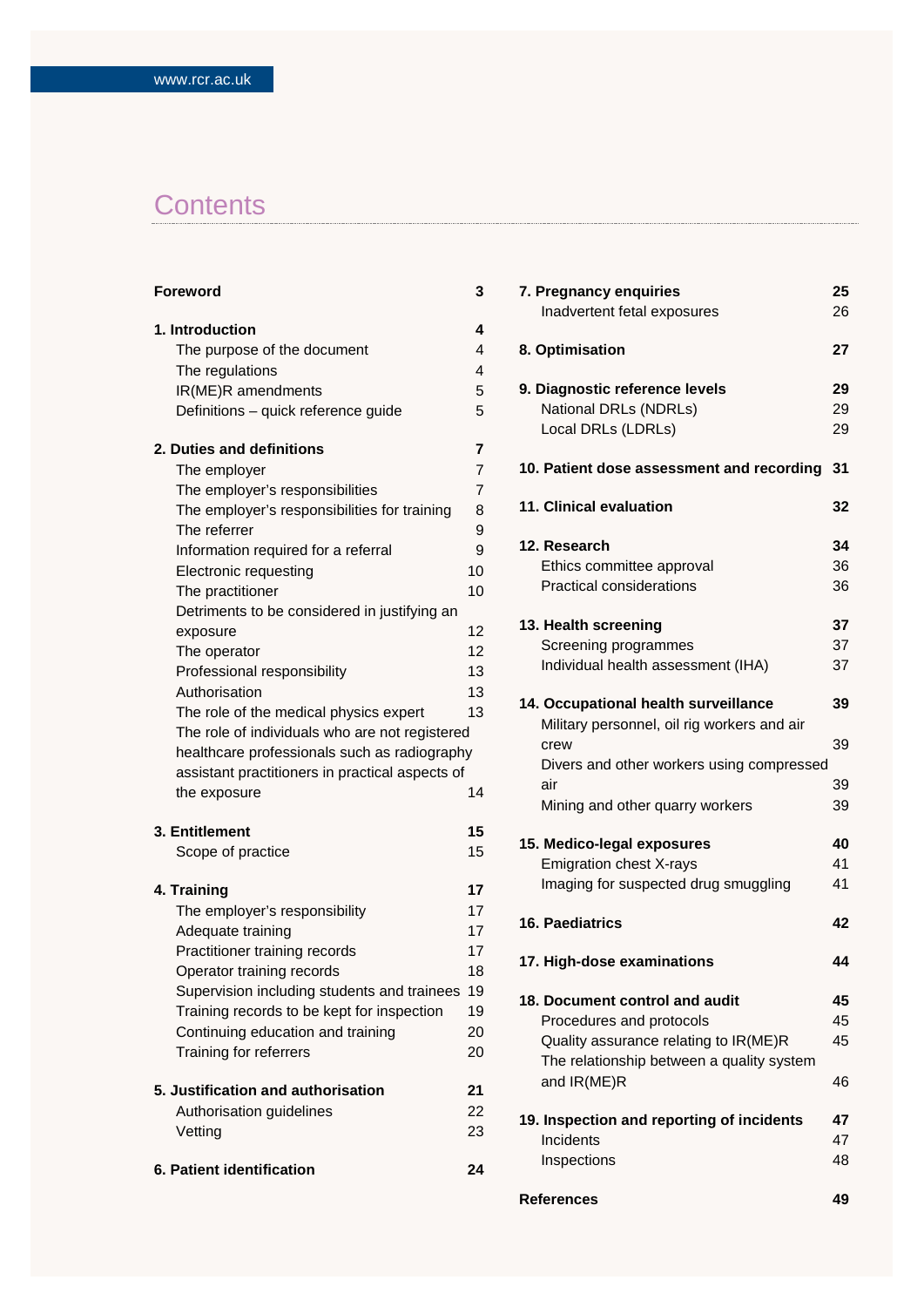# **Contents**

| Foreword                                        | 3  |
|-------------------------------------------------|----|
| 1. Introduction                                 | 4  |
| The purpose of the document                     | 4  |
| The regulations                                 | 4  |
| IR(ME)R amendments                              | 5  |
| Definitions - quick reference guide             | 5  |
| 2. Duties and definitions                       | 7  |
| The employer                                    | 7  |
| The employer's responsibilities                 | 7  |
| The employer's responsibilities for training    | 8  |
| The referrer                                    | 9  |
| Information required for a referral             | 9  |
| Electronic requesting                           | 10 |
| The practitioner                                | 10 |
| Detriments to be considered in justifying an    |    |
| exposure                                        | 12 |
| The operator                                    | 12 |
| Professional responsibility                     | 13 |
| Authorisation                                   | 13 |
| The role of the medical physics expert          | 13 |
| The role of individuals who are not registered  |    |
| healthcare professionals such as radiography    |    |
| assistant practitioners in practical aspects of |    |
| the exposure                                    | 14 |
| 3. Entitlement                                  | 15 |
| Scope of practice                               | 15 |
| 4. Training                                     | 17 |
| The employer's responsibility                   | 17 |
| Adequate training                               | 17 |
| Practitioner training records                   | 17 |
| Operator training records                       | 18 |
| Supervision including students and trainees     | 19 |
| Training records to be kept for inspection      | 19 |
| Continuing education and training               | 20 |
| Training for referrers                          | 20 |
| 5. Justification and authorisation              | 21 |
| Authorisation guidelines                        | 22 |
| Vetting                                         | 23 |
| 6. Patient identification                       | 24 |
|                                                 |    |

| 7. Pregnancy enquiries                      | 25 |
|---------------------------------------------|----|
| Inadvertent fetal exposures                 | 26 |
|                                             |    |
| 8. Optimisation                             | 27 |
| 9. Diagnostic reference levels              | 29 |
| National DRLs (NDRLs)                       | 29 |
| Local DRLs (LDRLs)                          | 29 |
|                                             |    |
| 10. Patient dose assessment and recording   | 31 |
| 11. Clinical evaluation                     | 32 |
| 12. Research                                | 34 |
| Ethics committee approval                   | 36 |
| <b>Practical considerations</b>             | 36 |
|                                             |    |
| 13. Health screening                        | 37 |
| Screening programmes                        | 37 |
| Individual health assessment (IHA)          | 37 |
| 14. Occupational health surveillance        | 39 |
| Military personnel, oil rig workers and air |    |
| crew                                        | 39 |
| Divers and other workers using compressed   |    |
| air                                         | 39 |
| Mining and other quarry workers             | 39 |
|                                             |    |
| 15. Medico-legal exposures                  | 40 |
| <b>Emigration chest X-rays</b>              | 41 |
| Imaging for suspected drug smuggling        | 41 |
| <b>16. Paediatrics</b>                      | 42 |
|                                             |    |
| 17. High-dose examinations                  | 44 |
| 18. Document control and audit              | 45 |
| Procedures and protocols                    | 45 |
| Quality assurance relating to IR(ME)R       | 45 |
| The relationship between a quality system   |    |
| and IR(ME)R                                 | 46 |
|                                             |    |
| 19. Inspection and reporting of incidents   | 47 |
| Incidents                                   | 47 |
| Inspections                                 | 48 |
| <b>References</b>                           | 49 |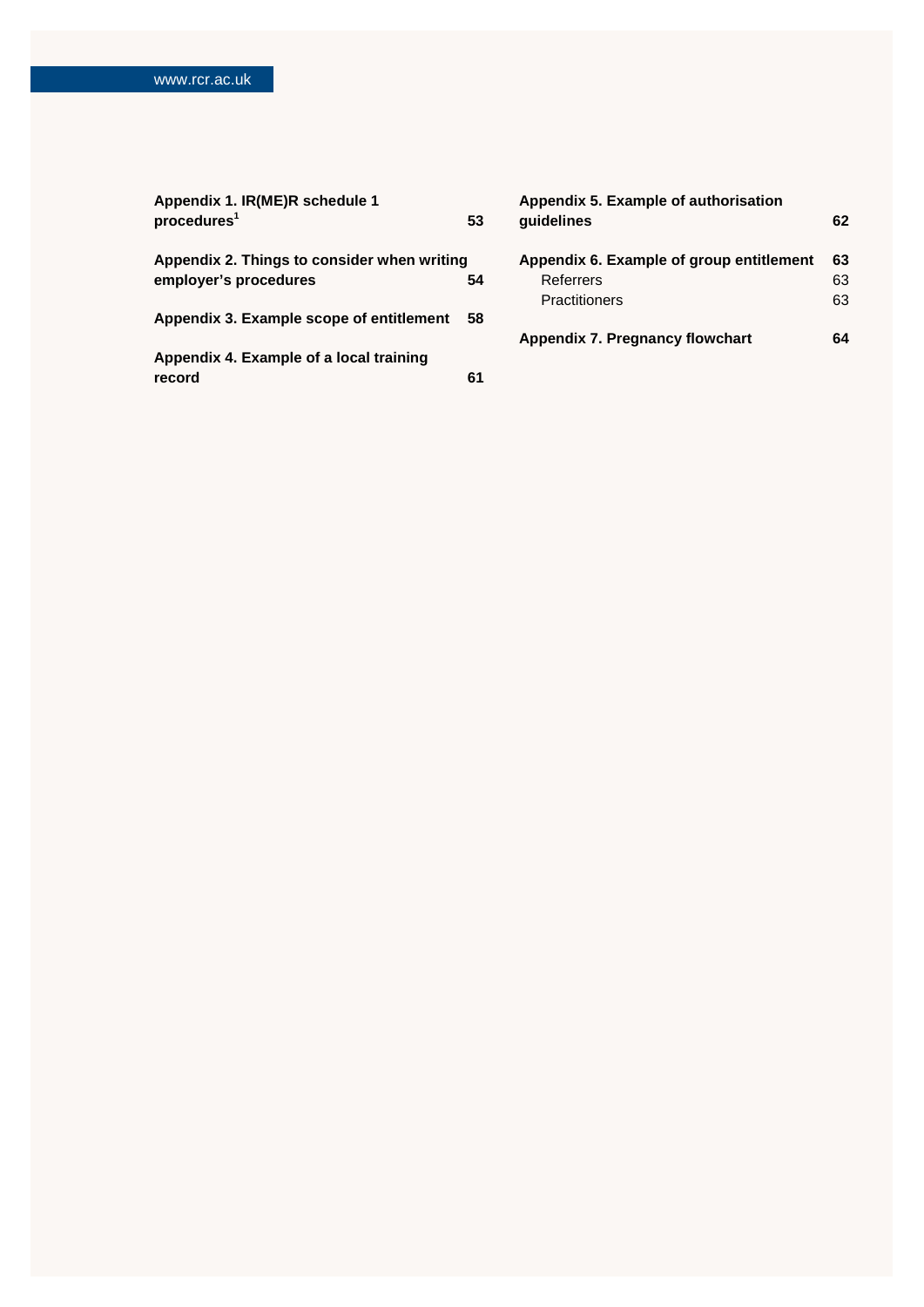| Appendix 1. IR(ME)R schedule 1              |    | Appendix 5. Example of authorisation     |    |
|---------------------------------------------|----|------------------------------------------|----|
| procedures <sup>1</sup>                     | 53 | guidelines                               | 62 |
| Appendix 2. Things to consider when writing |    | Appendix 6. Example of group entitlement | 63 |
| employer's procedures                       | 54 | Referrers                                | 63 |
|                                             |    | <b>Practitioners</b>                     | 63 |
| Appendix 3. Example scope of entitlement 58 |    |                                          |    |
|                                             |    | Appendix 7. Pregnancy flowchart          | 64 |
| Appendix 4. Example of a local training     |    |                                          |    |
| record                                      | 61 |                                          |    |
|                                             |    |                                          |    |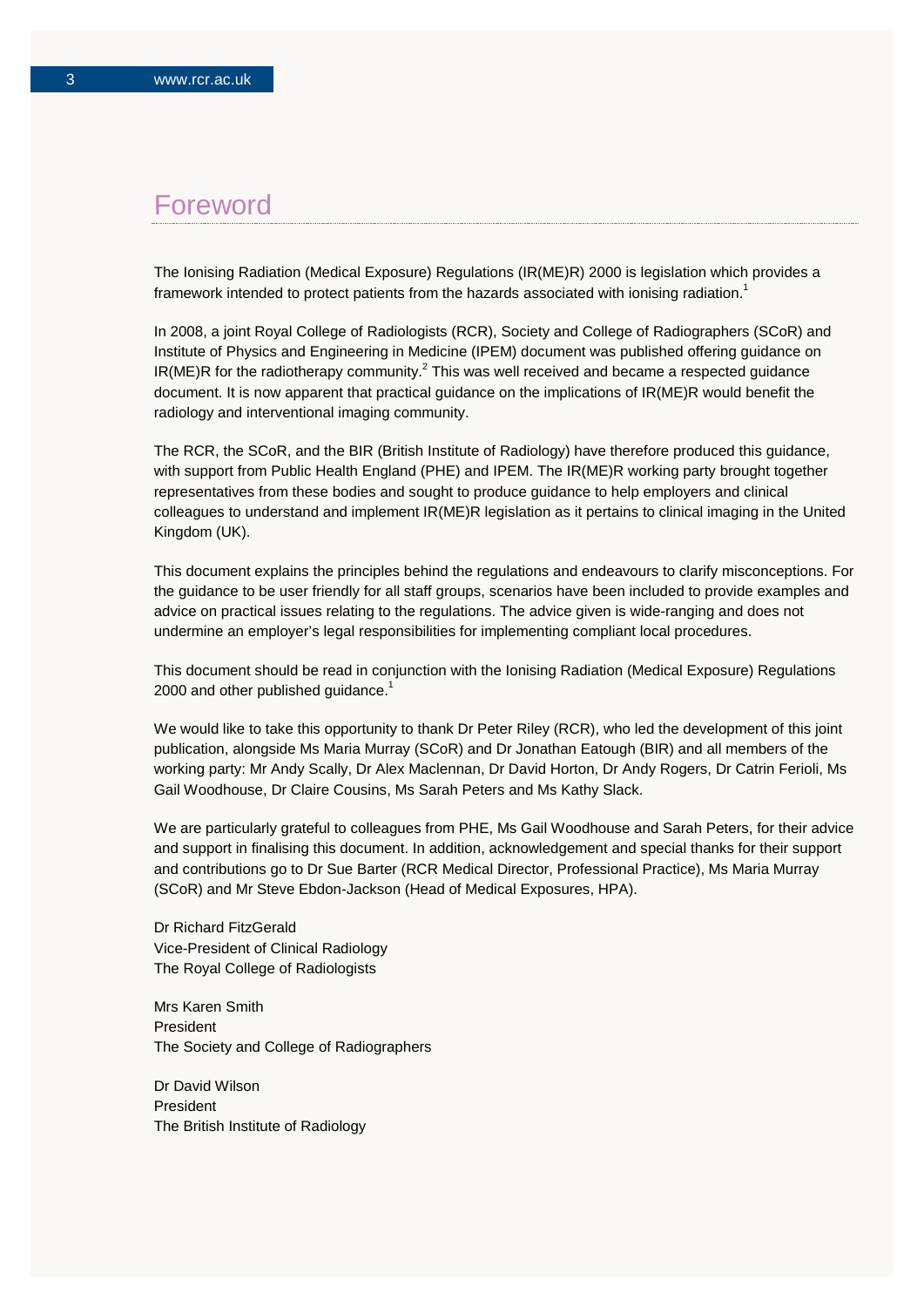## Foreword

The Ionising Radiation (Medical Exposure) Regulations (IR(ME)R) 2000 is legislation which provides a framework intended to protect patients from the hazards associated with ionising radiation.<sup>1</sup>

In 2008, a joint Royal College of Radiologists (RCR), Society and College of Radiographers (SCoR) and Institute of Physics and Engineering in Medicine (IPEM) document was published offering guidance on  $IR(ME)R$  for the radiotherapy community.<sup>2</sup> This was well received and became a respected guidance document. It is now apparent that practical guidance on the implications of IR(ME)R would benefit the radiology and interventional imaging community.

The RCR, the SCoR, and the BIR (British Institute of Radiology) have therefore produced this guidance, with support from Public Health England (PHE) and IPEM. The IR(ME)R working party brought together representatives from these bodies and sought to produce guidance to help employers and clinical colleagues to understand and implement IR(ME)R legislation as it pertains to clinical imaging in the United Kingdom (UK).

This document explains the principles behind the regulations and endeavours to clarify misconceptions. For the guidance to be user friendly for all staff groups, scenarios have been included to provide examples and advice on practical issues relating to the regulations. The advice given is wide-ranging and does not undermine an employer's legal responsibilities for implementing compliant local procedures.

This document should be read in conjunction with the Ionising Radiation (Medical Exposure) Regulations 2000 and other published guidance. $1$ 

We would like to take this opportunity to thank Dr Peter Riley (RCR), who led the development of this joint publication, alongside Ms Maria Murray (SCoR) and Dr Jonathan Eatough (BIR) and all members of the working party: Mr Andy Scally, Dr Alex Maclennan, Dr David Horton, Dr Andy Rogers, Dr Catrin Ferioli, Ms Gail Woodhouse, Dr Claire Cousins, Ms Sarah Peters and Ms Kathy Slack.

We are particularly grateful to colleagues from PHE, Ms Gail Woodhouse and Sarah Peters, for their advice and support in finalising this document. In addition, acknowledgement and special thanks for their support and contributions go to Dr Sue Barter (RCR Medical Director, Professional Practice), Ms Maria Murray (SCoR) and Mr Steve Ebdon-Jackson (Head of Medical Exposures, HPA).

Dr Richard FitzGerald Vice-President of Clinical Radiology The Royal College of Radiologists

Mrs Karen Smith President The Society and College of Radiographers

Dr David Wilson President The British Institute of Radiology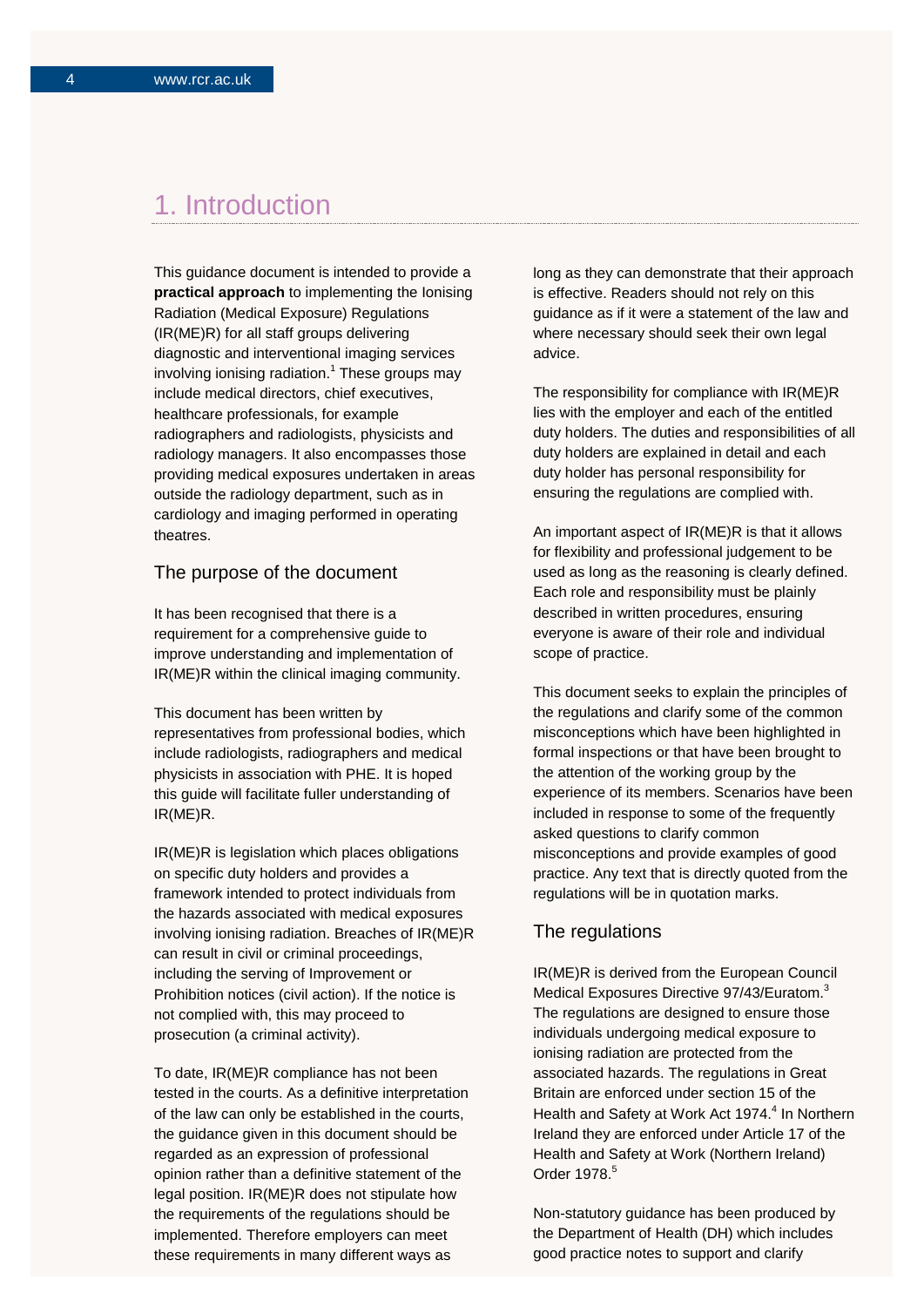## 1. Introduction

This guidance document is intended to provide a **practical approach** to implementing the Ionising Radiation (Medical Exposure) Regulations (IR(ME)R) for all staff groups delivering diagnostic and interventional imaging services involving ionising radiation.<sup>1</sup> These groups may include medical directors, chief executives, healthcare professionals, for example radiographers and radiologists, physicists and radiology managers. It also encompasses those providing medical exposures undertaken in areas outside the radiology department, such as in cardiology and imaging performed in operating theatres.

### The purpose of the document

It has been recognised that there is a requirement for a comprehensive guide to improve understanding and implementation of IR(ME)R within the clinical imaging community.

This document has been written by representatives from professional bodies, which include radiologists, radiographers and medical physicists in association with PHE. It is hoped this guide will facilitate fuller understanding of IR(ME)R.

IR(ME)R is legislation which places obligations on specific duty holders and provides a framework intended to protect individuals from the hazards associated with medical exposures involving ionising radiation. Breaches of IR(ME)R can result in civil or criminal proceedings, including the serving of Improvement or Prohibition notices (civil action). If the notice is not complied with, this may proceed to prosecution (a criminal activity).

To date, IR(ME)R compliance has not been tested in the courts. As a definitive interpretation of the law can only be established in the courts, the guidance given in this document should be regarded as an expression of professional opinion rather than a definitive statement of the legal position. IR(ME)R does not stipulate how the requirements of the regulations should be implemented. Therefore employers can meet these requirements in many different ways as

long as they can demonstrate that their approach is effective. Readers should not rely on this guidance as if it were a statement of the law and where necessary should seek their own legal advice.

The responsibility for compliance with IR(ME)R lies with the employer and each of the entitled duty holders. The duties and responsibilities of all duty holders are explained in detail and each duty holder has personal responsibility for ensuring the regulations are complied with.

An important aspect of IR(ME)R is that it allows for flexibility and professional judgement to be used as long as the reasoning is clearly defined. Each role and responsibility must be plainly described in written procedures, ensuring everyone is aware of their role and individual scope of practice.

This document seeks to explain the principles of the regulations and clarify some of the common misconceptions which have been highlighted in formal inspections or that have been brought to the attention of the working group by the experience of its members. Scenarios have been included in response to some of the frequently asked questions to clarify common misconceptions and provide examples of good practice. Any text that is directly quoted from the regulations will be in quotation marks.

### The regulations

IR(ME)R is derived from the European Council Medical Exposures Directive 97/43/Euratom.<sup>3</sup> The regulations are designed to ensure those individuals undergoing medical exposure to ionising radiation are protected from the associated hazards. The regulations in Great Britain are enforced under section 15 of the Health and Safety at Work Act 1974.<sup>4</sup> In Northern Ireland they are enforced under Article 17 of the Health and Safety at Work (Northern Ireland) Order 1978.<sup>5</sup>

Non-statutory guidance has been produced by the Department of Health (DH) which includes good practice notes to support and clarify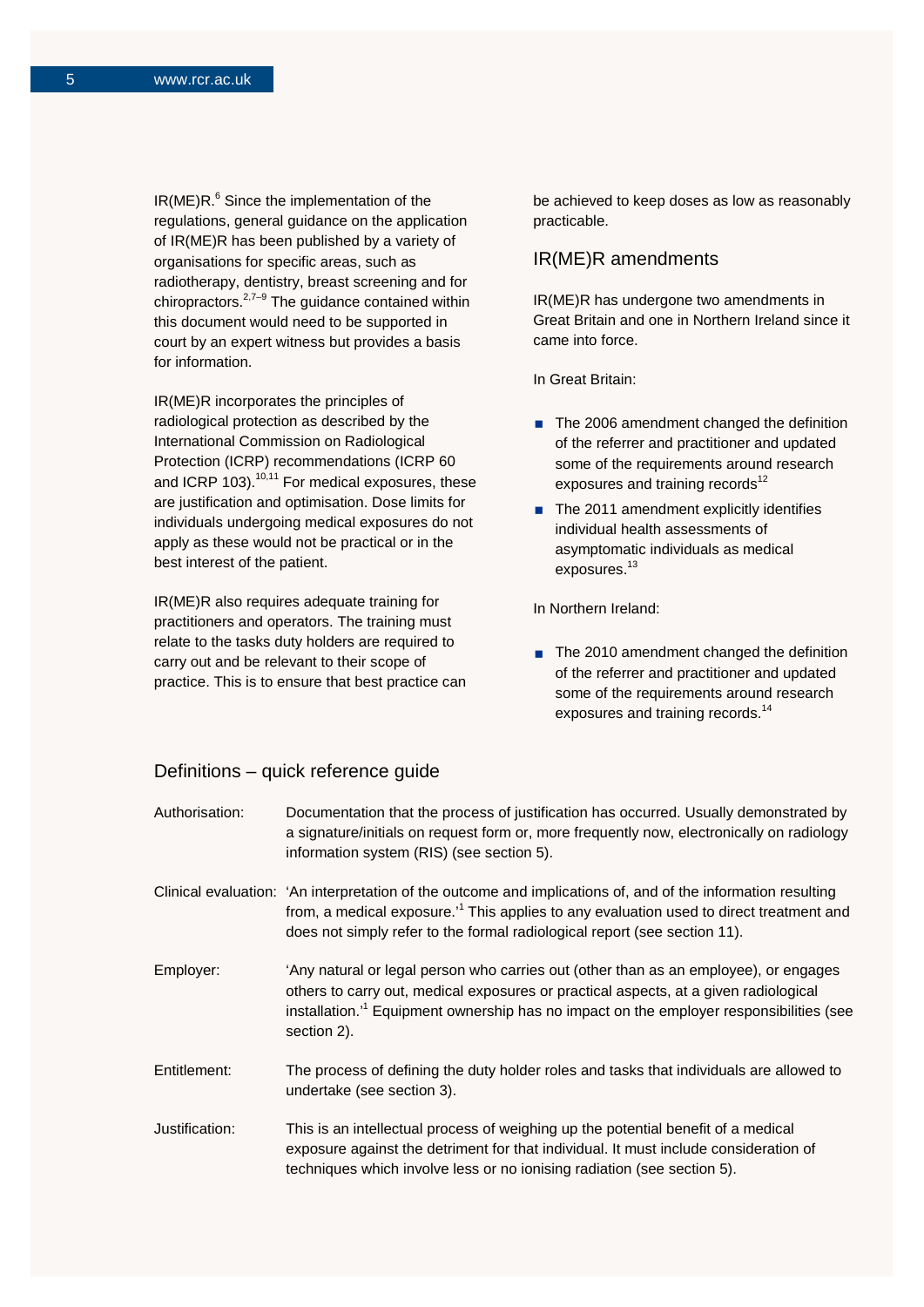$IR(ME)R<sup>6</sup>$  Since the implementation of the regulations, general guidance on the application of IR(ME)R has been published by a variety of organisations for specific areas, such as radiotherapy, dentistry, breast screening and for chiropractors.<sup>2,7–9</sup> The guidance contained within this document would need to be supported in court by an expert witness but provides a basis for information.

IR(ME)R incorporates the principles of radiological protection as described by the International Commission on Radiological Protection (ICRP) recommendations (ICRP 60 and ICRP 103).<sup>10,11</sup> For medical exposures, these are justification and optimisation. Dose limits for individuals undergoing medical exposures do not apply as these would not be practical or in the best interest of the patient.

IR(ME)R also requires adequate training for practitioners and operators. The training must relate to the tasks duty holders are required to carry out and be relevant to their scope of practice. This is to ensure that best practice can be achieved to keep doses as low as reasonably practicable.

## IR(ME)R amendments

IR(ME)R has undergone two amendments in Great Britain and one in Northern Ireland since it came into force.

In Great Britain:

- The 2006 amendment changed the definition of the referrer and practitioner and updated some of the requirements around research exposures and training records $12$
- $\blacksquare$  The 2011 amendment explicitly identifies individual health assessments of asymptomatic individuals as medical exposures.<sup>13</sup>

In Northern Ireland:

■ The 2010 amendment changed the definition of the referrer and practitioner and updated some of the requirements around research exposures and training records.<sup>14</sup>

### Definitions – quick reference guide

| Authorisation: | Documentation that the process of justification has occurred. Usually demonstrated by<br>a signature/initials on request form or, more frequently now, electronically on radiology<br>information system (RIS) (see section 5).                                                                    |
|----------------|----------------------------------------------------------------------------------------------------------------------------------------------------------------------------------------------------------------------------------------------------------------------------------------------------|
|                | Clinical evaluation: 'An interpretation of the outcome and implications of, and of the information resulting<br>from, a medical exposure. <sup>1</sup> This applies to any evaluation used to direct treatment and<br>does not simply refer to the formal radiological report (see section 11).    |
| Employer:      | 'Any natural or legal person who carries out (other than as an employee), or engages<br>others to carry out, medical exposures or practical aspects, at a given radiological<br>installation. <sup>11</sup> Equipment ownership has no impact on the employer responsibilities (see<br>section 2). |
| Entitlement:   | The process of defining the duty holder roles and tasks that individuals are allowed to<br>undertake (see section 3).                                                                                                                                                                              |
| Justification: | This is an intellectual process of weighing up the potential benefit of a medical<br>exposure against the detriment for that individual. It must include consideration of<br>techniques which involve less or no ionising radiation (see section 5).                                               |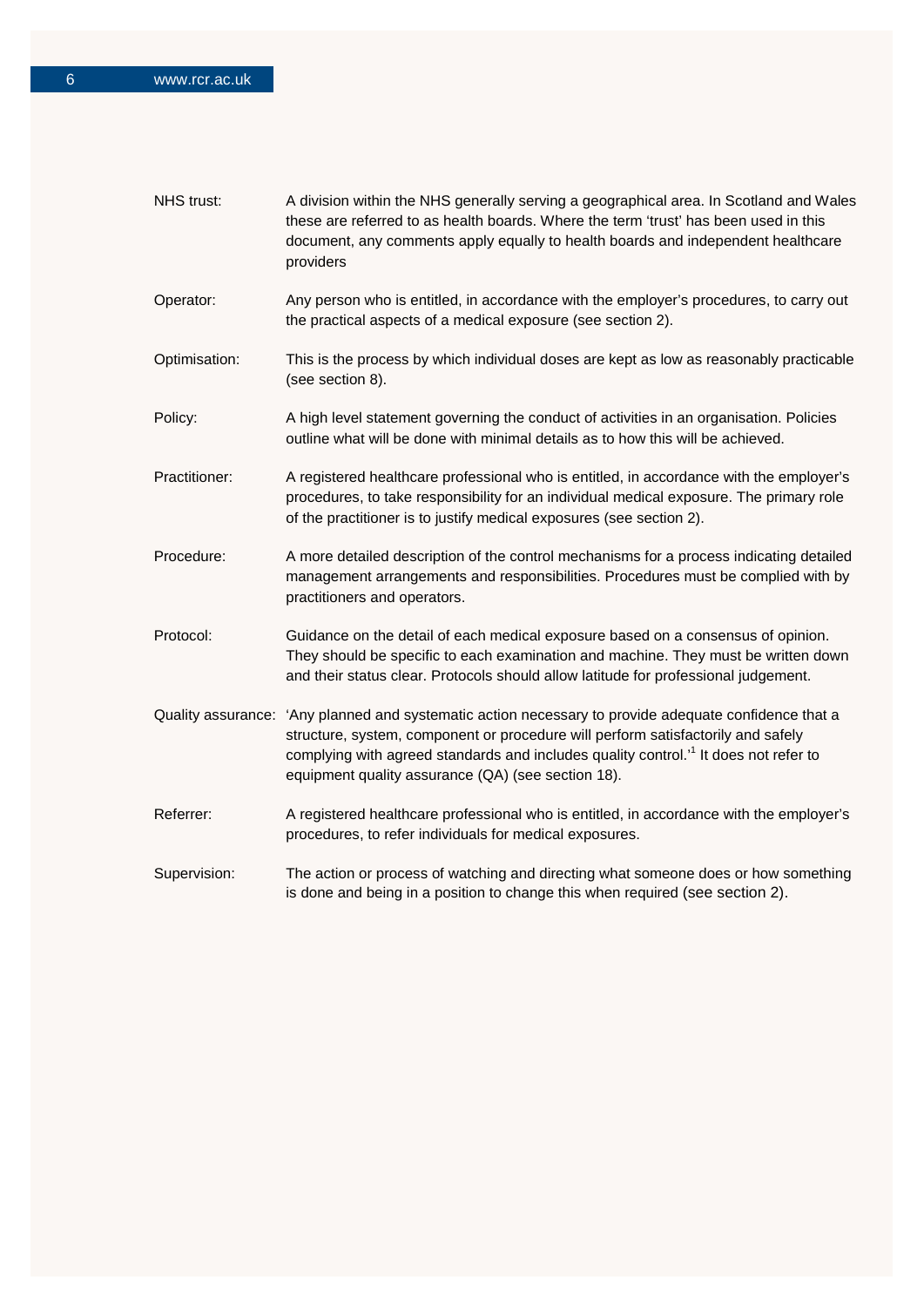| NHS trust:    | A division within the NHS generally serving a geographical area. In Scotland and Wales<br>these are referred to as health boards. Where the term 'trust' has been used in this<br>document, any comments apply equally to health boards and independent healthcare<br>providers                                                                    |
|---------------|----------------------------------------------------------------------------------------------------------------------------------------------------------------------------------------------------------------------------------------------------------------------------------------------------------------------------------------------------|
| Operator:     | Any person who is entitled, in accordance with the employer's procedures, to carry out<br>the practical aspects of a medical exposure (see section 2).                                                                                                                                                                                             |
| Optimisation: | This is the process by which individual doses are kept as low as reasonably practicable<br>(see section 8).                                                                                                                                                                                                                                        |
| Policy:       | A high level statement governing the conduct of activities in an organisation. Policies<br>outline what will be done with minimal details as to how this will be achieved.                                                                                                                                                                         |
| Practitioner: | A registered healthcare professional who is entitled, in accordance with the employer's<br>procedures, to take responsibility for an individual medical exposure. The primary role<br>of the practitioner is to justify medical exposures (see section 2).                                                                                         |
| Procedure:    | A more detailed description of the control mechanisms for a process indicating detailed<br>management arrangements and responsibilities. Procedures must be complied with by<br>practitioners and operators.                                                                                                                                       |
| Protocol:     | Guidance on the detail of each medical exposure based on a consensus of opinion.<br>They should be specific to each examination and machine. They must be written down<br>and their status clear. Protocols should allow latitude for professional judgement.                                                                                      |
|               | Quality assurance: 'Any planned and systematic action necessary to provide adequate confidence that a<br>structure, system, component or procedure will perform satisfactorily and safely<br>complying with agreed standards and includes quality control. <sup>1</sup> It does not refer to<br>equipment quality assurance (QA) (see section 18). |
| Referrer:     | A registered healthcare professional who is entitled, in accordance with the employer's<br>procedures, to refer individuals for medical exposures.                                                                                                                                                                                                 |
| Supervision:  | The action or process of watching and directing what someone does or how something<br>is done and being in a position to change this when required (see section 2).                                                                                                                                                                                |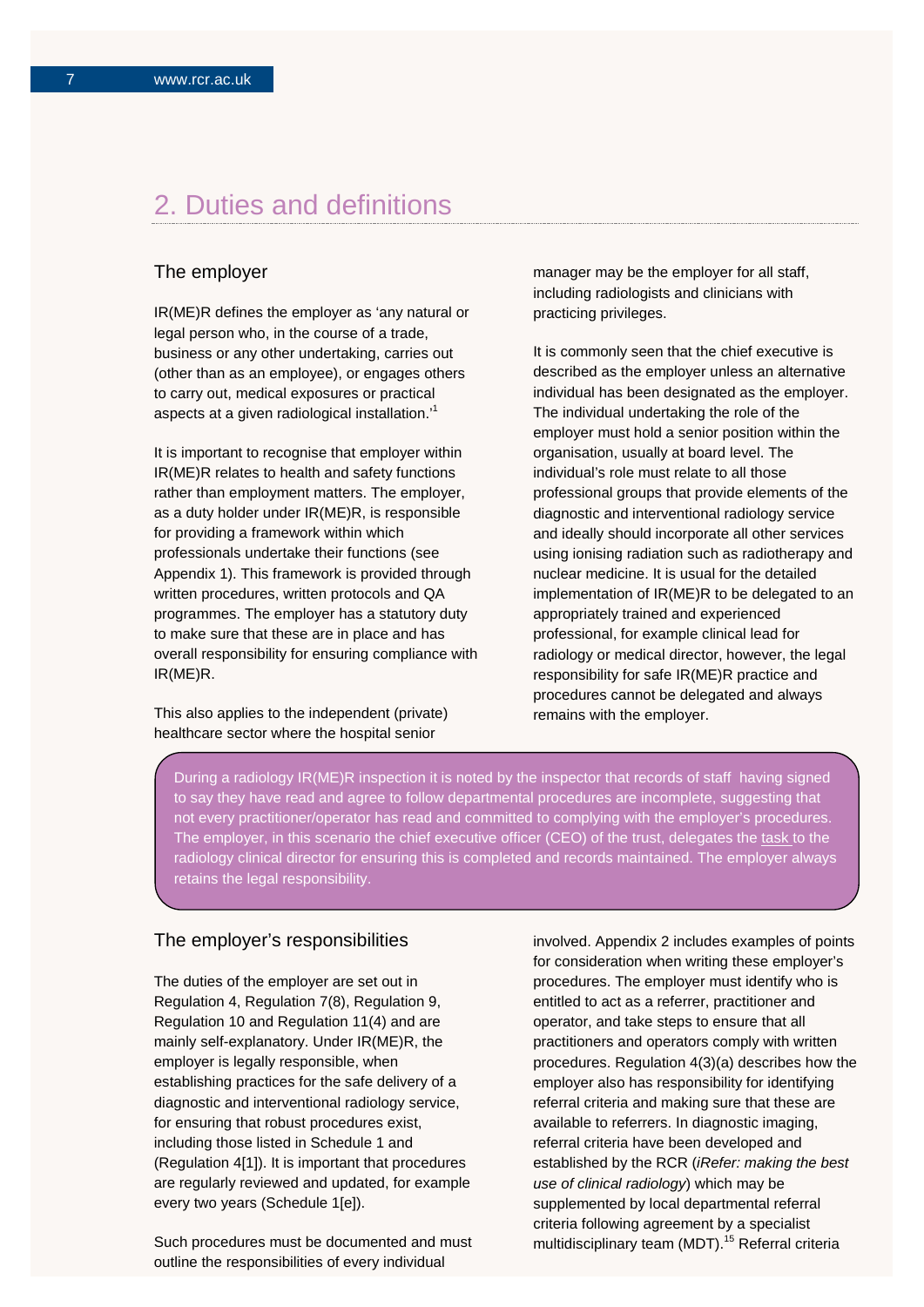## 2. Duties and definitions

## The employer

IR(ME)R defines the employer as 'any natural or legal person who, in the course of a trade, business or any other undertaking, carries out (other than as an employee), or engages others to carry out, medical exposures or practical aspects at a given radiological installation.'<sup>1</sup>

It is important to recognise that employer within IR(ME)R relates to health and safety functions rather than employment matters. The employer, as a duty holder under IR(ME)R, is responsible for providing a framework within which professionals undertake their functions (see Appendix 1). This framework is provided through written procedures, written protocols and QA programmes. The employer has a statutory duty to make sure that these are in place and has overall responsibility for ensuring compliance with IR(ME)R.

This also applies to the independent (private) healthcare sector where the hospital senior

manager may be the employer for all staff, including radiologists and clinicians with practicing privileges.

It is commonly seen that the chief executive is described as the employer unless an alternative individual has been designated as the employer. The individual undertaking the role of the employer must hold a senior position within the organisation, usually at board level. The individual's role must relate to all those professional groups that provide elements of the diagnostic and interventional radiology service and ideally should incorporate all other services using ionising radiation such as radiotherapy and nuclear medicine. It is usual for the detailed implementation of IR(ME)R to be delegated to an appropriately trained and experienced professional, for example clinical lead for radiology or medical director, however, the legal responsibility for safe IR(ME)R practice and procedures cannot be delegated and always remains with the employer.

During a radiology IR(ME)R inspection it is noted by the inspector that records of staff having signed to say they have read and agree to follow departmental procedures are incomplete, suggesting that not every practitioner/operator has read and committed to complying with the employer's procedures. The employer, in this scenario the chief executive officer (CEO) of the trust, delegates the task to the radiology clinical director for ensuring this is completed and records maintained. The employer always retains the legal responsibility.

### The employer's responsibilities

The duties of the employer are set out in Regulation 4, Regulation 7(8), Regulation 9, Regulation 10 and Regulation 11(4) and are mainly self-explanatory. Under IR(ME)R, the employer is legally responsible, when establishing practices for the safe delivery of a diagnostic and interventional radiology service, for ensuring that robust procedures exist, including those listed in Schedule 1 and (Regulation 4[1]). It is important that procedures are regularly reviewed and updated, for example every two years (Schedule 1[e]).

Such procedures must be documented and must outline the responsibilities of every individual

involved. Appendix 2 includes examples of points for consideration when writing these employer's procedures. The employer must identify who is entitled to act as a referrer, practitioner and operator, and take steps to ensure that all practitioners and operators comply with written procedures. Regulation 4(3)(a) describes how the employer also has responsibility for identifying referral criteria and making sure that these are available to referrers. In diagnostic imaging, referral criteria have been developed and established by the RCR (*iRefer: making the best use of clinical radiology*) which may be supplemented by local departmental referral criteria following agreement by a specialist multidisciplinary team (MDT).<sup>15</sup> Referral criteria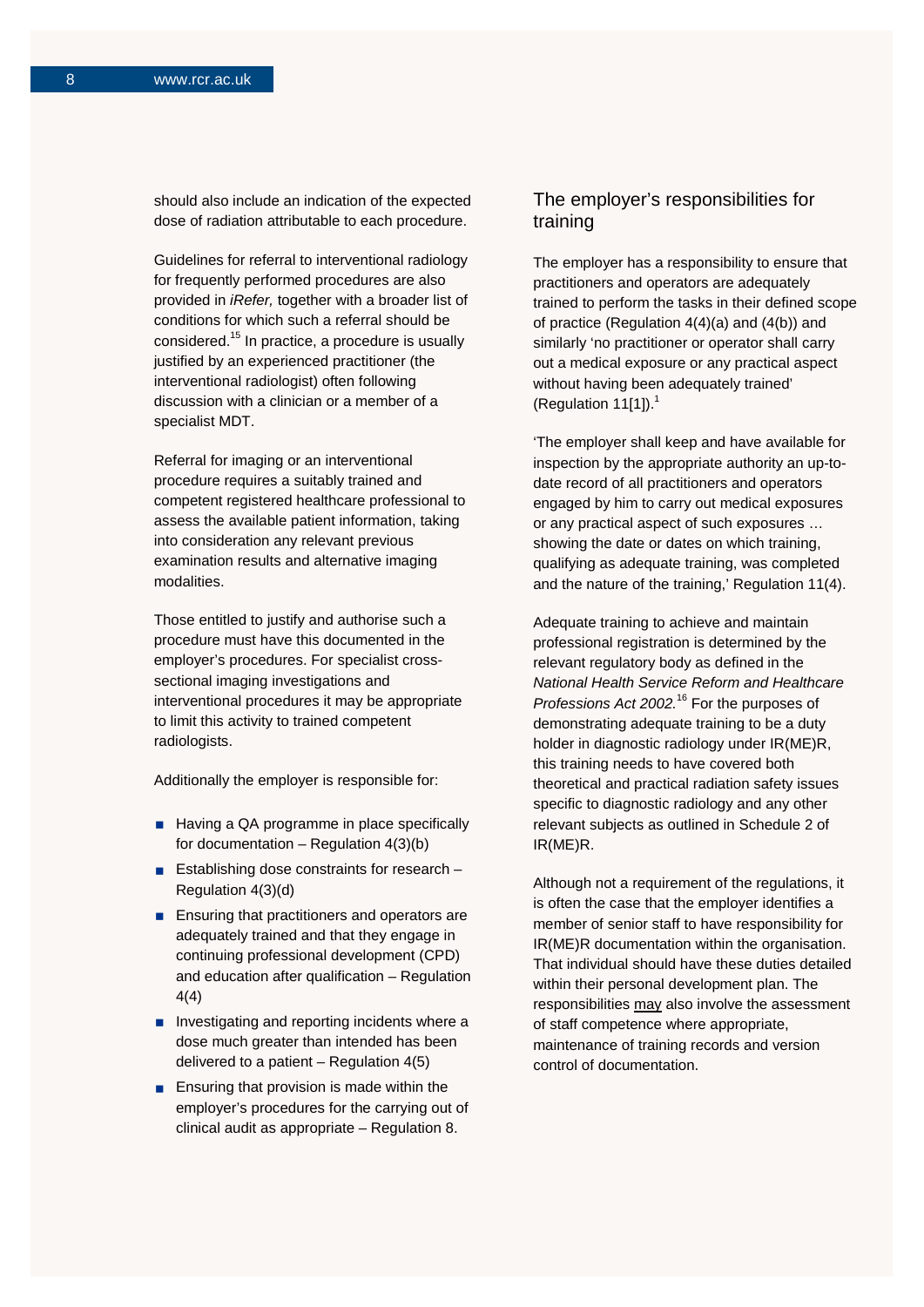should also include an indication of the expected dose of radiation attributable to each procedure.

Guidelines for referral to interventional radiology for frequently performed procedures are also provided in *iRefer,* together with a broader list of conditions for which such a referral should be considered. <sup>15</sup> In practice, a procedure is usually justified by an experienced practitioner (the interventional radiologist) often following discussion with a clinician or a member of a specialist MDT.

Referral for imaging or an interventional procedure requires a suitably trained and competent registered healthcare professional to assess the available patient information, taking into consideration any relevant previous examination results and alternative imaging modalities.

Those entitled to justify and authorise such a procedure must have this documented in the employer's procedures. For specialist crosssectional imaging investigations and interventional procedures it may be appropriate to limit this activity to trained competent radiologists.

Additionally the employer is responsible for:

- Having a QA programme in place specifically for documentation – Regulation 4(3)(b)
- **Establishing dose constraints for research** Regulation 4(3)(d)
- **Ensuring that practitioners and operators are** adequately trained and that they engage in continuing professional development (CPD) and education after qualification – Regulation 4(4)
- **Investigating and reporting incidents where a** dose much greater than intended has been delivered to a patient – Regulation 4(5)
- **Ensuring that provision is made within the** employer's procedures for the carrying out of clinical audit as appropriate – Regulation 8.

## The employer's responsibilities for training

The employer has a responsibility to ensure that practitioners and operators are adequately trained to perform the tasks in their defined scope of practice (Regulation 4(4)(a) and (4(b)) and similarly 'no practitioner or operator shall carry out a medical exposure or any practical aspect without having been adequately trained' (Regulation 11[1]). $<sup>1</sup>$ </sup>

'The employer shall keep and have available for inspection by the appropriate authority an up-todate record of all practitioners and operators engaged by him to carry out medical exposures or any practical aspect of such exposures … showing the date or dates on which training, qualifying as adequate training, was completed and the nature of the training,' Regulation 11(4).

Adequate training to achieve and maintain professional registration is determined by the relevant regulatory body as defined in the *National Health Service Reform and Healthcare Professions Act 2002.*<sup>16</sup> For the purposes of demonstrating adequate training to be a duty holder in diagnostic radiology under IR(ME)R, this training needs to have covered both theoretical and practical radiation safety issues specific to diagnostic radiology and any other relevant subjects as outlined in Schedule 2 of IR(ME)R.

Although not a requirement of the regulations, it is often the case that the employer identifies a member of senior staff to have responsibility for IR(ME)R documentation within the organisation. That individual should have these duties detailed within their personal development plan. The responsibilities may also involve the assessment of staff competence where appropriate, maintenance of training records and version control of documentation.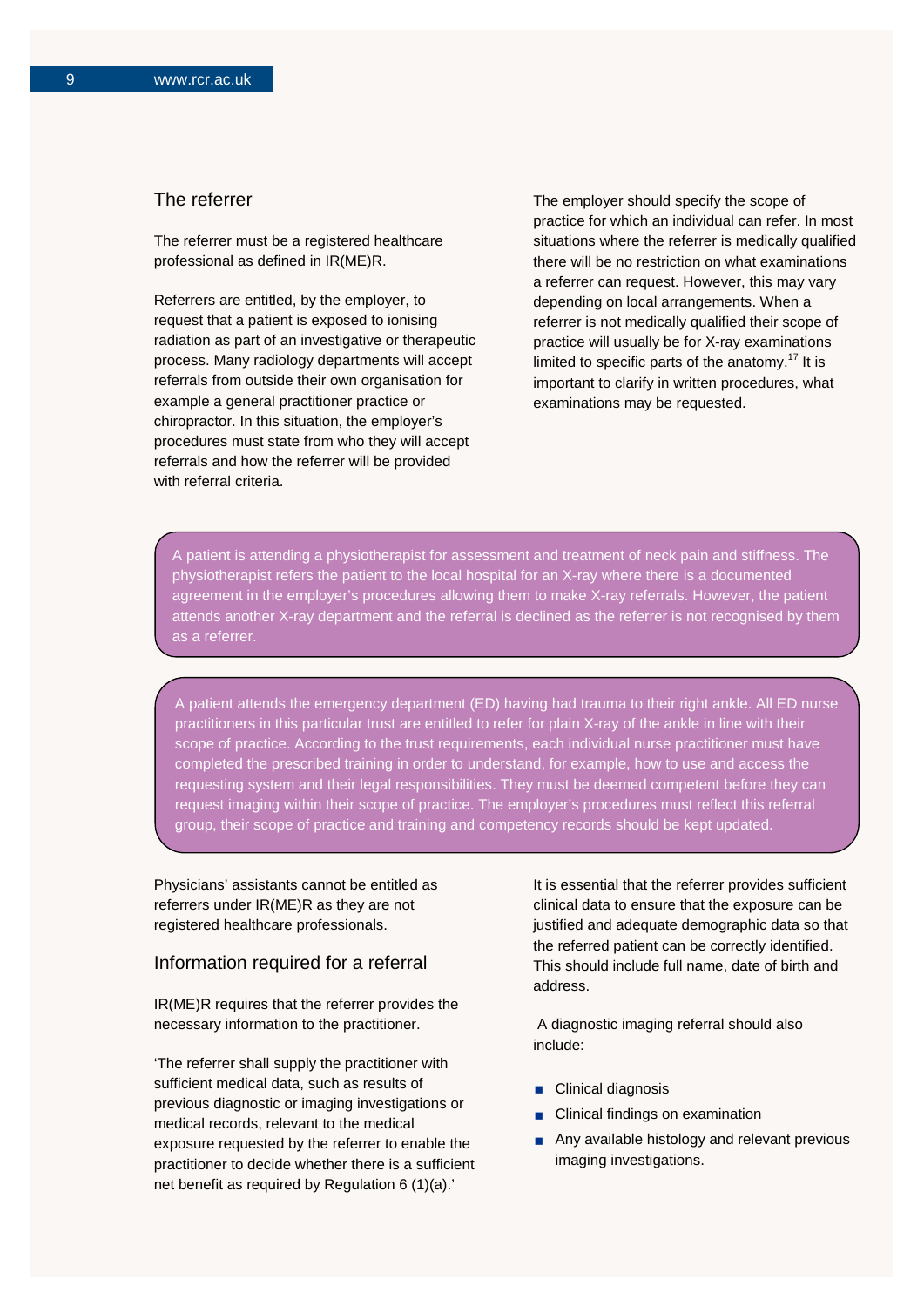## The referrer

The referrer must be a registered healthcare professional as defined in IR(ME)R.

Referrers are entitled, by the employer, to request that a patient is exposed to ionising radiation as part of an investigative or therapeutic process. Many radiology departments will accept referrals from outside their own organisation for example a general practitioner practice or chiropractor. In this situation, the employer's procedures must state from who they will accept referrals and how the referrer will be provided with referral criteria.

The employer should specify the scope of practice for which an individual can refer. In most situations where the referrer is medically qualified there will be no restriction on what examinations a referrer can request. However, this may vary depending on local arrangements. When a referrer is not medically qualified their scope of practice will usually be for X-ray examinations limited to specific parts of the anatomy.<sup>17</sup> It is important to clarify in written procedures, what examinations may be requested.

A patient is attending a physiotherapist for assessment and treatment of neck pain and stiffness. The physiotherapist refers the patient to the local hospital for an X-ray where there is a documented agreement in the employer's procedures allowing them to make X-ray referrals. However, the patient attends another X-ray department and the referral is declined as the referrer is not recognised by them as a referrer.

A patient attends the emergency department (ED) having had trauma to their right ankle. All ED nurse practitioners in this particular trust are entitled to refer for plain X-ray of the ankle in line with their scope of practice. According to the trust requirements, each individual nurse practitioner must have completed the prescribed training in order to understand, for example, how to use and access the requesting system and their legal responsibilities. They must be deemed competent before they can request imaging within their scope of practice. The employer's procedures must reflect this referral group, their scope of practice and training and competency records should be kept updated.

Physicians' assistants cannot be entitled as referrers under IR(ME)R as they are not registered healthcare professionals.

### Information required for a referral

IR(ME)R requires that the referrer provides the necessary information to the practitioner.

'The referrer shall supply the practitioner with sufficient medical data, such as results of previous diagnostic or imaging investigations or medical records, relevant to the medical exposure requested by the referrer to enable the practitioner to decide whether there is a sufficient net benefit as required by Regulation 6 (1)(a).'

It is essential that the referrer provides sufficient clinical data to ensure that the exposure can be justified and adequate demographic data so that the referred patient can be correctly identified. This should include full name, date of birth and address.

A diagnostic imaging referral should also include:

- Clinical diagnosis
- Clinical findings on examination
- Any available histology and relevant previous imaging investigations.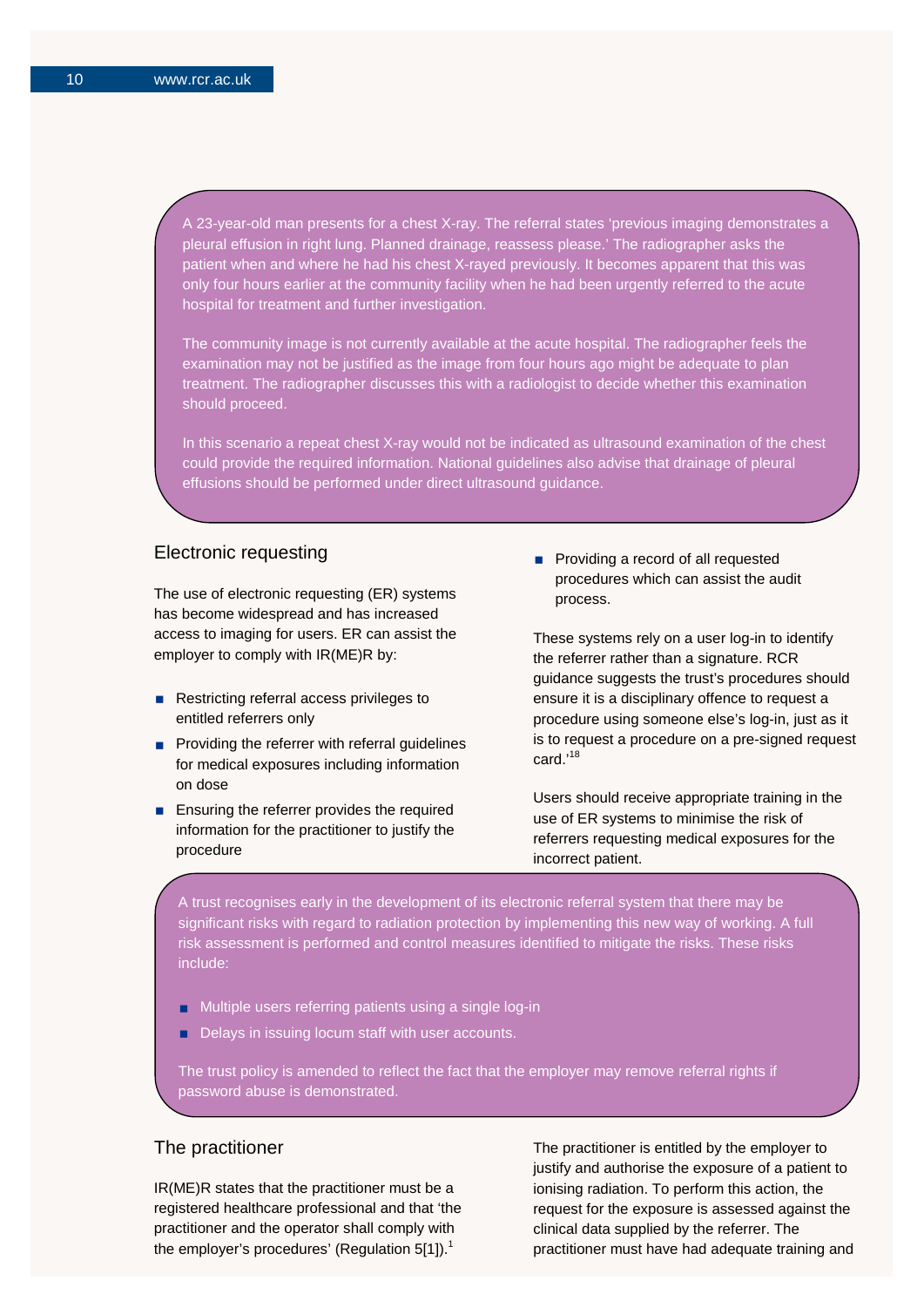A 23-year-old man presents for a chest X-ray. The referral states 'previous imaging demonstrates a pleural effusion in right lung. Planned drainage, reassess please.' The radiographer asks the patient when and where he had his chest X-rayed previously. It becomes apparent that this was only four hours earlier at the community facility when he had been urgently referred to the acute hospital for treatment and further investigation.

The community image is not currently available at the acute hospital. The radiographer feels the examination may not be justified as the image from four hours ago might be adequate to plan treatment. The radiographer discusses this with a radiologist to decide whether this examination should proceed.

In this scenario a repeat chest X-ray would not be indicated as ultrasound examination of the chest could provide the required information. National guidelines also advise that drainage of pleural effusions should be performed under direct ultrasound guidance.

## Electronic requesting

The use of electronic requesting (ER) systems has become widespread and has increased access to imaging for users. ER can assist the employer to comply with IR(ME)R by:

- Restricting referral access privileges to entitled referrers only
- $\blacksquare$  Providing the referrer with referral guidelines for medical exposures including information on dose
- **Ensuring the referrer provides the required** information for the practitioner to justify the procedure

**Providing a record of all requested** procedures which can assist the audit process.

These systems rely on a user log-in to identify the referrer rather than a signature. RCR guidance suggests the trust's procedures should ensure it is a disciplinary offence to request a procedure using someone else's log-in, just as it is to request a procedure on a pre-signed request card.'<sup>18</sup>

Users should receive appropriate training in the use of ER systems to minimise the risk of referrers requesting medical exposures for the incorrect patient.

A trust recognises early in the development of its electronic referral system that there may be significant risks with regard to radiation protection by implementing this new way of working. A full risk assessment is performed and control measures identified to mitigate the risks. These risks include:

- Multiple users referring patients using a single log-in
- Delays in issuing locum staff with user accounts.

The trust policy is amended to reflect the fact that the employer may remove referral rights if password abuse is demonstrated.

### The practitioner

IR(ME)R states that the practitioner must be a registered healthcare professional and that 'the practitioner and the operator shall comply with the employer's procedures' (Regulation  $5[1]$ ).<sup>1</sup>

The practitioner is entitled by the employer to justify and authorise the exposure of a patient to ionising radiation. To perform this action, the request for the exposure is assessed against the clinical data supplied by the referrer. The practitioner must have had adequate training and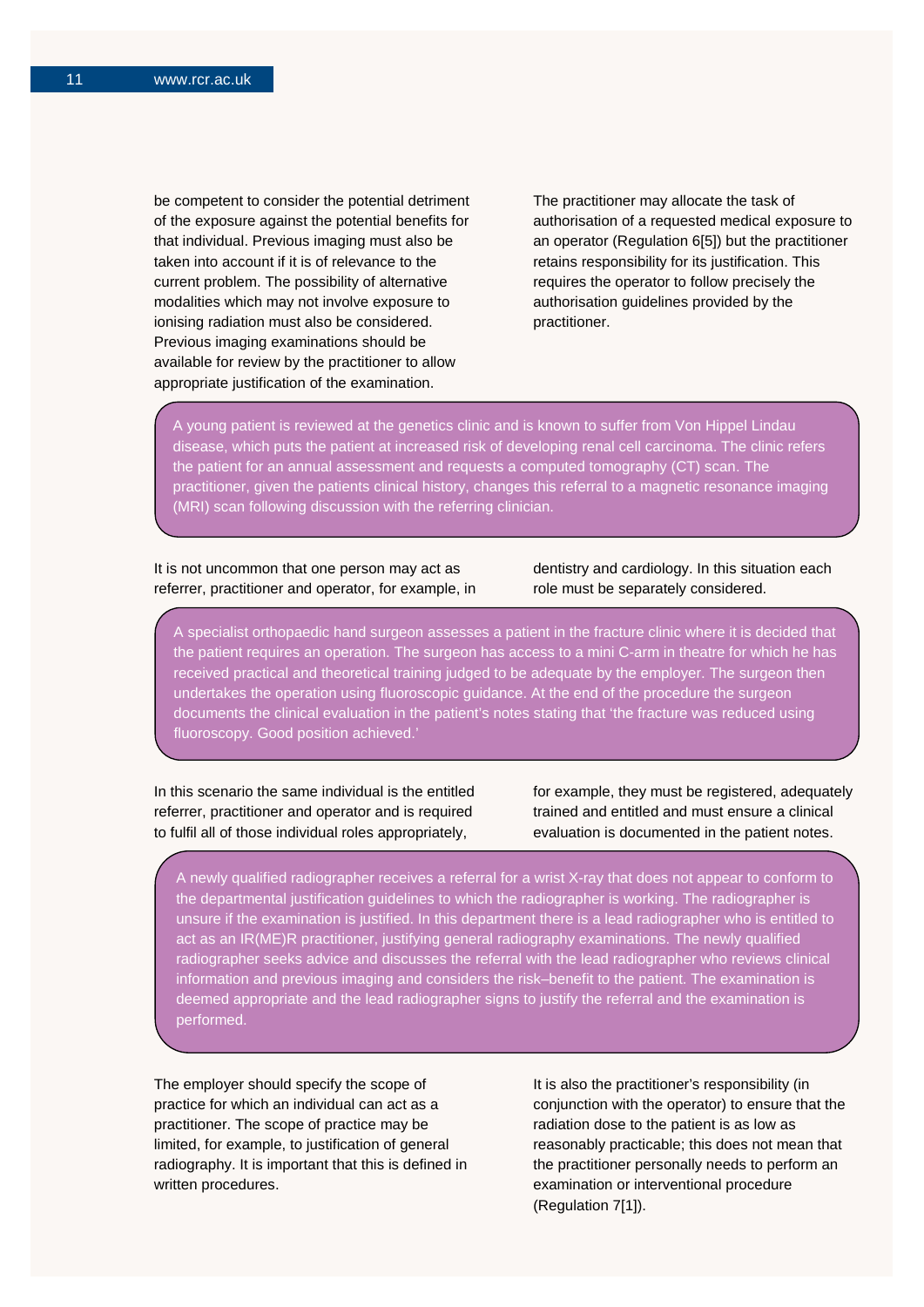be competent to consider the potential detriment of the exposure against the potential benefits for that individual. Previous imaging must also be taken into account if it is of relevance to the current problem. The possibility of alternative modalities which may not involve exposure to ionising radiation must also be considered. Previous imaging examinations should be available for review by the practitioner to allow appropriate justification of the examination.

The practitioner may allocate the task of authorisation of a requested medical exposure to an operator (Regulation 6[5]) but the practitioner retains responsibility for its justification. This requires the operator to follow precisely the authorisation guidelines provided by the practitioner.

A young patient is reviewed at the genetics clinic and is known to suffer from Von Hippel Lindau disease, which puts the patient at increased risk of developing renal cell carcinoma. The clinic refers the patient for an annual assessment and requests a computed tomography (CT) scan. The practitioner, given the patients clinical history, changes this referral to a magnetic resonance imaging (MRI) scan following discussion with the referring clinician.

#### It is not uncommon that one person may act as referrer, practitioner and operator, for example, in

dentistry and cardiology. In this situation each role must be separately considered.

A specialist orthopaedic hand surgeon assesses a patient in the fracture clinic where it is decided that the patient requires an operation. The surgeon has access to a mini C-arm in theatre for which he has received practical and theoretical training judged to be adequate by the employer. The surgeon then undertakes the operation using fluoroscopic guidance. At the end of the procedure the surgeon documents the clinical evaluation in the patient's notes stating that 'the fracture was reduced using fluoroscopy. Good position achieved.'

In this scenario the same individual is the entitled referrer, practitioner and operator and is required to fulfil all of those individual roles appropriately,

for example, they must be registered, adequately trained and entitled and must ensure a clinical evaluation is documented in the patient notes.

A newly qualified radiographer receives a referral for a wrist X-ray that does not appear to conform to the departmental justification guidelines to which the radiographer is working. The radiographer is unsure if the examination is justified. In this department there is a lead radiographer who is entitled to act as an IR(ME)R practitioner, justifying general radiography examinations. The newly qualified radiographer seeks advice and discusses the referral with the lead radiographer who reviews clinical information and previous imaging and considers the risk–benefit to the patient. The examination is deemed appropriate and the lead radiographer signs to justify the referral and the examination is performed.

The employer should specify the scope of practice for which an individual can act as a practitioner. The scope of practice may be limited, for example, to justification of general radiography. It is important that this is defined in written procedures.

It is also the practitioner's responsibility (in conjunction with the operator) to ensure that the radiation dose to the patient is as low as reasonably practicable; this does not mean that the practitioner personally needs to perform an examination or interventional procedure (Regulation 7[1]).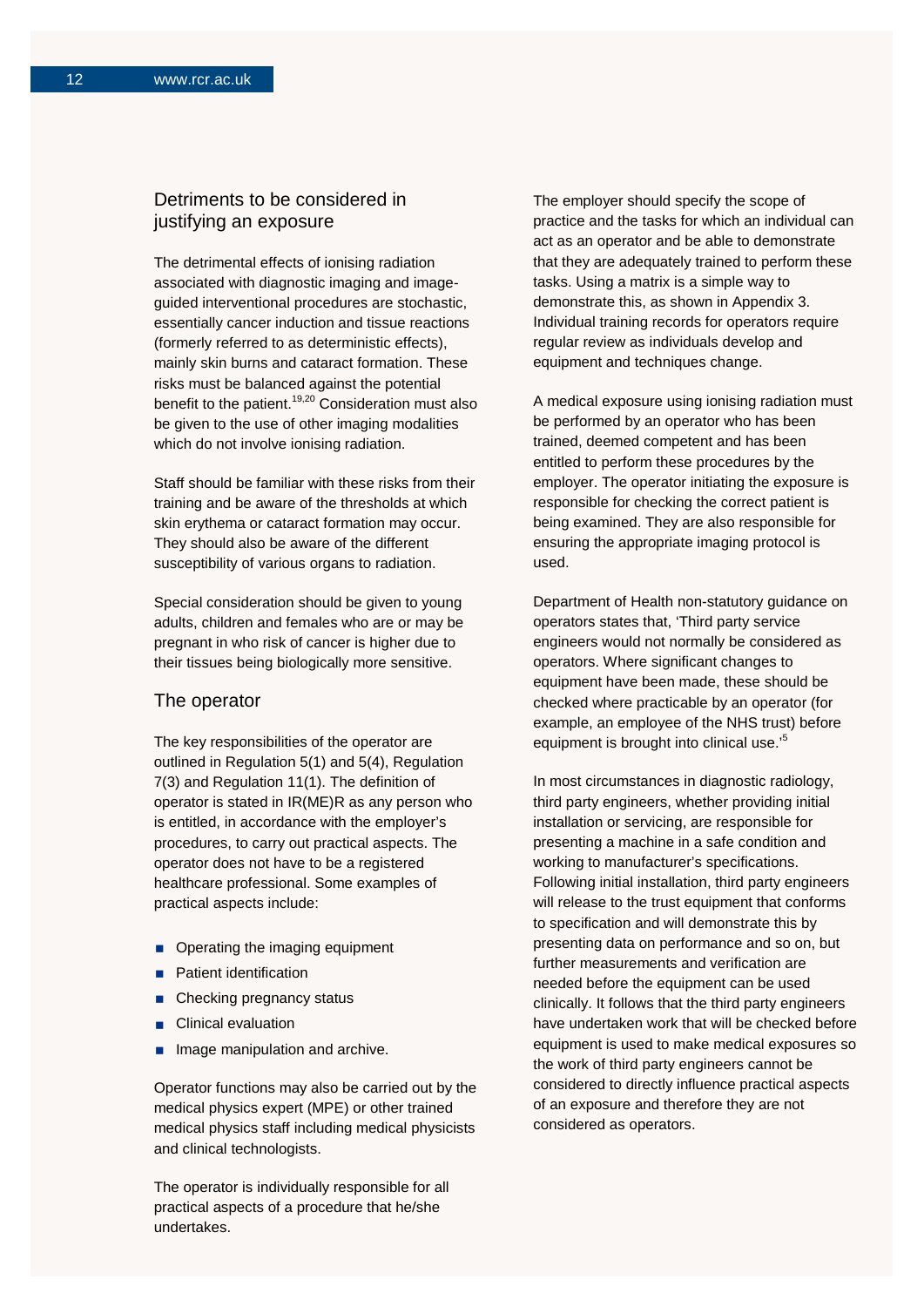## Detriments to be considered in justifying an exposure

The detrimental effects of ionising radiation associated with diagnostic imaging and imageguided interventional procedures are stochastic, essentially cancer induction and tissue reactions (formerly referred to as deterministic effects), mainly skin burns and cataract formation. These risks must be balanced against the potential benefit to the patient.<sup>19,20</sup> Consideration must also be given to the use of other imaging modalities which do not involve ionising radiation.

Staff should be familiar with these risks from their training and be aware of the thresholds at which skin erythema or cataract formation may occur. They should also be aware of the different susceptibility of various organs to radiation.

Special consideration should be given to young adults, children and females who are or may be pregnant in who risk of cancer is higher due to their tissues being biologically more sensitive.

#### The operator

The key responsibilities of the operator are outlined in Regulation 5(1) and 5(4), Regulation 7(3) and Regulation 11(1). The definition of operator is stated in IR(ME)R as any person who is entitled, in accordance with the employer's procedures, to carry out practical aspects. The operator does not have to be a registered healthcare professional. Some examples of practical aspects include:

- Operating the imaging equipment
- Patient identification
- Checking pregnancy status
- Clinical evaluation
- Image manipulation and archive.

Operator functions may also be carried out by the medical physics expert (MPE) or other trained medical physics staff including medical physicists and clinical technologists.

The operator is individually responsible for all practical aspects of a procedure that he/she undertakes.

The employer should specify the scope of practice and the tasks for which an individual can act as an operator and be able to demonstrate that they are adequately trained to perform these tasks. Using a matrix is a simple way to demonstrate this, as shown in Appendix 3. Individual training records for operators require regular review as individuals develop and equipment and techniques change.

A medical exposure using ionising radiation must be performed by an operator who has been trained, deemed competent and has been entitled to perform these procedures by the employer. The operator initiating the exposure is responsible for checking the correct patient is being examined. They are also responsible for ensuring the appropriate imaging protocol is used.

Department of Health non-statutory guidance on operators states that, 'Third party service engineers would not normally be considered as operators. Where significant changes to equipment have been made, these should be checked where practicable by an operator (for example, an employee of the NHS trust) before equipment is brought into clinical use.'<sup>5</sup>

In most circumstances in diagnostic radiology, third party engineers, whether providing initial installation or servicing, are responsible for presenting a machine in a safe condition and working to manufacturer's specifications. Following initial installation, third party engineers will release to the trust equipment that conforms to specification and will demonstrate this by presenting data on performance and so on, but further measurements and verification are needed before the equipment can be used clinically. It follows that the third party engineers have undertaken work that will be checked before equipment is used to make medical exposures so the work of third party engineers cannot be considered to directly influence practical aspects of an exposure and therefore they are not considered as operators.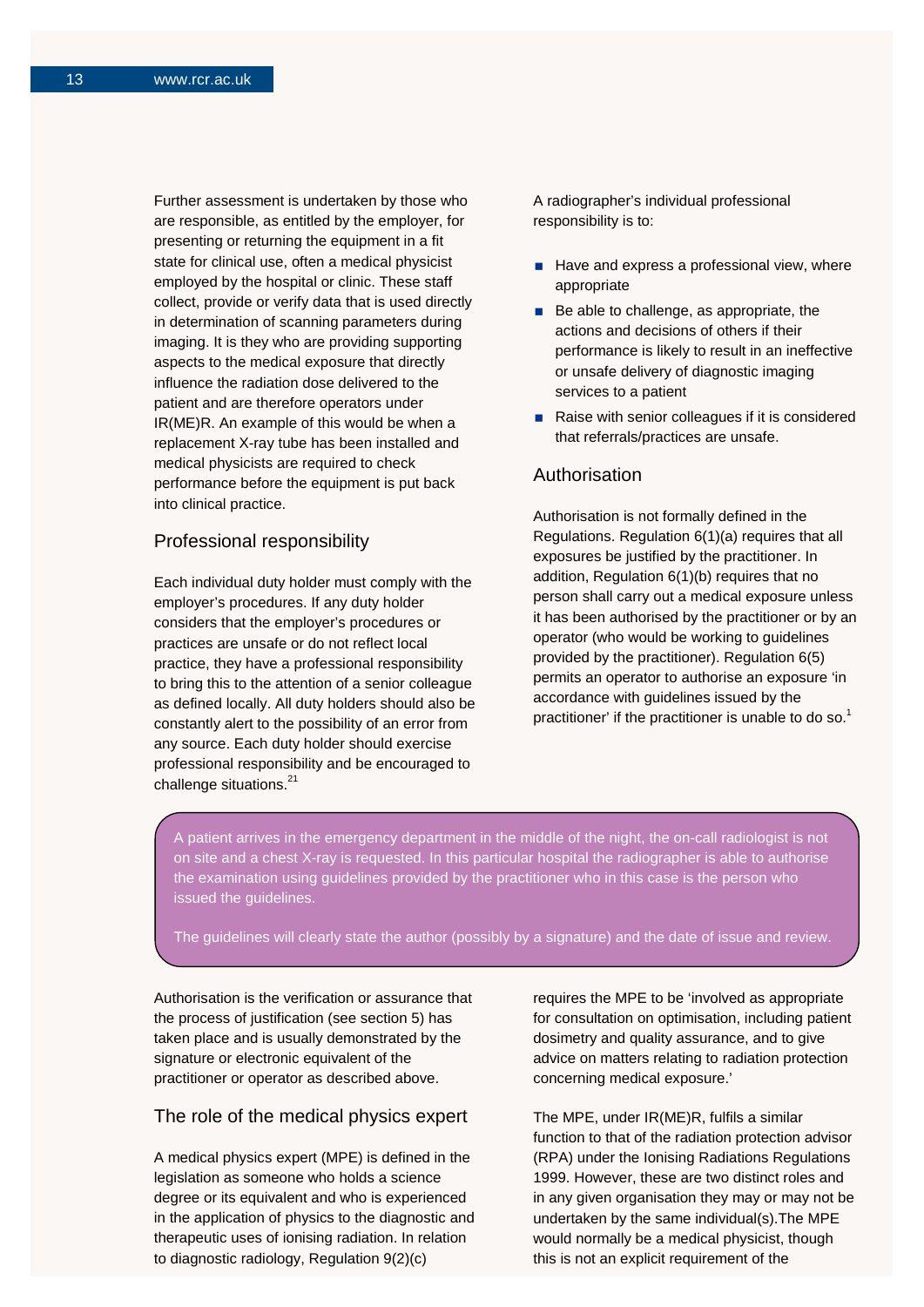Further assessment is undertaken by those who are responsible, as entitled by the employer, for presenting or returning the equipment in a fit state for clinical use, often a medical physicist employed by the hospital or clinic. These staff collect, provide or verify data that is used directly in determination of scanning parameters during imaging. It is they who are providing supporting aspects to the medical exposure that directly influence the radiation dose delivered to the patient and are therefore operators under IR(ME)R. An example of this would be when a replacement X-ray tube has been installed and medical physicists are required to check performance before the equipment is put back into clinical practice.

## Professional responsibility

Each individual duty holder must comply with the employer's procedures. If any duty holder considers that the employer's procedures or practices are unsafe or do not reflect local practice, they have a professional responsibility to bring this to the attention of a senior colleague as defined locally. All duty holders should also be constantly alert to the possibility of an error from any source. Each duty holder should exercise professional responsibility and be encouraged to challenge situations.<sup>21</sup>

A radiographer's individual professional responsibility is to:

- $\blacksquare$  Have and express a professional view, where appropriate
- $\blacksquare$  Be able to challenge, as appropriate, the actions and decisions of others if their performance is likely to result in an ineffective or unsafe delivery of diagnostic imaging services to a patient
- Raise with senior colleagues if it is considered that referrals/practices are unsafe.

## Authorisation

Authorisation is not formally defined in the Regulations. Regulation 6(1)(a) requires that all exposures be justified by the practitioner. In addition, Regulation 6(1)(b) requires that no person shall carry out a medical exposure unless it has been authorised by the practitioner or by an operator (who would be working to guidelines provided by the practitioner). Regulation 6(5) permits an operator to authorise an exposure 'in accordance with guidelines issued by the practitioner' if the practitioner is unable to do so.<sup>1</sup>

A patient arrives in the emergency department in the middle of the night, the on-call radiologist is not on site and a chest X-ray is requested. In this particular hospital the radiographer is able to authorise the examination using guidelines provided by the practitioner who in this case is the person who issued the guidelines.

The guidelines will clearly state the author (possibly by a signature) and the date of issue and review.

Authorisation is the verification or assurance that the process of justification (see section 5) has taken place and is usually demonstrated by the signature or electronic equivalent of the practitioner or operator as described above.

## The role of the medical physics expert

A medical physics expert (MPE) is defined in the legislation as someone who holds a science degree or its equivalent and who is experienced in the application of physics to the diagnostic and therapeutic uses of ionising radiation. In relation to diagnostic radiology, Regulation 9(2)(c)

requires the MPE to be 'involved as appropriate for consultation on optimisation, including patient dosimetry and quality assurance, and to give advice on matters relating to radiation protection concerning medical exposure.'

The MPE, under IR(ME)R, fulfils a similar function to that of the radiation protection advisor (RPA) under the Ionising Radiations Regulations 1999. However, these are two distinct roles and in any given organisation they may or may not be undertaken by the same individual(s).The MPE would normally be a medical physicist, though this is not an explicit requirement of the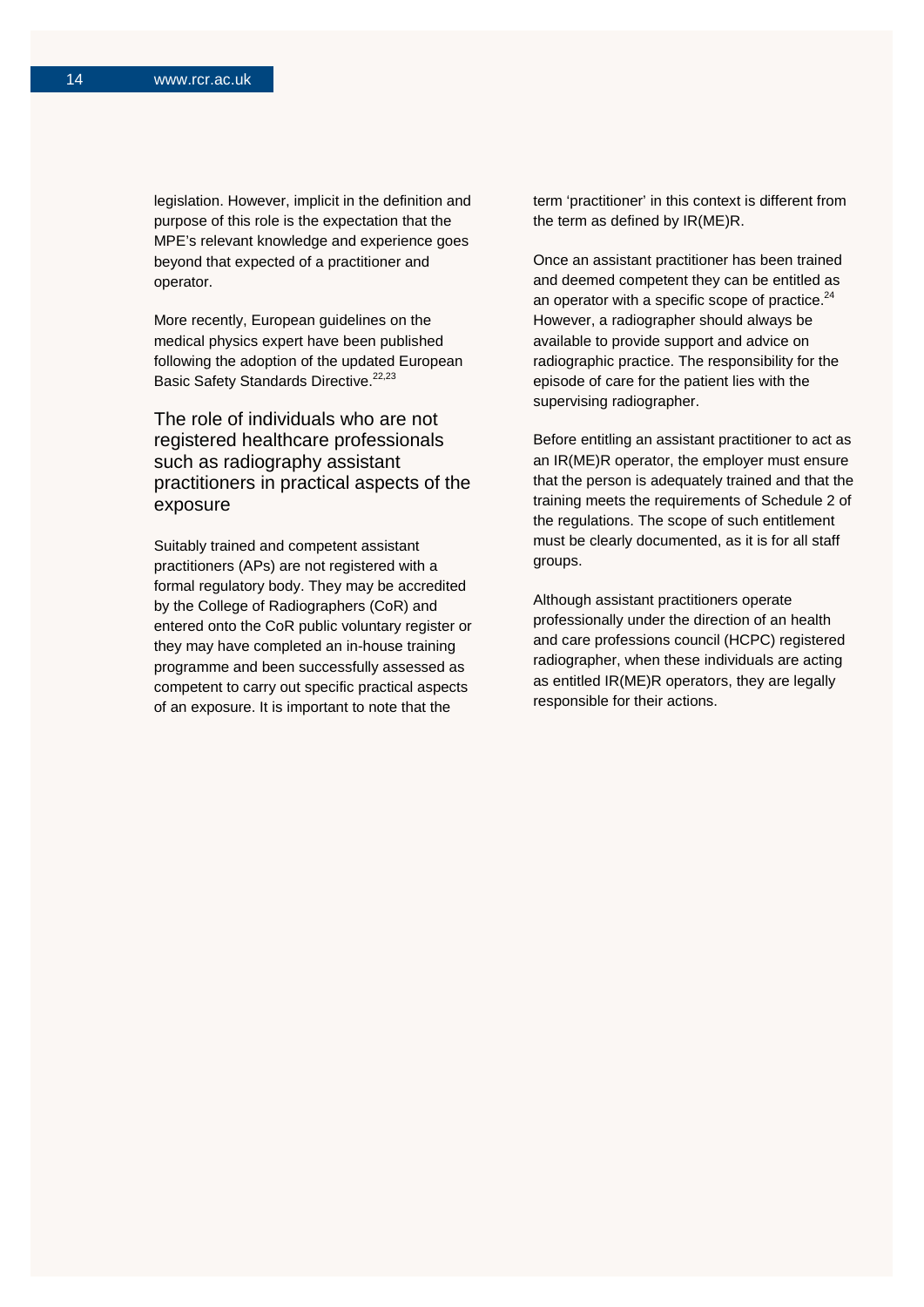legislation. However, implicit in the definition and purpose of this role is the expectation that the MPE's relevant knowledge and experience goes beyond that expected of a practitioner and operator.

More recently, European guidelines on the medical physics expert have been published following the adoption of the updated European Basic Safety Standards Directive.<sup>22,23</sup>

The role of individuals who are not registered healthcare professionals such as radiography assistant practitioners in practical aspects of the exposure

Suitably trained and competent assistant practitioners (APs) are not registered with a formal regulatory body. They may be accredited by the College of Radiographers (CoR) and entered onto the CoR public voluntary register or they may have completed an in-house training programme and been successfully assessed as competent to carry out specific practical aspects of an exposure. It is important to note that the

term 'practitioner' in this context is different from the term as defined by IR(ME)R.

Once an assistant practitioner has been trained and deemed competent they can be entitled as an operator with a specific scope of practice. $24$ However, a radiographer should always be available to provide support and advice on radiographic practice. The responsibility for the episode of care for the patient lies with the supervising radiographer.

Before entitling an assistant practitioner to act as an IR(ME)R operator, the employer must ensure that the person is adequately trained and that the training meets the requirements of Schedule 2 of the regulations. The scope of such entitlement must be clearly documented, as it is for all staff groups.

Although assistant practitioners operate professionally under the direction of an health and care professions council (HCPC) registered radiographer, when these individuals are acting as entitled IR(ME)R operators, they are legally responsible for their actions.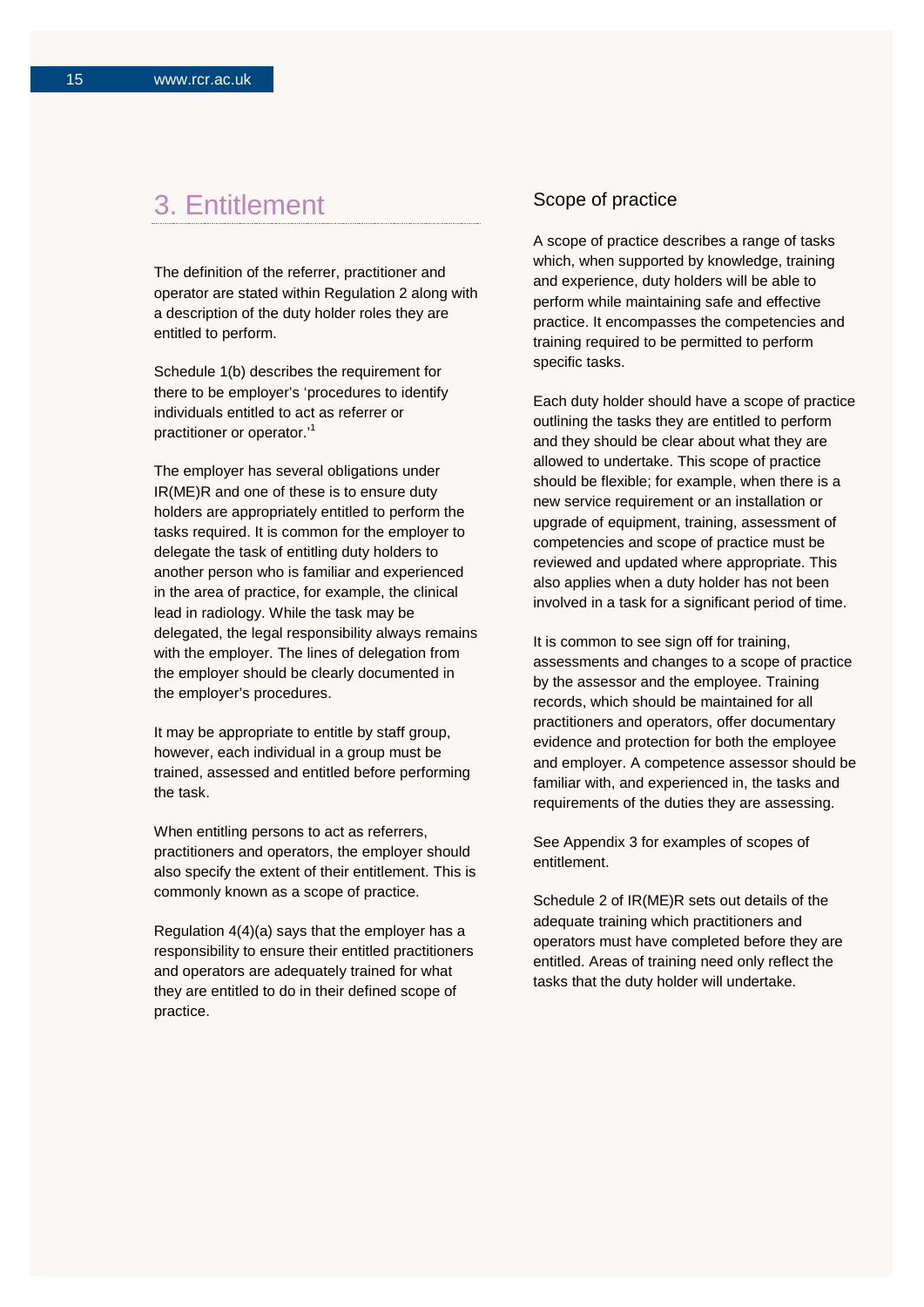## 3. Entitlement

The definition of the referrer, practitioner and operator are stated within Regulation 2 along with a description of the duty holder roles they are entitled to perform.

Schedule 1(b) describes the requirement for there to be employer's 'procedures to identify individuals entitled to act as referrer or practitioner or operator.'<sup>1</sup>

The employer has several obligations under IR(ME)R and one of these is to ensure duty holders are appropriately entitled to perform the tasks required. It is common for the employer to delegate the task of entitling duty holders to another person who is familiar and experienced in the area of practice, for example, the clinical lead in radiology. While the task may be delegated, the legal responsibility always remains with the employer. The lines of delegation from the employer should be clearly documented in the employer's procedures.

It may be appropriate to entitle by staff group, however, each individual in a group must be trained, assessed and entitled before performing the task.

When entitling persons to act as referrers, practitioners and operators, the employer should also specify the extent of their entitlement. This is commonly known as a scope of practice.

Regulation 4(4)(a) says that the employer has a responsibility to ensure their entitled practitioners and operators are adequately trained for what they are entitled to do in their defined scope of practice.

## Scope of practice

A scope of practice describes a range of tasks which, when supported by knowledge, training and experience, duty holders will be able to perform while maintaining safe and effective practice. It encompasses the competencies and training required to be permitted to perform specific tasks.

Each duty holder should have a scope of practice outlining the tasks they are entitled to perform and they should be clear about what they are allowed to undertake. This scope of practice should be flexible; for example, when there is a new service requirement or an installation or upgrade of equipment, training, assessment of competencies and scope of practice must be reviewed and updated where appropriate. This also applies when a duty holder has not been involved in a task for a significant period of time.

It is common to see sign off for training, assessments and changes to a scope of practice by the assessor and the employee. Training records, which should be maintained for all practitioners and operators, offer documentary evidence and protection for both the employee and employer. A competence assessor should be familiar with, and experienced in, the tasks and requirements of the duties they are assessing.

See Appendix 3 for examples of scopes of entitlement.

Schedule 2 of IR(ME)R sets out details of the adequate training which practitioners and operators must have completed before they are entitled. Areas of training need only reflect the tasks that the duty holder will undertake.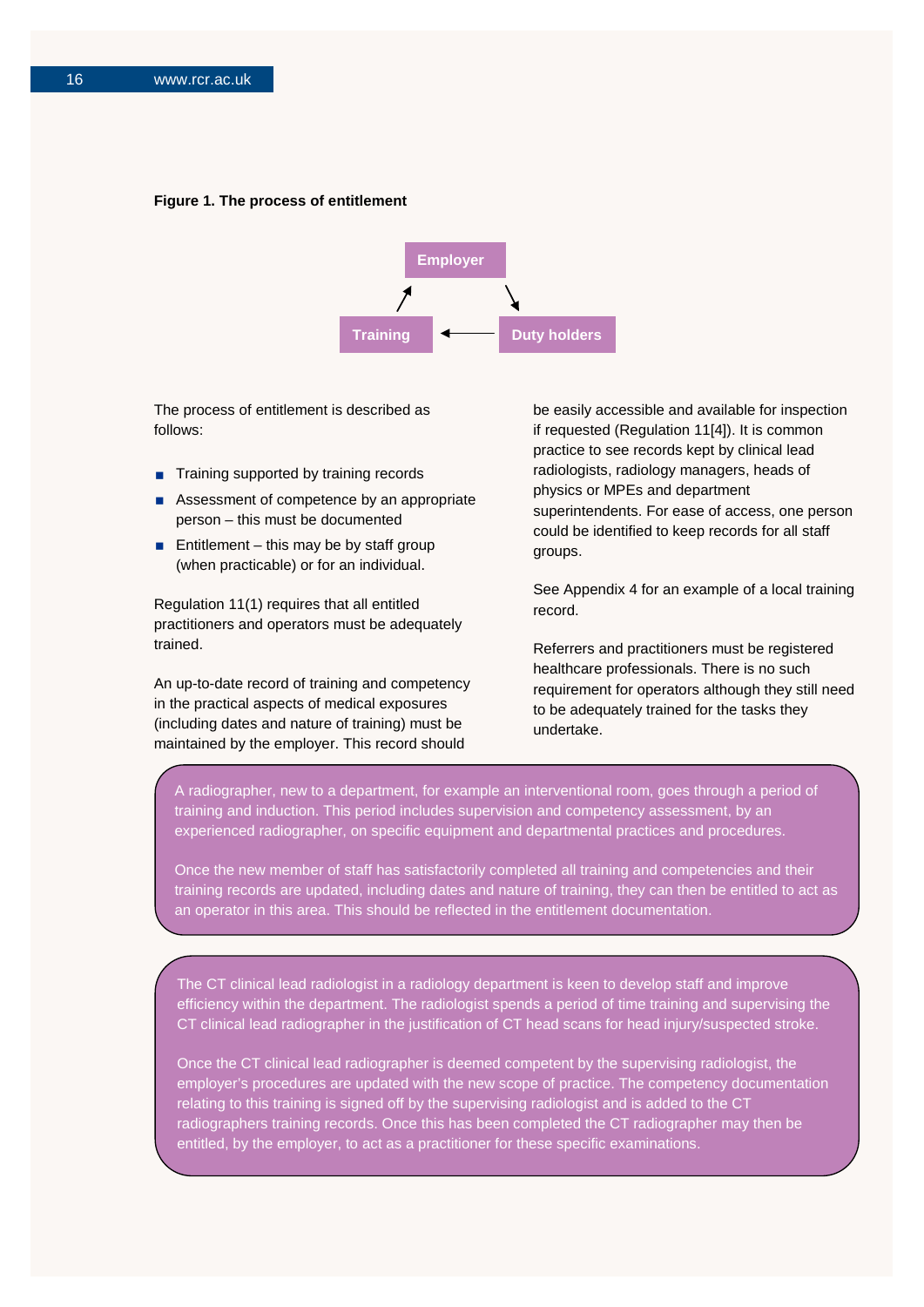#### **Figure 1. The process of entitlement**



The process of entitlement is described as follows:

- Training supported by training records
- Assessment of competence by an appropriate person – this must be documented
- **Entitlement** this may be by staff group (when practicable) or for an individual.

Regulation 11(1) requires that all entitled practitioners and operators must be adequately trained.

An up-to-date record of training and competency in the practical aspects of medical exposures (including dates and nature of training) must be maintained by the employer. This record should

be easily accessible and available for inspection if requested (Regulation 11[4]). It is common practice to see records kept by clinical lead radiologists, radiology managers, heads of physics or MPEs and department superintendents. For ease of access, one person could be identified to keep records for all staff groups.

See Appendix 4 for an example of a local training record.

Referrers and practitioners must be registered healthcare professionals. There is no such requirement for operators although they still need to be adequately trained for the tasks they undertake.

A radiographer, new to a department, for example an interventional room, goes through a period of training and induction. This period includes supervision and competency assessment, by an experienced radiographer, on specific equipment and departmental practices and procedures.

Once the new member of staff has satisfactorily completed all training and competencies and their training records are updated, including dates and nature of training, they can then be entitled to act as an operator in this area. This should be reflected in the entitlement documentation.

The CT clinical lead radiologist in a radiology department is keen to develop staff and improve efficiency within the department. The radiologist spends a period of time training and supervising the CT clinical lead radiographer in the justification of CT head scans for head injury/suspected stroke.

Once the CT clinical lead radiographer is deemed competent by the supervising radiologist, the employer's procedures are updated with the new scope of practice. The competency documentation relating to this training is signed off by the supervising radiologist and is added to the CT radiographers training records. Once this has been completed the CT radiographer may then be entitled, by the employer, to act as a practitioner for these specific examinations.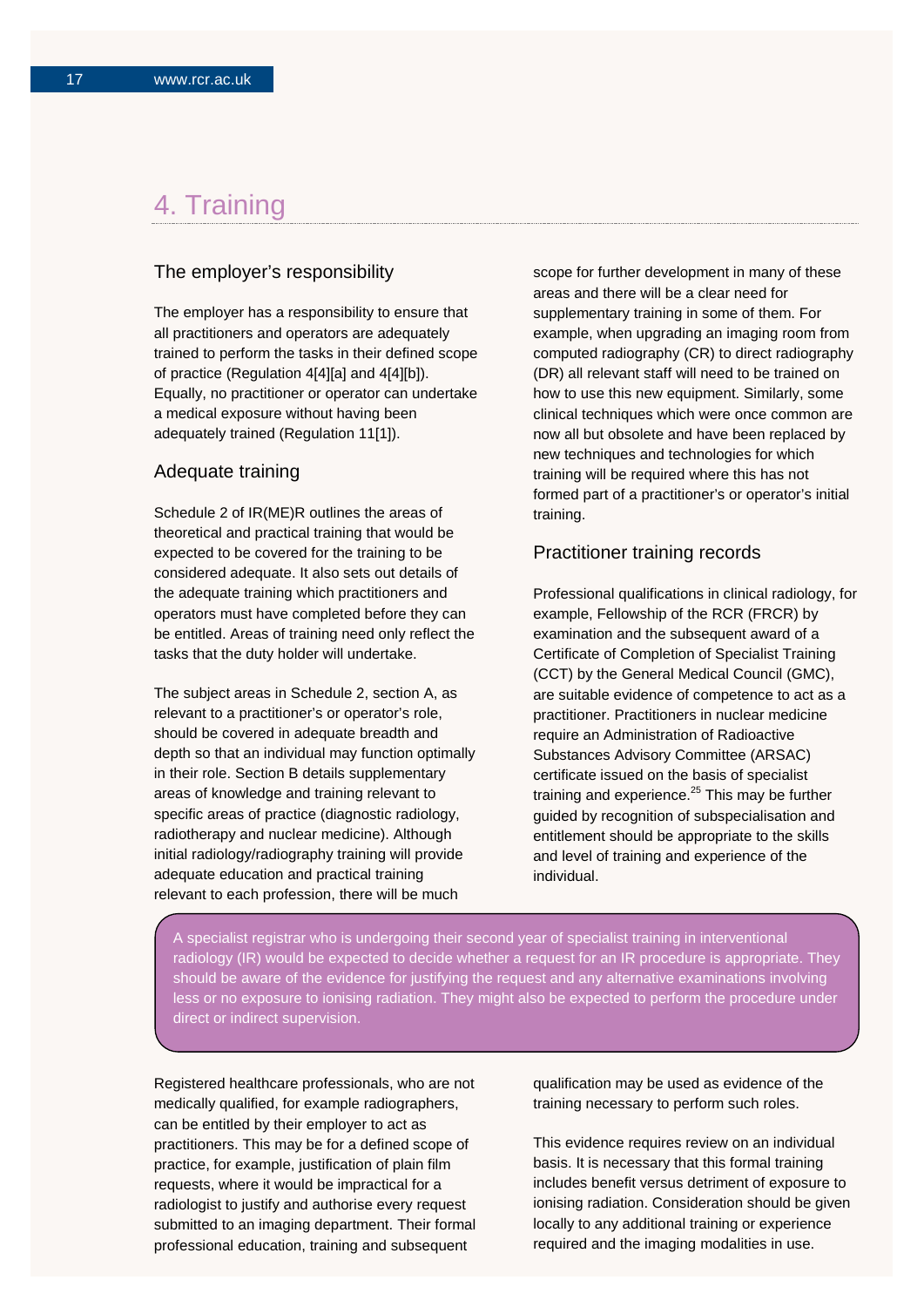## 4. Training

### The employer's responsibility

The employer has a responsibility to ensure that all practitioners and operators are adequately trained to perform the tasks in their defined scope of practice (Regulation 4[4][a] and 4[4][b]). Equally, no practitioner or operator can undertake a medical exposure without having been adequately trained (Regulation 11[1]).

## Adequate training

Schedule 2 of IR(ME)R outlines the areas of theoretical and practical training that would be expected to be covered for the training to be considered adequate. It also sets out details of the adequate training which practitioners and operators must have completed before they can be entitled. Areas of training need only reflect the tasks that the duty holder will undertake.

The subject areas in Schedule 2, section A, as relevant to a practitioner's or operator's role, should be covered in adequate breadth and depth so that an individual may function optimally in their role. Section B details supplementary areas of knowledge and training relevant to specific areas of practice (diagnostic radiology, radiotherapy and nuclear medicine). Although initial radiology/radiography training will provide adequate education and practical training relevant to each profession, there will be much

scope for further development in many of these areas and there will be a clear need for supplementary training in some of them. For example, when upgrading an imaging room from computed radiography (CR) to direct radiography (DR) all relevant staff will need to be trained on how to use this new equipment. Similarly, some clinical techniques which were once common are now all but obsolete and have been replaced by new techniques and technologies for which training will be required where this has not formed part of a practitioner's or operator's initial training.

### Practitioner training records

Professional qualifications in clinical radiology, for example, Fellowship of the RCR (FRCR) by examination and the subsequent award of a Certificate of Completion of Specialist Training (CCT) by the General Medical Council (GMC), are suitable evidence of competence to act as a practitioner. Practitioners in nuclear medicine require an Administration of Radioactive Substances Advisory Committee (ARSAC) certificate issued on the basis of specialist training and experience. <sup>25</sup> This may be further guided by recognition of subspecialisation and entitlement should be appropriate to the skills and level of training and experience of the individual.

A specialist registrar who is undergoing their second year of specialist training in interventional radiology (IR) would be expected to decide whether a request for an IR procedure is appropriate. They should be aware of the evidence for justifying the request and any alternative examinations involving less or no exposure to ionising radiation. They might also be expected to perform the procedure under direct or indirect supervision.

Registered healthcare professionals, who are not medically qualified, for example radiographers, can be entitled by their employer to act as practitioners. This may be for a defined scope of practice, for example, justification of plain film requests, where it would be impractical for a radiologist to justify and authorise every request submitted to an imaging department. Their formal professional education, training and subsequent

qualification may be used as evidence of the training necessary to perform such roles.

This evidence requires review on an individual basis. It is necessary that this formal training includes benefit versus detriment of exposure to ionising radiation. Consideration should be given locally to any additional training or experience required and the imaging modalities in use.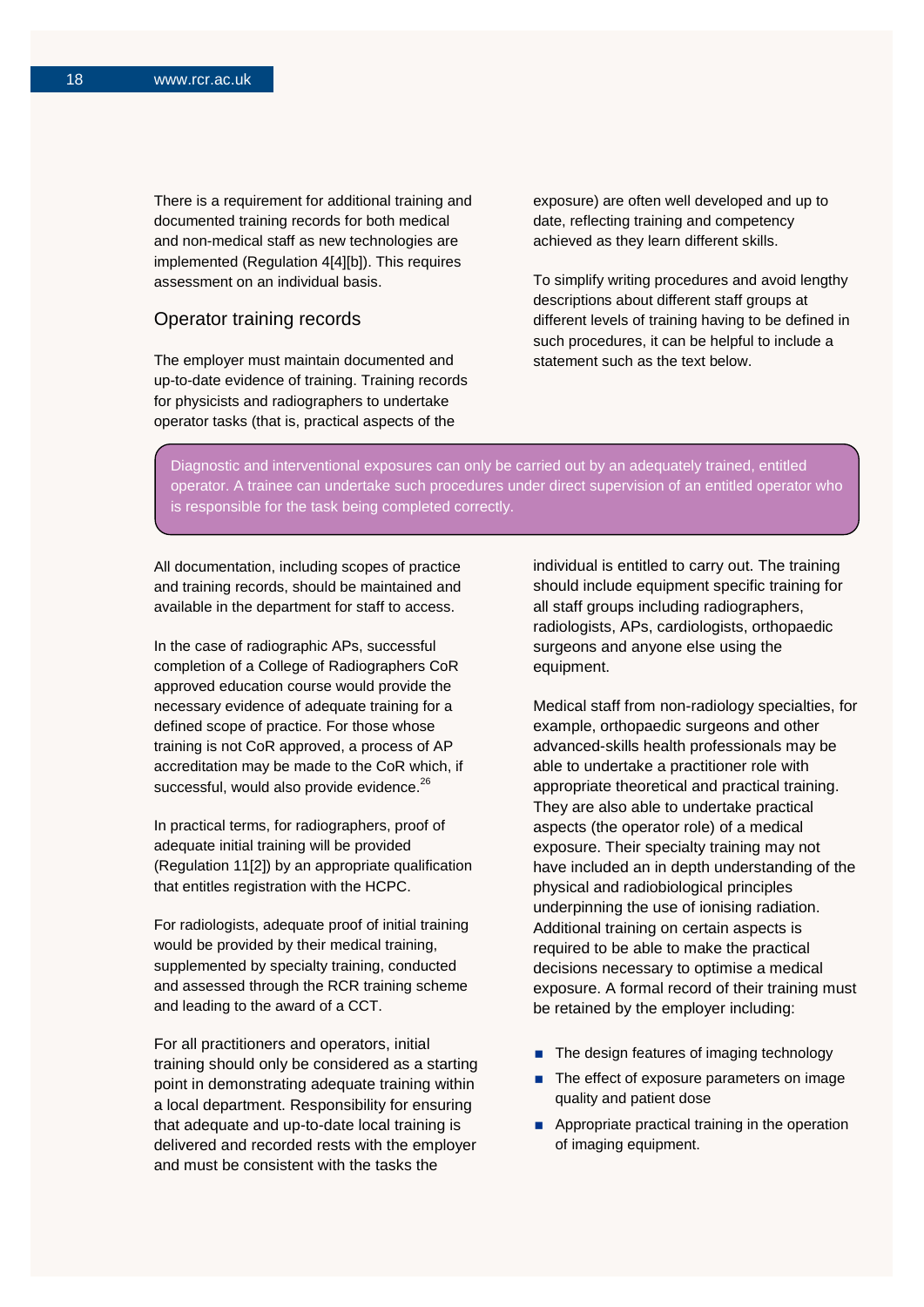There is a requirement for additional training and documented training records for both medical and non-medical staff as new technologies are implemented (Regulation 4[4][b]). This requires assessment on an individual basis.

### Operator training records

The employer must maintain documented and up-to-date evidence of training. Training records for physicists and radiographers to undertake operator tasks (that is, practical aspects of the

exposure) are often well developed and up to date, reflecting training and competency achieved as they learn different skills.

To simplify writing procedures and avoid lengthy descriptions about different staff groups at different levels of training having to be defined in such procedures, it can be helpful to include a statement such as the text below.

Diagnostic and interventional exposures can only be carried out by an adequately trained, entitled operator. A trainee can undertake such procedures under direct supervision of an entitled operator who is responsible for the task being completed correctly.

All documentation, including scopes of practice and training records, should be maintained and available in the department for staff to access.

In the case of radiographic APs, successful completion of a College of Radiographers CoR approved education course would provide the necessary evidence of adequate training for a defined scope of practice. For those whose training is not CoR approved, a process of AP accreditation may be made to the CoR which, if successful, would also provide evidence.<sup>26</sup>

In practical terms, for radiographers, proof of adequate initial training will be provided (Regulation 11[2]) by an appropriate qualification that entitles registration with the HCPC.

For radiologists, adequate proof of initial training would be provided by their medical training, supplemented by specialty training, conducted and assessed through the RCR training scheme and leading to the award of a CCT.

For all practitioners and operators, initial training should only be considered as a starting point in demonstrating adequate training within a local department. Responsibility for ensuring that adequate and up-to-date local training is delivered and recorded rests with the employer and must be consistent with the tasks the

individual is entitled to carry out. The training should include equipment specific training for all staff groups including radiographers, radiologists, APs, cardiologists, orthopaedic surgeons and anyone else using the equipment.

Medical staff from non-radiology specialties, for example, orthopaedic surgeons and other advanced-skills health professionals may be able to undertake a practitioner role with appropriate theoretical and practical training. They are also able to undertake practical aspects (the operator role) of a medical exposure. Their specialty training may not have included an in depth understanding of the physical and radiobiological principles underpinning the use of ionising radiation. Additional training on certain aspects is required to be able to make the practical decisions necessary to optimise a medical exposure. A formal record of their training must be retained by the employer including:

- The design features of imaging technology
- The effect of exposure parameters on image quality and patient dose
- **Appropriate practical training in the operation** of imaging equipment.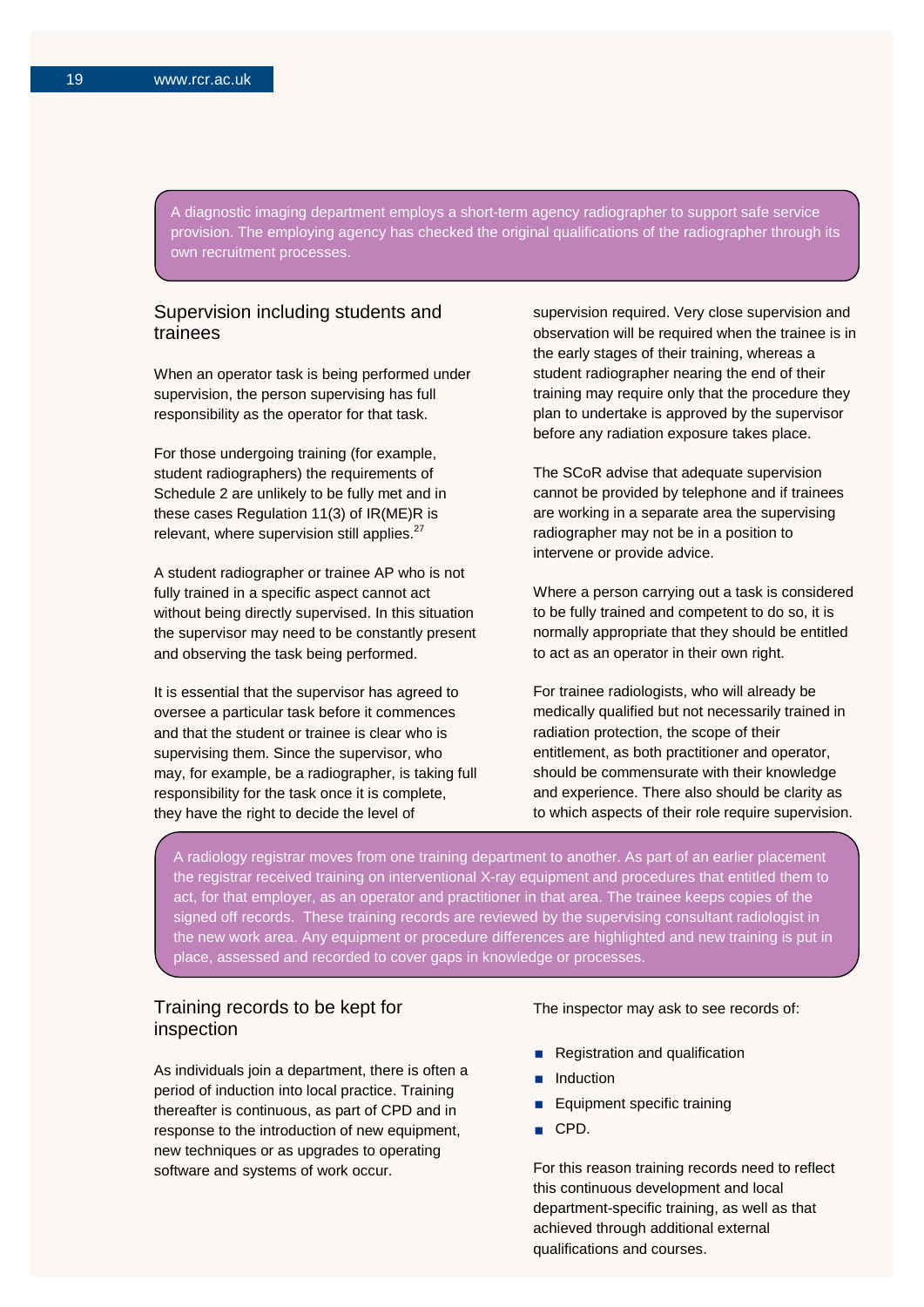A diagnostic imaging department employs a short-term agency radiographer to support safe service provision. The employing agency has checked the original qualifications of the radiographer through its own recruitment processes.

## Supervision including students and trainees

When an operator task is being performed under supervision, the person supervising has full responsibility as the operator for that task.

For those undergoing training (for example, student radiographers) the requirements of Schedule 2 are unlikely to be fully met and in these cases Regulation 11(3) of IR(ME)R is relevant, where supervision still applies.<sup>27</sup>

A student radiographer or trainee AP who is not fully trained in a specific aspect cannot act without being directly supervised. In this situation the supervisor may need to be constantly present and observing the task being performed.

It is essential that the supervisor has agreed to oversee a particular task before it commences and that the student or trainee is clear who is supervising them. Since the supervisor, who may, for example, be a radiographer, is taking full responsibility for the task once it is complete, they have the right to decide the level of

supervision required. Very close supervision and observation will be required when the trainee is in the early stages of their training, whereas a student radiographer nearing the end of their training may require only that the procedure they plan to undertake is approved by the supervisor before any radiation exposure takes place.

The SCoR advise that adequate supervision cannot be provided by telephone and if trainees are working in a separate area the supervising radiographer may not be in a position to intervene or provide advice.

Where a person carrying out a task is considered to be fully trained and competent to do so, it is normally appropriate that they should be entitled to act as an operator in their own right.

For trainee radiologists, who will already be medically qualified but not necessarily trained in radiation protection, the scope of their entitlement, as both practitioner and operator, should be commensurate with their knowledge and experience. There also should be clarity as to which aspects of their role require supervision.

A radiology registrar moves from one training department to another. As part of an earlier placement the registrar received training on interventional X-ray equipment and procedures that entitled them to act, for that employer, as an operator and practitioner in that area. The trainee keeps copies of the signed off records. These training records are reviewed by the supervising consultant radiologist in the new work area. Any equipment or procedure differences are highlighted and new training is put in place, assessed and recorded to cover gaps in knowledge or processes.

#### Training records to be kept for inspection Š

As individuals join a department, there is often a period of induction into local practice. Training thereafter is continuous, as part of CPD and in response to the introduction of new equipment, new techniques or as upgrades to operating software and systems of work occur.

#### The inspector may ask to see records of:

- Registration and qualification
- Induction
- **Equipment specific training**
- CPD.

For this reason training records need to reflect this continuous development and local department-specific training, as well as that achieved through additional external qualifications and courses.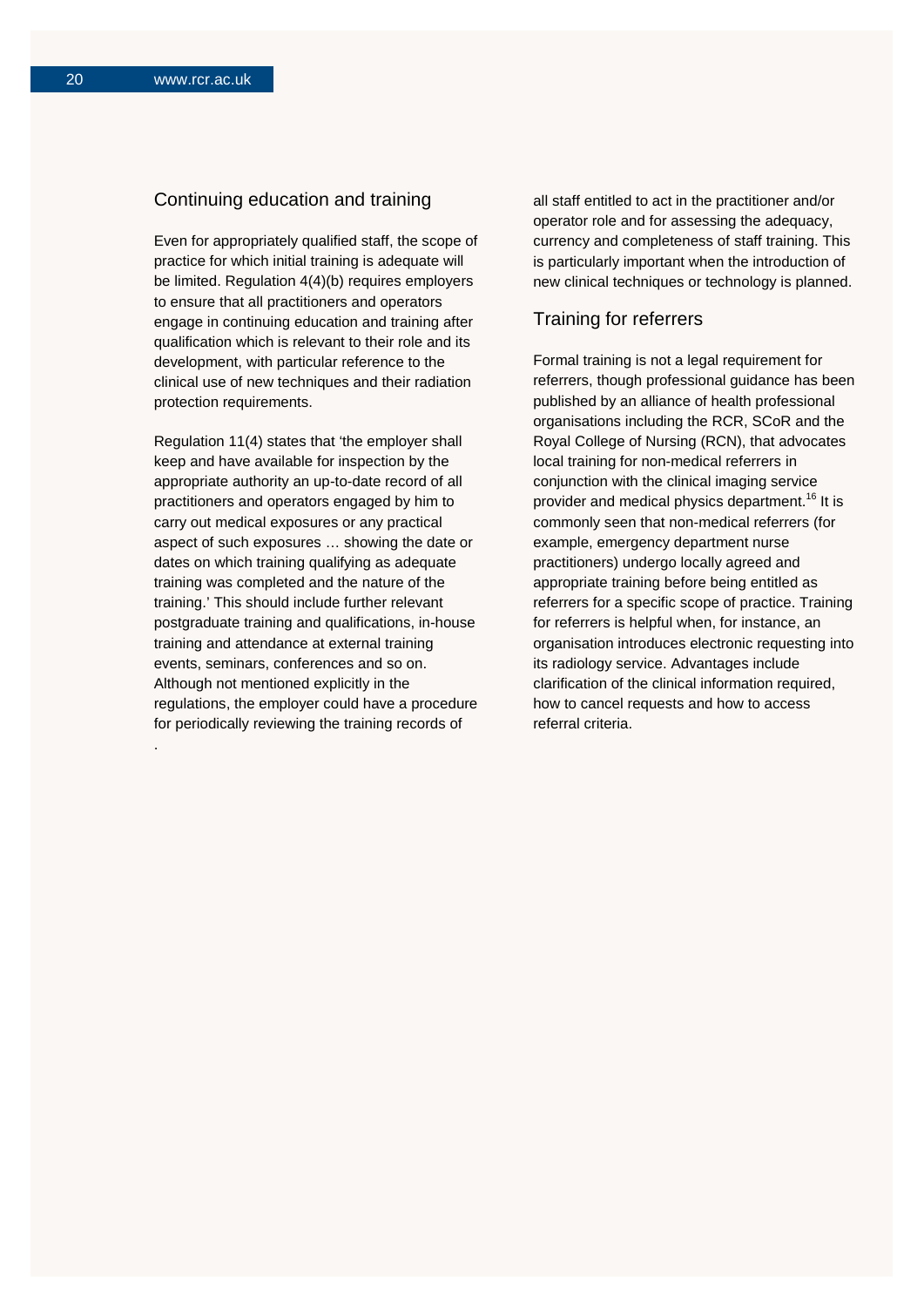.

## Continuing education and training

Even for appropriately qualified staff, the scope of practice for which initial training is adequate will be limited. Regulation 4(4)(b) requires employers to ensure that all practitioners and operators engage in continuing education and training after qualification which is relevant to their role and its development, with particular reference to the clinical use of new techniques and their radiation protection requirements.

Regulation 11(4) states that 'the employer shall keep and have available for inspection by the appropriate authority an up-to-date record of all practitioners and operators engaged by him to carry out medical exposures or any practical aspect of such exposures … showing the date or dates on which training qualifying as adequate training was completed and the nature of the training.' This should include further relevant postgraduate training and qualifications, in-house training and attendance at external training events, seminars, conferences and so on. Although not mentioned explicitly in the regulations, the employer could have a procedure for periodically reviewing the training records of

all staff entitled to act in the practitioner and/or operator role and for assessing the adequacy, currency and completeness of staff training. This is particularly important when the introduction of new clinical techniques or technology is planned.

## Training for referrers

Formal training is not a legal requirement for referrers, though professional guidance has been published by an alliance of health professional organisations including the RCR, SCoR and the Royal College of Nursing (RCN), that advocates local training for non-medical referrers in conjunction with the clinical imaging service provider and medical physics department.<sup>16</sup> It is commonly seen that non-medical referrers (for example, emergency department nurse practitioners) undergo locally agreed and appropriate training before being entitled as referrers for a specific scope of practice. Training for referrers is helpful when, for instance, an organisation introduces electronic requesting into its radiology service. Advantages include clarification of the clinical information required, how to cancel requests and how to access referral criteria.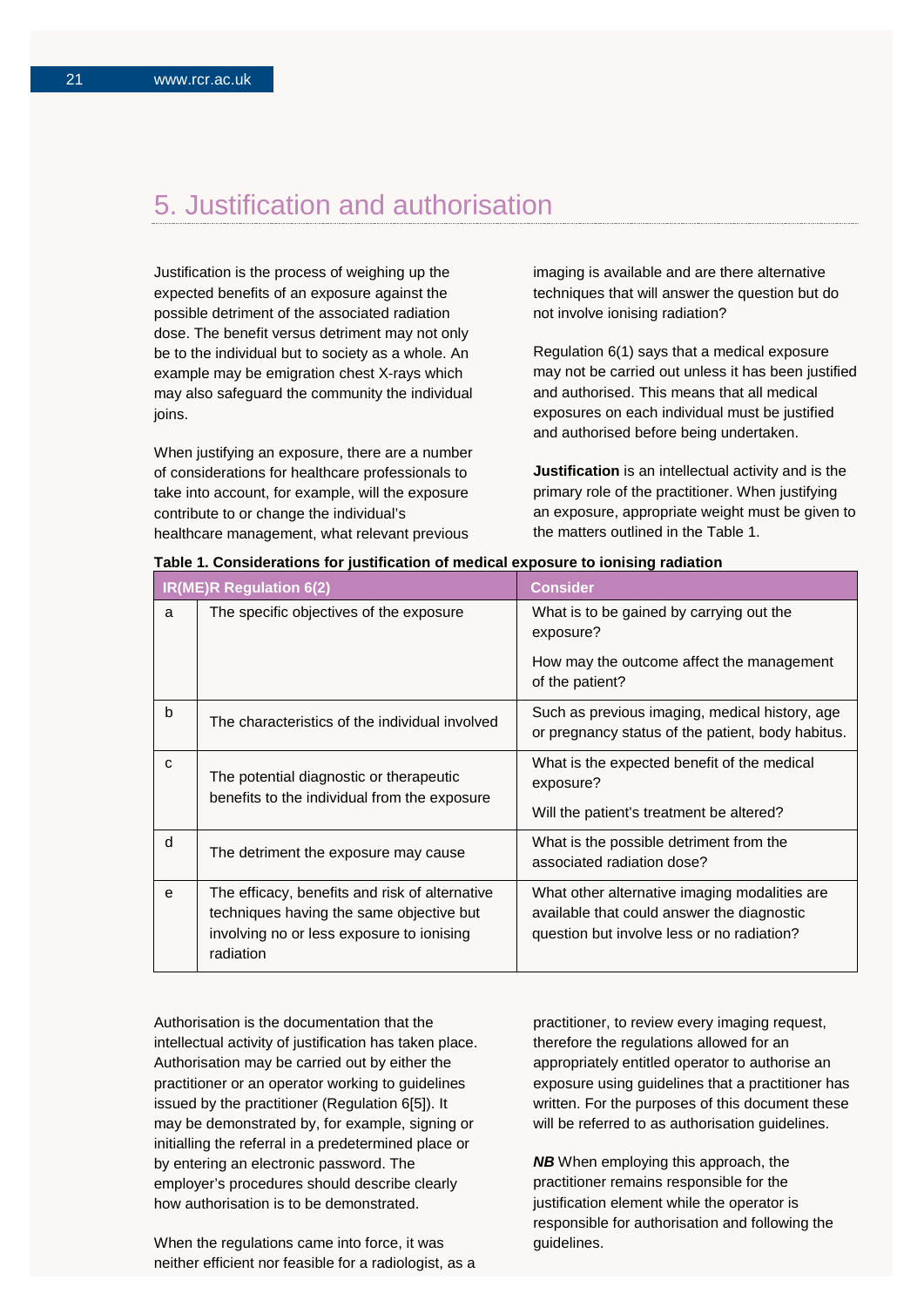## 5. Justification and authorisation

Justification is the process of weighing up the expected benefits of an exposure against the possible detriment of the associated radiation dose. The benefit versus detriment may not only be to the individual but to society as a whole. An example may be emigration chest X-rays which may also safeguard the community the individual joins.

When justifying an exposure, there are a number of considerations for healthcare professionals to take into account, for example, will the exposure contribute to or change the individual's healthcare management, what relevant previous

imaging is available and are there alternative techniques that will answer the question but do not involve ionising radiation?

Regulation 6(1) says that a medical exposure may not be carried out unless it has been justified and authorised. This means that all medical exposures on each individual must be justified and authorised before being undertaken.

**Justification** is an intellectual activity and is the primary role of the practitioner. When justifying an exposure, appropriate weight must be given to the matters outlined in the Table 1.

| IR(ME)R Regulation 6(2) |                                                                                                                                                      | <b>Consider</b>                                                                                                                           |
|-------------------------|------------------------------------------------------------------------------------------------------------------------------------------------------|-------------------------------------------------------------------------------------------------------------------------------------------|
| a                       | The specific objectives of the exposure                                                                                                              | What is to be gained by carrying out the<br>exposure?                                                                                     |
|                         |                                                                                                                                                      | How may the outcome affect the management<br>of the patient?                                                                              |
| $\mathsf{b}$            | The characteristics of the individual involved                                                                                                       | Such as previous imaging, medical history, age<br>or pregnancy status of the patient, body habitus.                                       |
| C                       | The potential diagnostic or therapeutic                                                                                                              | What is the expected benefit of the medical<br>exposure?                                                                                  |
|                         | benefits to the individual from the exposure                                                                                                         | Will the patient's treatment be altered?                                                                                                  |
| d                       | The detriment the exposure may cause                                                                                                                 | What is the possible detriment from the<br>associated radiation dose?                                                                     |
| e                       | The efficacy, benefits and risk of alternative<br>techniques having the same objective but<br>involving no or less exposure to ionising<br>radiation | What other alternative imaging modalities are<br>available that could answer the diagnostic<br>question but involve less or no radiation? |

| Table 1. Considerations for justification of medical exposure to ionising radiation |  |  |
|-------------------------------------------------------------------------------------|--|--|
|-------------------------------------------------------------------------------------|--|--|

Authorisation is the documentation that the intellectual activity of justification has taken place. Authorisation may be carried out by either the practitioner or an operator working to guidelines issued by the practitioner (Regulation 6[5]). It may be demonstrated by, for example, signing or initialling the referral in a predetermined place or by entering an electronic password. The employer's procedures should describe clearly how authorisation is to be demonstrated.

When the regulations came into force, it was neither efficient nor feasible for a radiologist, as a practitioner, to review every imaging request, therefore the regulations allowed for an appropriately entitled operator to authorise an exposure using guidelines that a practitioner has written. For the purposes of this document these will be referred to as authorisation guidelines.

**NB** When employing this approach, the practitioner remains responsible for the justification element while the operator is responsible for authorisation and following the guidelines.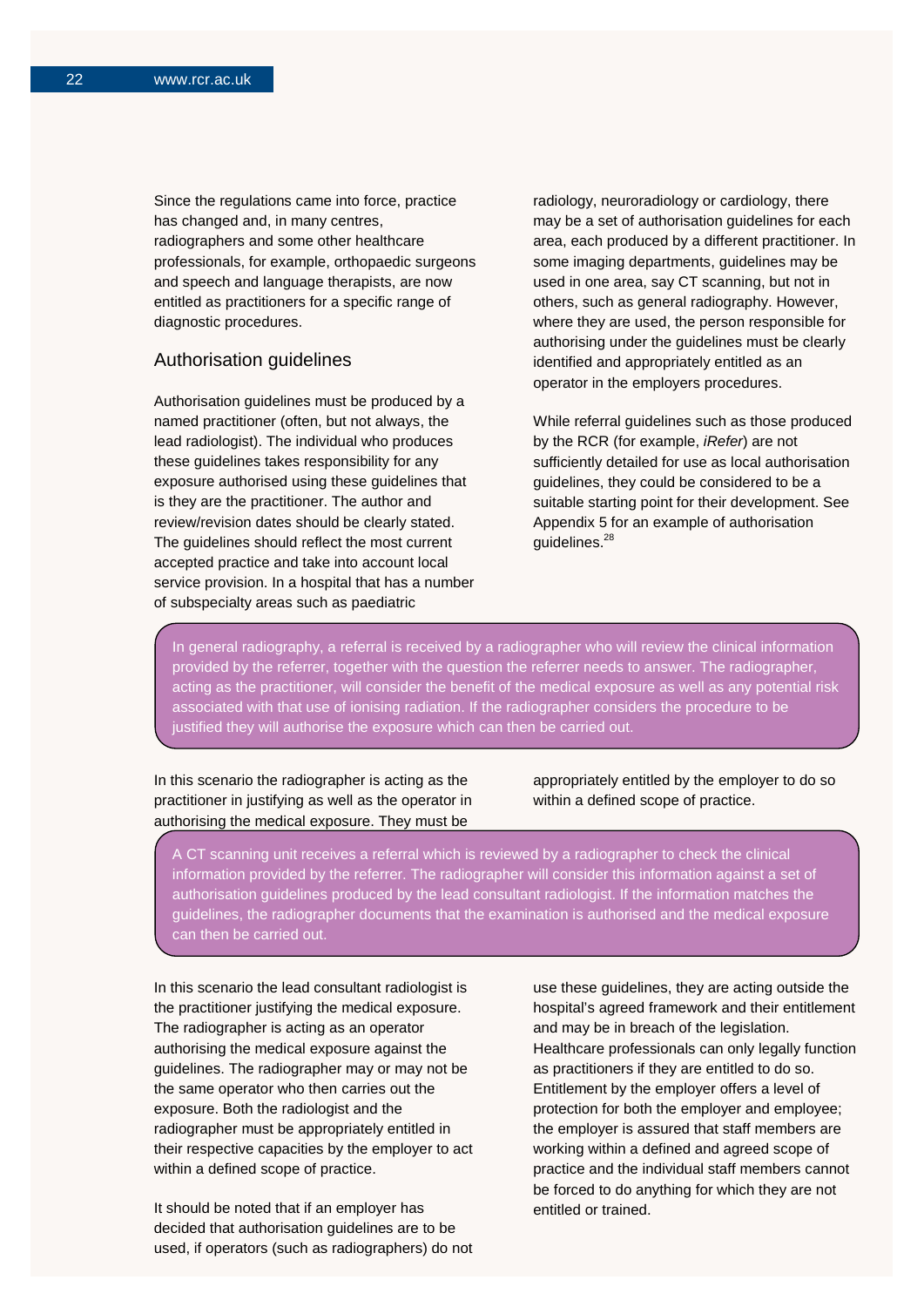Since the regulations came into force, practice has changed and, in many centres, radiographers and some other healthcare professionals, for example, orthopaedic surgeons and speech and language therapists, are now entitled as practitioners for a specific range of diagnostic procedures.

### Authorisation guidelines

Authorisation guidelines must be produced by a named practitioner (often, but not always, the lead radiologist). The individual who produces these guidelines takes responsibility for any exposure authorised using these guidelines that is they are the practitioner. The author and review/revision dates should be clearly stated. The guidelines should reflect the most current accepted practice and take into account local service provision. In a hospital that has a number of subspecialty areas such as paediatric

radiology, neuroradiology or cardiology, there may be a set of authorisation guidelines for each area, each produced by a different practitioner. In some imaging departments, guidelines may be used in one area, say CT scanning, but not in others, such as general radiography. However, where they are used, the person responsible for authorising under the guidelines must be clearly identified and appropriately entitled as an operator in the employers procedures.

While referral guidelines such as those produced by the RCR (for example, *iRefer*) are not sufficiently detailed for use as local authorisation guidelines, they could be considered to be a suitable starting point for their development. See Appendix 5 for an example of authorisation guidelines.<sup>28</sup>

In general radiography, a referral is received by a radiographer who will review the clinical information provided by the referrer, together with the question the referrer needs to answer. The radiographer, acting as the practitioner, will consider the benefit of the medical exposure as well as any potential risk associated with that use of ionising radiation. If the radiographer considers the procedure to be justified they will authorise the exposure which can then be carried out.

In this scenario the radiographer is acting as the practitioner in justifying as well as the operator in authorising the medical exposure. They must be י

appropriately entitled by the employer to do so within a defined scope of practice.

A CT scanning unit receives a referral which is reviewed by a radiographer to check the clinical information provided by the referrer. The radiographer will consider this information against a set of authorisation guidelines produced by the lead consultant radiologist. If the information matches the guidelines, the radiographer documents that the examination is authorised and the medical exposure gardemice, the rearcy.up

In this scenario the lead consultant radiologist is the practitioner justifying the medical exposure. The radiographer is acting as an operator authorising the medical exposure against the guidelines. The radiographer may or may not be the same operator who then carries out the exposure. Both the radiologist and the radiographer must be appropriately entitled in their respective capacities by the employer to act within a defined scope of practice.

It should be noted that if an employer has decided that authorisation guidelines are to be used, if operators (such as radiographers) do not use these guidelines, they are acting outside the hospital's agreed framework and their entitlement and may be in breach of the legislation. Healthcare professionals can only legally function as practitioners if they are entitled to do so. Entitlement by the employer offers a level of protection for both the employer and employee; the employer is assured that staff members are working within a defined and agreed scope of practice and the individual staff members cannot be forced to do anything for which they are not entitled or trained.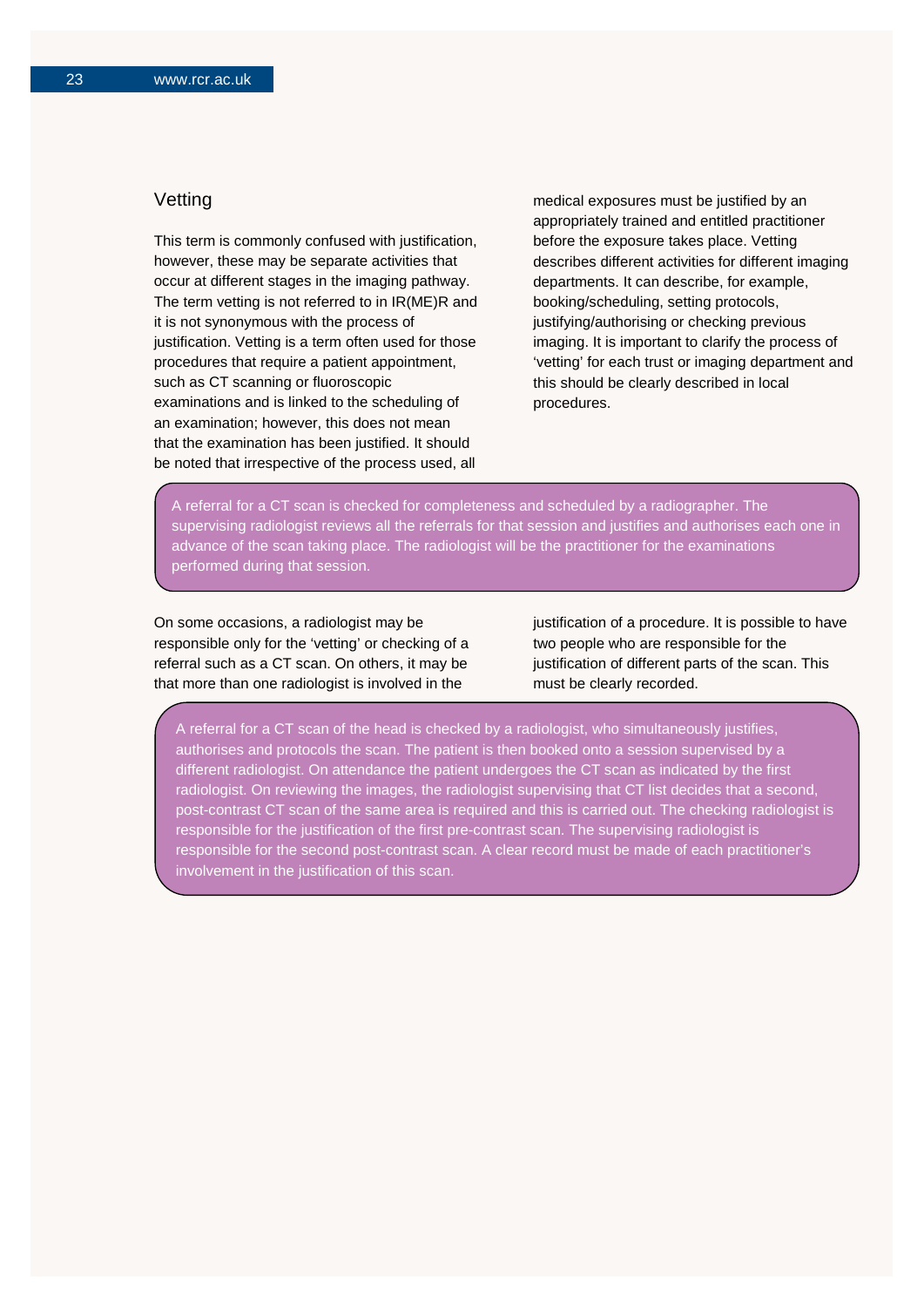## **Vetting**

This term is commonly confused with justification, however, these may be separate activities that occur at different stages in the imaging pathway. The term vetting is not referred to in IR(ME)R and it is not synonymous with the process of justification. Vetting is a term often used for those procedures that require a patient appointment, such as CT scanning or fluoroscopic examinations and is linked to the scheduling of an examination; however, this does not mean that the examination has been justified. It should be noted that irrespective of the process used, all

medical exposures must be justified by an appropriately trained and entitled practitioner before the exposure takes place. Vetting describes different activities for different imaging departments. It can describe, for example, booking/scheduling, setting protocols, justifying/authorising or checking previous imaging. It is important to clarify the process of 'vetting' for each trust or imaging department and this should be clearly described in local procedures.

A referral for a CT scan is checked for completeness and scheduled by a radiographer. The supervising radiologist reviews all the referrals for that session and justifies and authorises each one in advance of the scan taking place. The radiologist will be the practitioner for the examinations performed during that session.

On some occasions, a radiologist may be responsible only for the 'vetting' or checking of a referral such as a CT scan. On others, it may be that more than one radiologist is involved in the

justification of a procedure. It is possible to have two people who are responsible for the justification of different parts of the scan. This must be clearly recorded.

A referral for a CT scan of the head is checked by a radiologist, who simultaneously justifies, authorises and protocols the scan. The patient is then booked onto a session supervised by a different radiologist. On attendance the patient undergoes the CT scan as indicated by the first radiologist. On reviewing the images, the radiologist supervising that CT list decides that a second, post-contrast CT scan of the same area is required and this is carried out. The checking radiologist is responsible for the justification of the first pre-contrast scan. The supervising radiologist is responsible for the second post-contrast scan. A clear record must be made of each practitioner's involvement in the justification of this scan.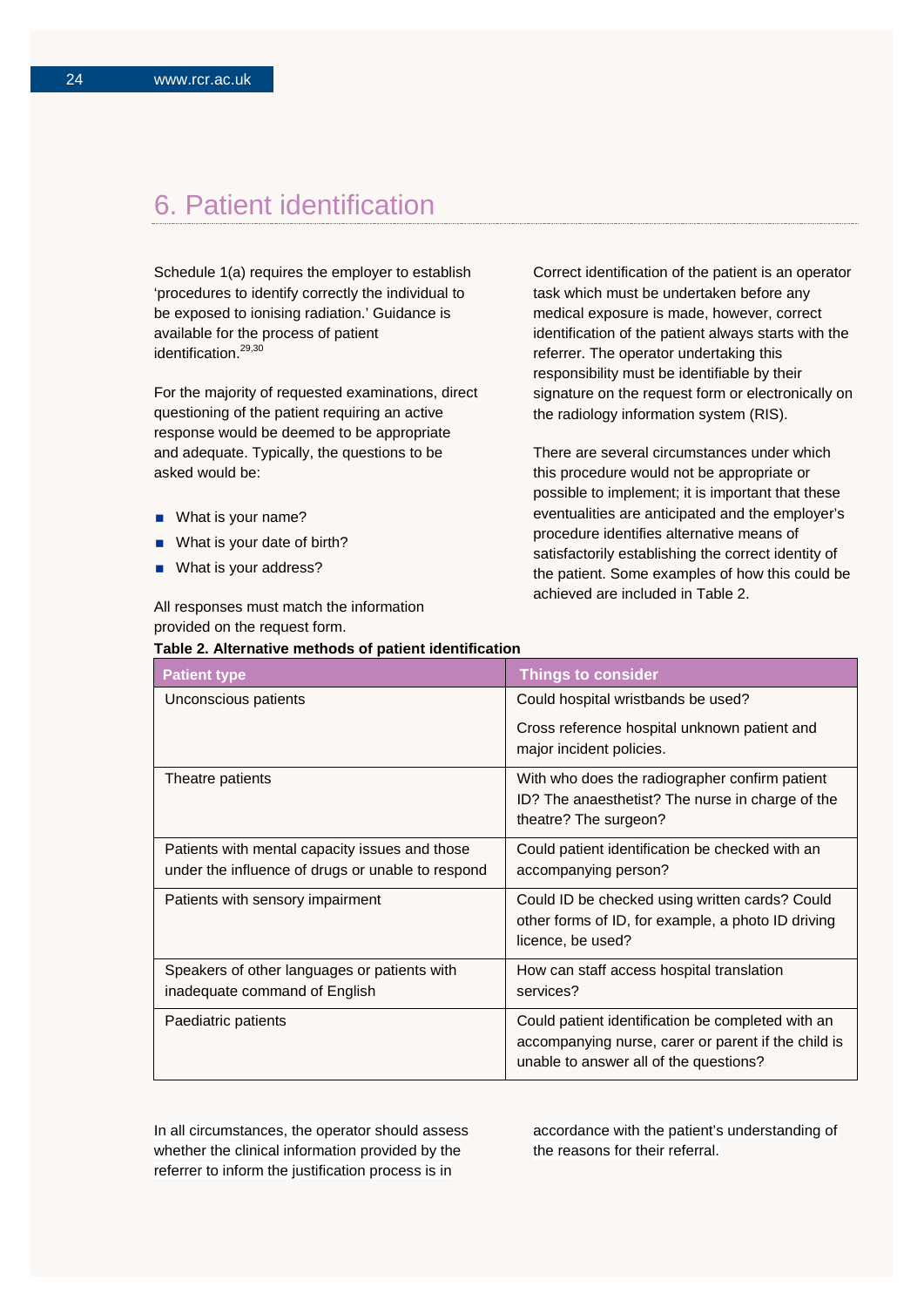## 6. Patient identification

Schedule 1(a) requires the employer to establish 'procedures to identify correctly the individual to be exposed to ionising radiation.' Guidance is available for the process of patient identification. 29,30

For the majority of requested examinations, direct questioning of the patient requiring an active response would be deemed to be appropriate and adequate. Typically, the questions to be asked would be:

- What is your name?
- What is your date of birth?
- What is your address?

All responses must match the information provided on the request form.

Correct identification of the patient is an operator task which must be undertaken before any medical exposure is made, however, correct identification of the patient always starts with the referrer. The operator undertaking this responsibility must be identifiable by their signature on the request form or electronically on the radiology information system (RIS).

There are several circumstances under which this procedure would not be appropriate or possible to implement; it is important that these eventualities are anticipated and the employer's procedure identifies alternative means of satisfactorily establishing the correct identity of the patient. Some examples of how this could be achieved are included in Table 2.

| Table 2. Alternative methods of patient identification                                              |                                                                                                                                                    |  |
|-----------------------------------------------------------------------------------------------------|----------------------------------------------------------------------------------------------------------------------------------------------------|--|
| <b>Patient type</b>                                                                                 | <b>Things to consider</b>                                                                                                                          |  |
| Unconscious patients                                                                                | Could hospital wristbands be used?                                                                                                                 |  |
|                                                                                                     | Cross reference hospital unknown patient and<br>major incident policies.                                                                           |  |
| Theatre patients                                                                                    | With who does the radiographer confirm patient<br>ID? The anaesthetist? The nurse in charge of the<br>theatre? The surgeon?                        |  |
| Patients with mental capacity issues and those<br>under the influence of drugs or unable to respond | Could patient identification be checked with an<br>accompanying person?                                                                            |  |
| Patients with sensory impairment                                                                    | Could ID be checked using written cards? Could<br>other forms of ID, for example, a photo ID driving<br>licence, be used?                          |  |
| Speakers of other languages or patients with<br>inadequate command of English                       | How can staff access hospital translation<br>services?                                                                                             |  |
| Paediatric patients                                                                                 | Could patient identification be completed with an<br>accompanying nurse, carer or parent if the child is<br>unable to answer all of the questions? |  |

In all circumstances, the operator should assess whether the clinical information provided by the referrer to inform the justification process is in

accordance with the patient's understanding of the reasons for their referral.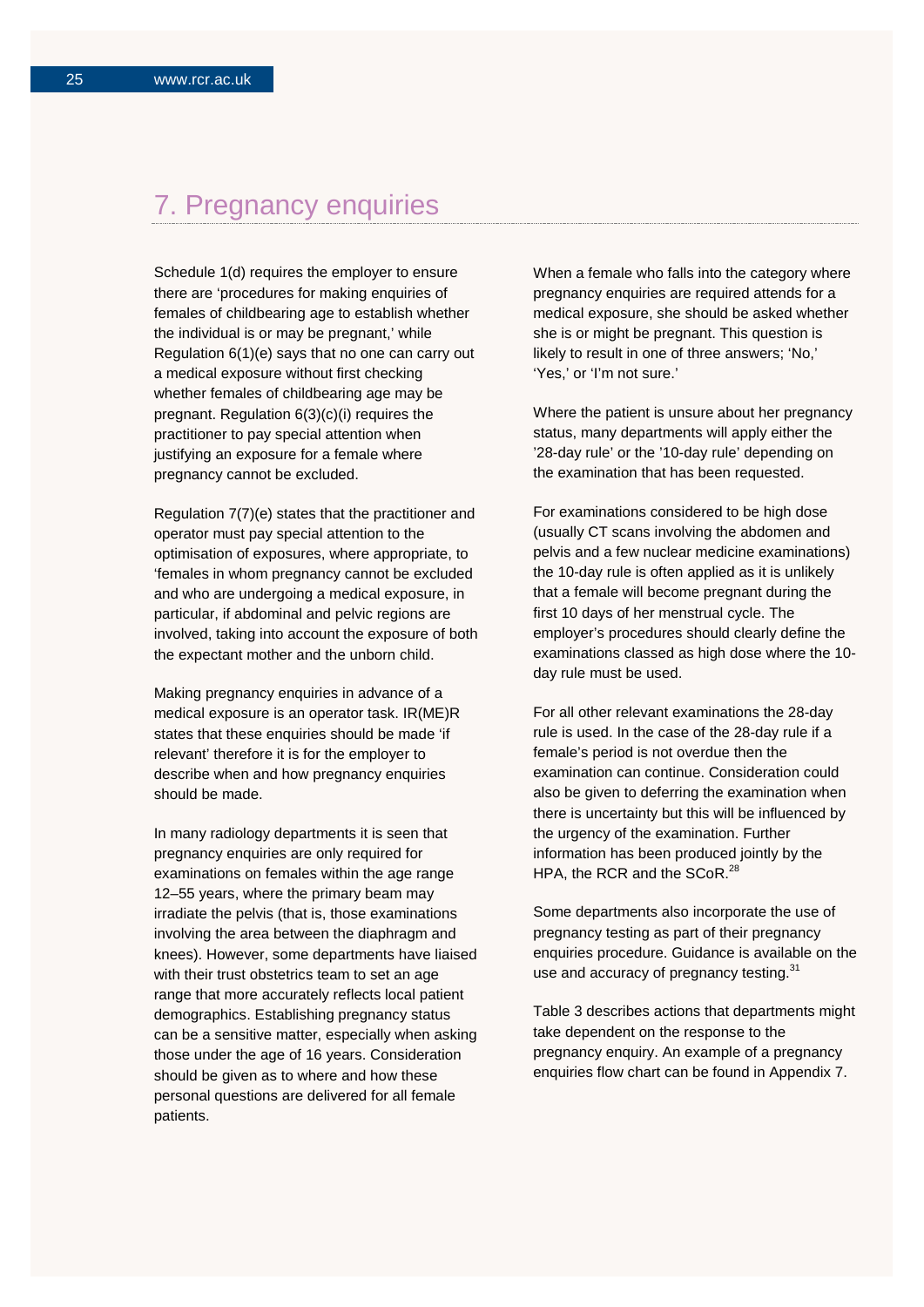## 7. Pregnancy enquiries

Schedule 1(d) requires the employer to ensure there are 'procedures for making enquiries of females of childbearing age to establish whether the individual is or may be pregnant,' while Regulation 6(1)(e) says that no one can carry out a medical exposure without first checking whether females of childbearing age may be pregnant. Regulation 6(3)(c)(i) requires the practitioner to pay special attention when justifying an exposure for a female where pregnancy cannot be excluded.

Regulation 7(7)(e) states that the practitioner and operator must pay special attention to the optimisation of exposures, where appropriate, to 'females in whom pregnancy cannot be excluded and who are undergoing a medical exposure, in particular, if abdominal and pelvic regions are involved, taking into account the exposure of both the expectant mother and the unborn child.

Making pregnancy enquiries in advance of a medical exposure is an operator task. IR(ME)R states that these enquiries should be made 'if relevant' therefore it is for the employer to describe when and how pregnancy enquiries should be made.

In many radiology departments it is seen that pregnancy enquiries are only required for examinations on females within the age range 12–55 years, where the primary beam may irradiate the pelvis (that is, those examinations involving the area between the diaphragm and knees). However, some departments have liaised with their trust obstetrics team to set an age range that more accurately reflects local patient demographics. Establishing pregnancy status can be a sensitive matter, especially when asking those under the age of 16 years. Consideration should be given as to where and how these personal questions are delivered for all female patients.

When a female who falls into the category where pregnancy enquiries are required attends for a medical exposure, she should be asked whether she is or might be pregnant. This question is likely to result in one of three answers; 'No,' 'Yes,' or 'I'm not sure.'

Where the patient is unsure about her pregnancy status, many departments will apply either the '28-day rule' or the '10-day rule' depending on the examination that has been requested.

For examinations considered to be high dose (usually CT scans involving the abdomen and pelvis and a few nuclear medicine examinations) the 10-day rule is often applied as it is unlikely that a female will become pregnant during the first 10 days of her menstrual cycle. The employer's procedures should clearly define the examinations classed as high dose where the 10 day rule must be used.

For all other relevant examinations the 28-day rule is used. In the case of the 28-day rule if a female's period is not overdue then the examination can continue. Consideration could also be given to deferring the examination when there is uncertainty but this will be influenced by the urgency of the examination. Further information has been produced jointly by the HPA, the RCR and the SCoR.<sup>28</sup>

Some departments also incorporate the use of pregnancy testing as part of their pregnancy enquiries procedure. Guidance is available on the use and accuracy of pregnancy testing.<sup>31</sup>

Table 3 describes actions that departments might take dependent on the response to the pregnancy enquiry. An example of a pregnancy enquiries flow chart can be found in Appendix 7.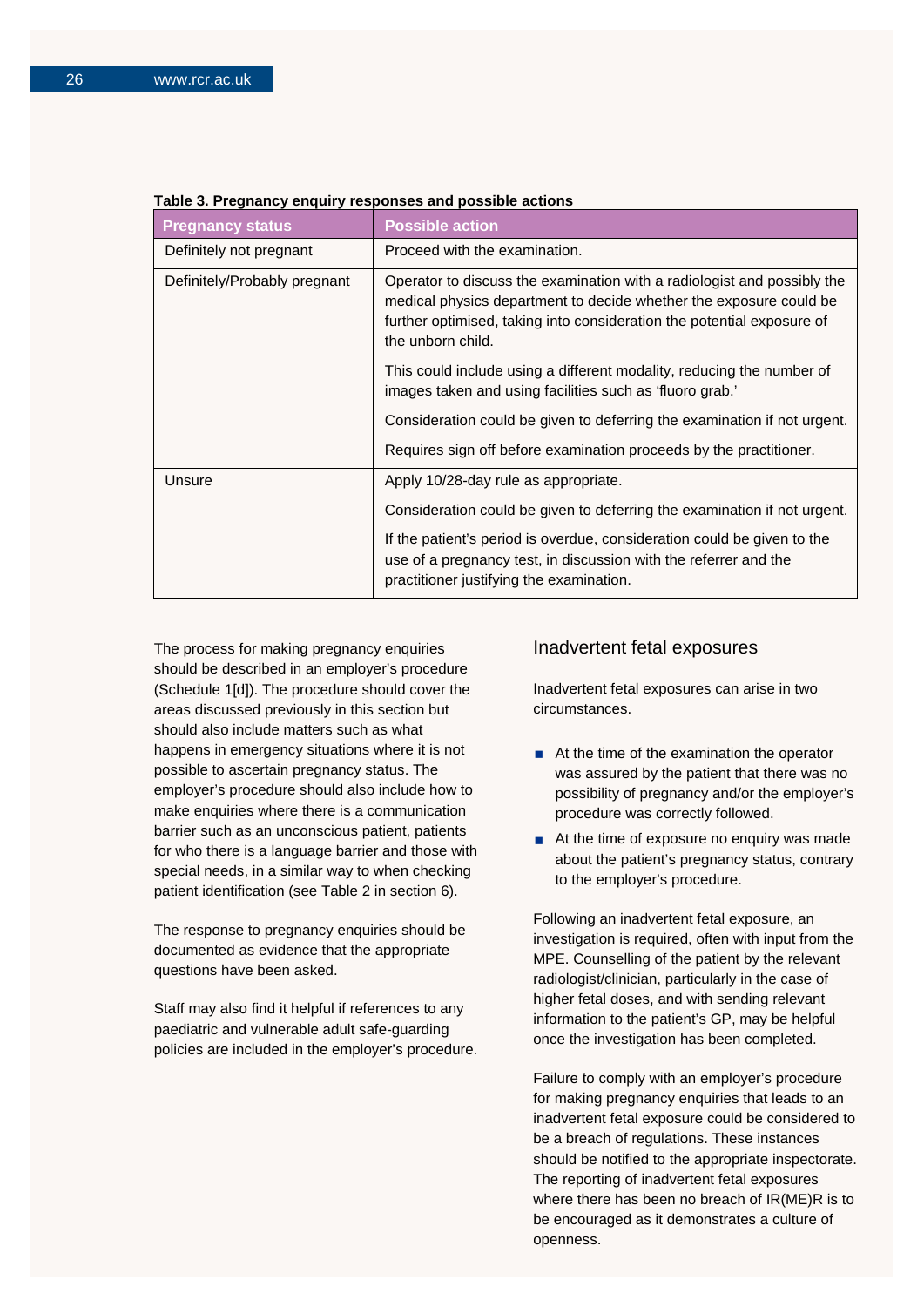| <b>Pregnancy status</b>      | <b>Possible action</b>                                                                                                                                                                                                                       |
|------------------------------|----------------------------------------------------------------------------------------------------------------------------------------------------------------------------------------------------------------------------------------------|
| Definitely not pregnant      | Proceed with the examination.                                                                                                                                                                                                                |
| Definitely/Probably pregnant | Operator to discuss the examination with a radiologist and possibly the<br>medical physics department to decide whether the exposure could be<br>further optimised, taking into consideration the potential exposure of<br>the unborn child. |
|                              | This could include using a different modality, reducing the number of<br>images taken and using facilities such as 'fluoro grab.'                                                                                                            |
|                              | Consideration could be given to deferring the examination if not urgent.                                                                                                                                                                     |
|                              | Requires sign off before examination proceeds by the practitioner.                                                                                                                                                                           |
| Unsure                       | Apply 10/28-day rule as appropriate.                                                                                                                                                                                                         |
|                              | Consideration could be given to deferring the examination if not urgent.                                                                                                                                                                     |
|                              | If the patient's period is overdue, consideration could be given to the<br>use of a pregnancy test, in discussion with the referrer and the<br>practitioner justifying the examination.                                                      |

### **Table 3. Pregnancy enquiry responses and possible actions**

The process for making pregnancy enquiries should be described in an employer's procedure (Schedule 1[d]). The procedure should cover the areas discussed previously in this section but should also include matters such as what happens in emergency situations where it is not possible to ascertain pregnancy status. The employer's procedure should also include how to make enquiries where there is a communication barrier such as an unconscious patient, patients for who there is a language barrier and those with special needs, in a similar way to when checking patient identification (see Table 2 in section 6).

The response to pregnancy enquiries should be documented as evidence that the appropriate questions have been asked.

Staff may also find it helpful if references to any paediatric and vulnerable adult safe-guarding policies are included in the employer's procedure.

#### Inadvertent fetal exposures

Inadvertent fetal exposures can arise in two circumstances.

- $\blacksquare$  At the time of the examination the operator was assured by the patient that there was no possibility of pregnancy and/or the employer's procedure was correctly followed.
- At the time of exposure no enquiry was made about the patient's pregnancy status, contrary to the employer's procedure.

Following an inadvertent fetal exposure, an investigation is required, often with input from the MPE. Counselling of the patient by the relevant radiologist/clinician, particularly in the case of higher fetal doses, and with sending relevant information to the patient's GP, may be helpful once the investigation has been completed.

Failure to comply with an employer's procedure for making pregnancy enquiries that leads to an inadvertent fetal exposure could be considered to be a breach of regulations. These instances should be notified to the appropriate inspectorate. The reporting of inadvertent fetal exposures where there has been no breach of IR(ME)R is to be encouraged as it demonstrates a culture of openness.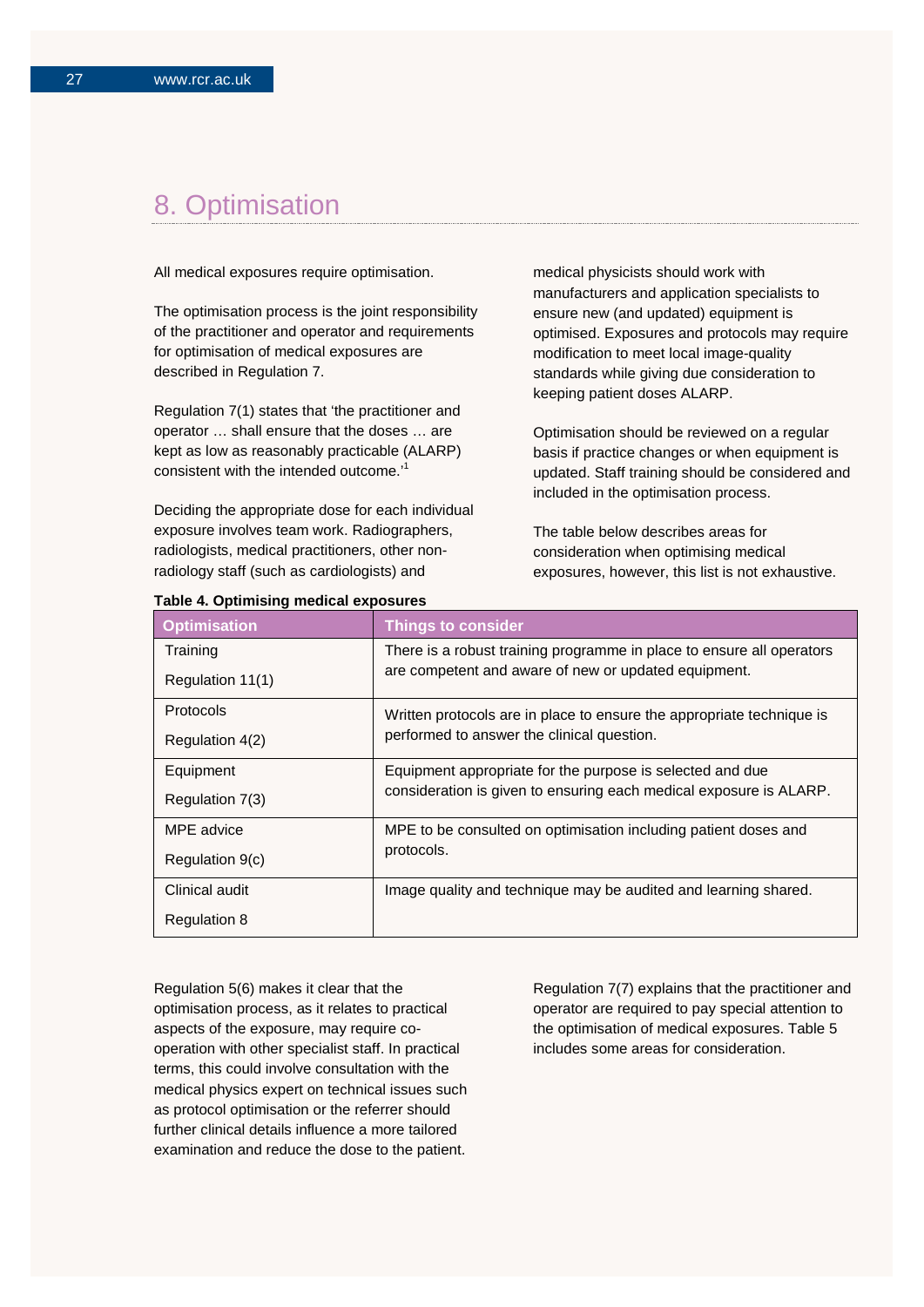## 8. Optimisation

All medical exposures require optimisation.

The optimisation process is the joint responsibility of the practitioner and operator and requirements for optimisation of medical exposures are described in Regulation 7.

Regulation 7(1) states that 'the practitioner and operator … shall ensure that the doses … are kept as low as reasonably practicable (ALARP) consistent with the intended outcome.'<sup>1</sup>

Deciding the appropriate dose for each individual exposure involves team work. Radiographers, radiologists, medical practitioners, other nonradiology staff (such as cardiologists) and

medical physicists should work with manufacturers and application specialists to ensure new (and updated) equipment is optimised. Exposures and protocols may require modification to meet local image-quality standards while giving due consideration to keeping patient doses ALARP.

Optimisation should be reviewed on a regular basis if practice changes or when equipment is updated. Staff training should be considered and included in the optimisation process.

The table below describes areas for consideration when optimising medical exposures, however, this list is not exhaustive.

| rable 4. Optimising medical exposures |                                                                       |  |  |  |
|---------------------------------------|-----------------------------------------------------------------------|--|--|--|
| <b>Optimisation</b>                   | <b>Things to consider</b>                                             |  |  |  |
| Training                              | There is a robust training programme in place to ensure all operators |  |  |  |
| Regulation 11(1)                      | are competent and aware of new or updated equipment.                  |  |  |  |
| Protocols                             | Written protocols are in place to ensure the appropriate technique is |  |  |  |
| Regulation 4(2)                       | performed to answer the clinical question.                            |  |  |  |
| Equipment                             | Equipment appropriate for the purpose is selected and due             |  |  |  |
| Regulation 7(3)                       | consideration is given to ensuring each medical exposure is ALARP.    |  |  |  |
| MPE advice                            | MPE to be consulted on optimisation including patient doses and       |  |  |  |
| Regulation 9(c)                       | protocols.                                                            |  |  |  |
| Clinical audit                        | Image quality and technique may be audited and learning shared.       |  |  |  |
| <b>Regulation 8</b>                   |                                                                       |  |  |  |

**Table 4. Optimising medical exposures**

Regulation 5(6) makes it clear that the optimisation process, as it relates to practical aspects of the exposure, may require cooperation with other specialist staff. In practical terms, this could involve consultation with the medical physics expert on technical issues such as protocol optimisation or the referrer should further clinical details influence a more tailored examination and reduce the dose to the patient.

Regulation 7(7) explains that the practitioner and operator are required to pay special attention to the optimisation of medical exposures. Table 5 includes some areas for consideration.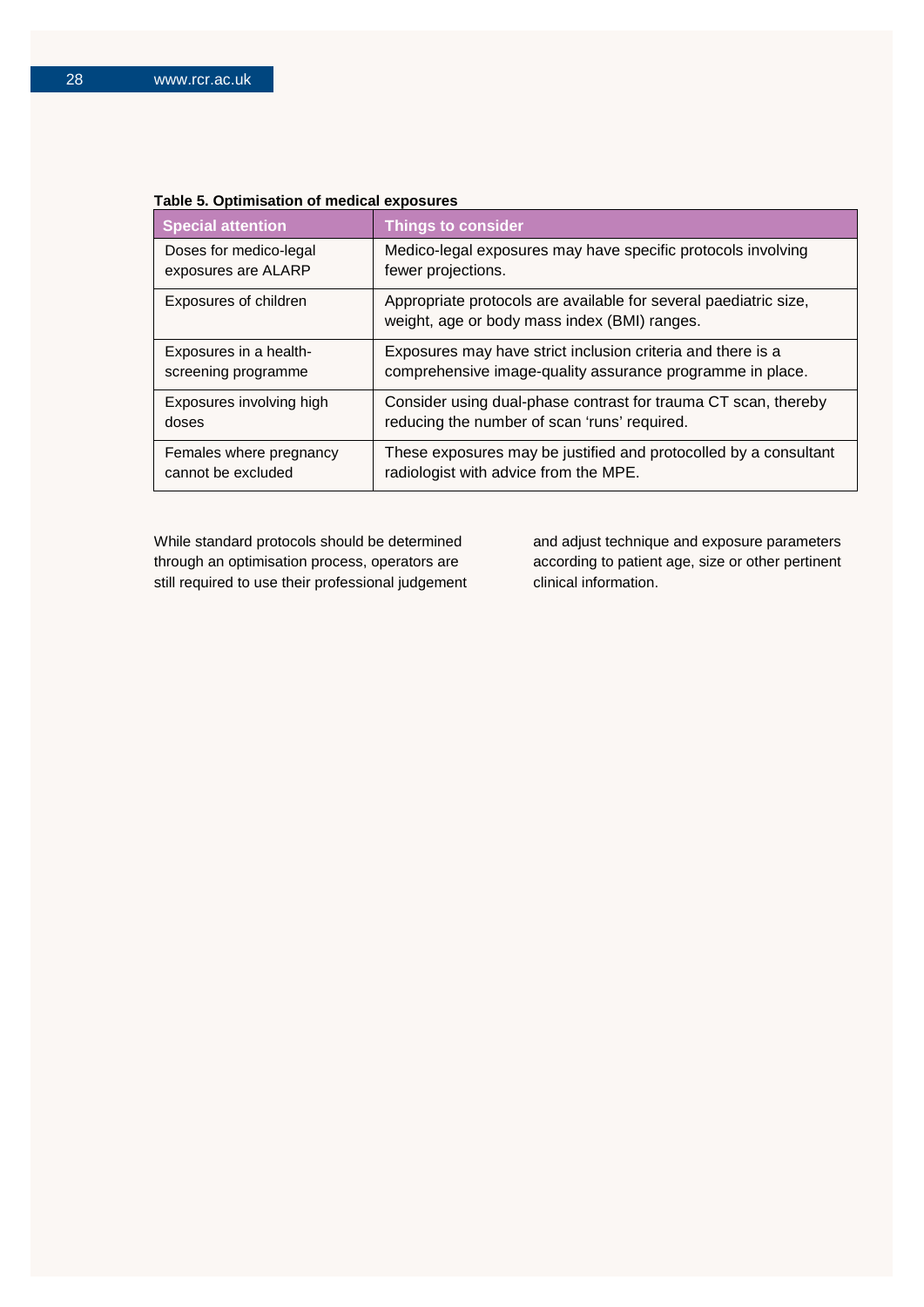| <b>Special attention</b> | <b>Things to consider</b>                                                                                        |
|--------------------------|------------------------------------------------------------------------------------------------------------------|
| Doses for medico-legal   | Medico-legal exposures may have specific protocols involving                                                     |
| exposures are ALARP      | fewer projections.                                                                                               |
| Exposures of children    | Appropriate protocols are available for several paediatric size,<br>weight, age or body mass index (BMI) ranges. |
| Exposures in a health-   | Exposures may have strict inclusion criteria and there is a                                                      |
| screening programme      | comprehensive image-quality assurance programme in place.                                                        |
| Exposures involving high | Consider using dual-phase contrast for trauma CT scan, thereby                                                   |
| doses                    | reducing the number of scan 'runs' required.                                                                     |
| Females where pregnancy  | These exposures may be justified and protocolled by a consultant                                                 |
| cannot be excluded       | radiologist with advice from the MPE.                                                                            |

### **Table 5. Optimisation of medical exposures**

While standard protocols should be determined through an optimisation process, operators are still required to use their professional judgement and adjust technique and exposure parameters according to patient age, size or other pertinent clinical information.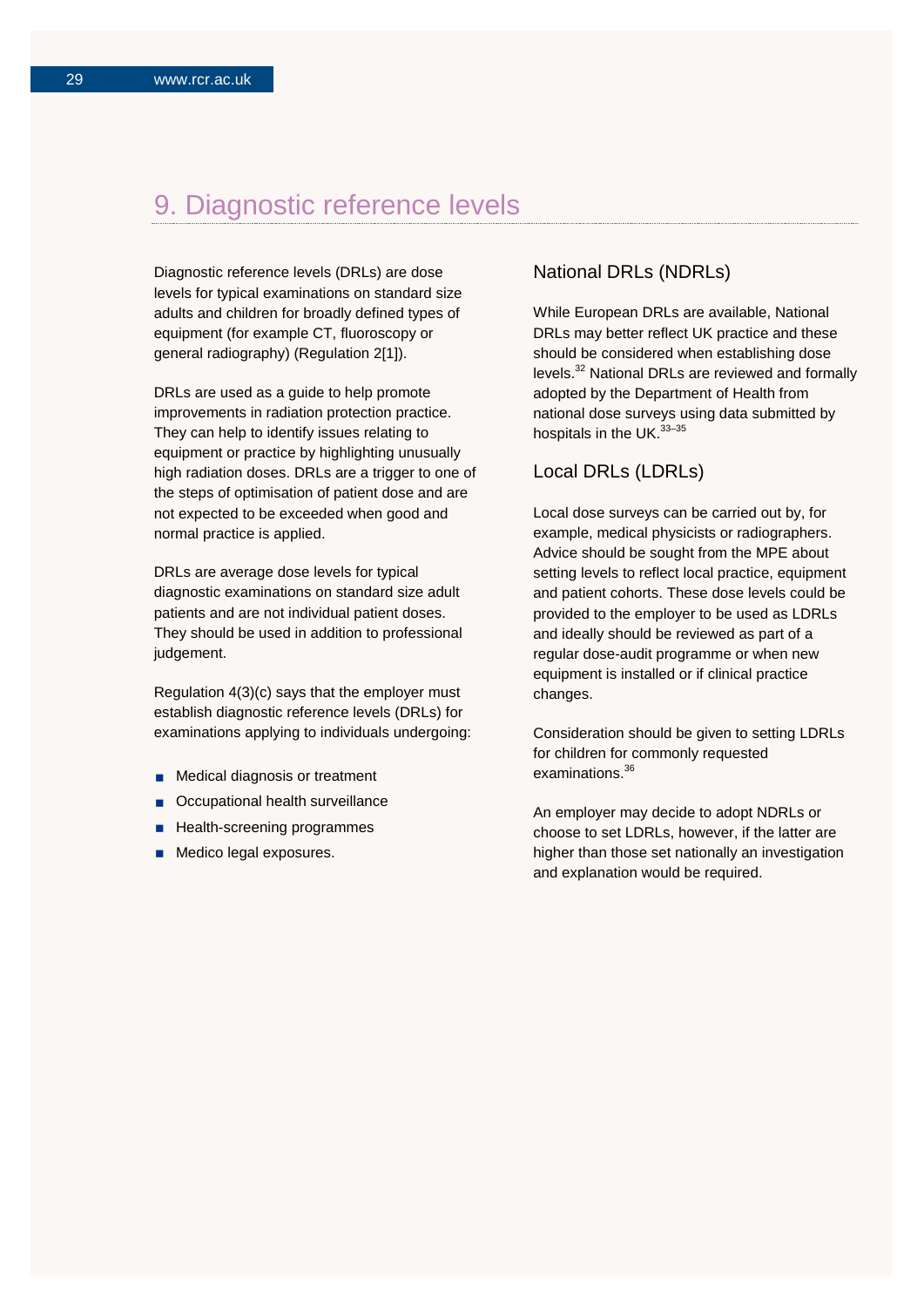## 9. Diagnostic reference levels

Diagnostic reference levels (DRLs) are dose levels for typical examinations on standard size adults and children for broadly defined types of equipment (for example CT, fluoroscopy or general radiography) (Regulation 2[1]).

DRLs are used as a guide to help promote improvements in radiation protection practice. They can help to identify issues relating to equipment or practice by highlighting unusually high radiation doses. DRLs are a trigger to one of the steps of optimisation of patient dose and are not expected to be exceeded when good and normal practice is applied.

DRLs are average dose levels for typical diagnostic examinations on standard size adult patients and are not individual patient doses. They should be used in addition to professional judgement.

Regulation 4(3)(c) says that the employer must establish diagnostic reference levels (DRLs) for examinations applying to individuals undergoing:

- **Medical diagnosis or treatment**
- Occupational health surveillance
- Health-screening programmes
- Medico legal exposures.

## National DRLs (NDRLs)

While European DRLs are available, National DRLs may better reflect UK practice and these should be considered when establishing dose levels. <sup>32</sup> National DRLs are reviewed and formally adopted by the Department of Health from national dose surveys using data submitted by hospitals in the UK.<sup>33-35</sup>

## Local DRLs (LDRLs)

Local dose surveys can be carried out by, for example, medical physicists or radiographers. Advice should be sought from the MPE about setting levels to reflect local practice, equipment and patient cohorts. These dose levels could be provided to the employer to be used as LDRLs and ideally should be reviewed as part of a regular dose-audit programme or when new equipment is installed or if clinical practice changes.

Consideration should be given to setting LDRLs for children for commonly requested examinations. 36

An employer may decide to adopt NDRLs or choose to set LDRLs, however, if the latter are higher than those set nationally an investigation and explanation would be required.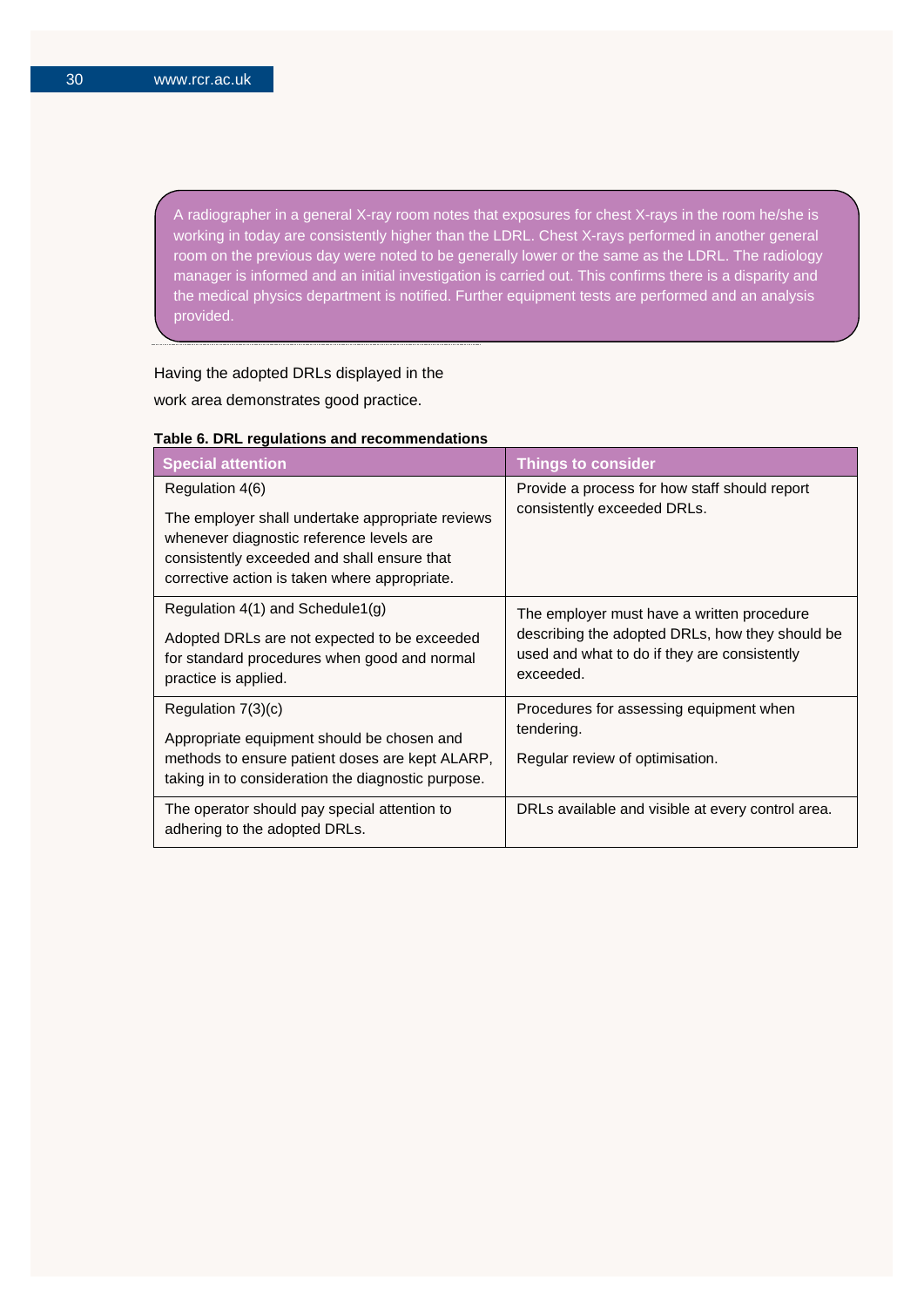A radiographer in a general X-ray room notes that exposures for chest X-rays in the room he/she is working in today are consistently higher than the LDRL. Chest X-rays performed in another general room on the previous day were noted to be generally lower or the same as the LDRL. The radiology manager is informed and an initial investigation is carried out. This confirms there is a disparity and the medical physics department is notified. Further equipment tests are performed and an analysis provided.

## Having the adopted DRLs displayed in the

work area demonstrates good practice.

| <b>Special attention</b>                                                                                                                                                                                        | <b>Things to consider</b>                                                                                                                                  |
|-----------------------------------------------------------------------------------------------------------------------------------------------------------------------------------------------------------------|------------------------------------------------------------------------------------------------------------------------------------------------------------|
| Regulation 4(6)<br>The employer shall undertake appropriate reviews<br>whenever diagnostic reference levels are<br>consistently exceeded and shall ensure that<br>corrective action is taken where appropriate. | Provide a process for how staff should report<br>consistently exceeded DRLs.                                                                               |
| Regulation $4(1)$ and Schedule1(g)<br>Adopted DRLs are not expected to be exceeded<br>for standard procedures when good and normal<br>practice is applied.                                                      | The employer must have a written procedure<br>describing the adopted DRLs, how they should be<br>used and what to do if they are consistently<br>exceeded. |
| Regulation $7(3)(c)$<br>Appropriate equipment should be chosen and<br>methods to ensure patient doses are kept ALARP,<br>taking in to consideration the diagnostic purpose.                                     | Procedures for assessing equipment when<br>tendering.<br>Regular review of optimisation.                                                                   |
| The operator should pay special attention to<br>adhering to the adopted DRLs.                                                                                                                                   | DRLs available and visible at every control area.                                                                                                          |

### **Table 6. DRL regulations and recommendations**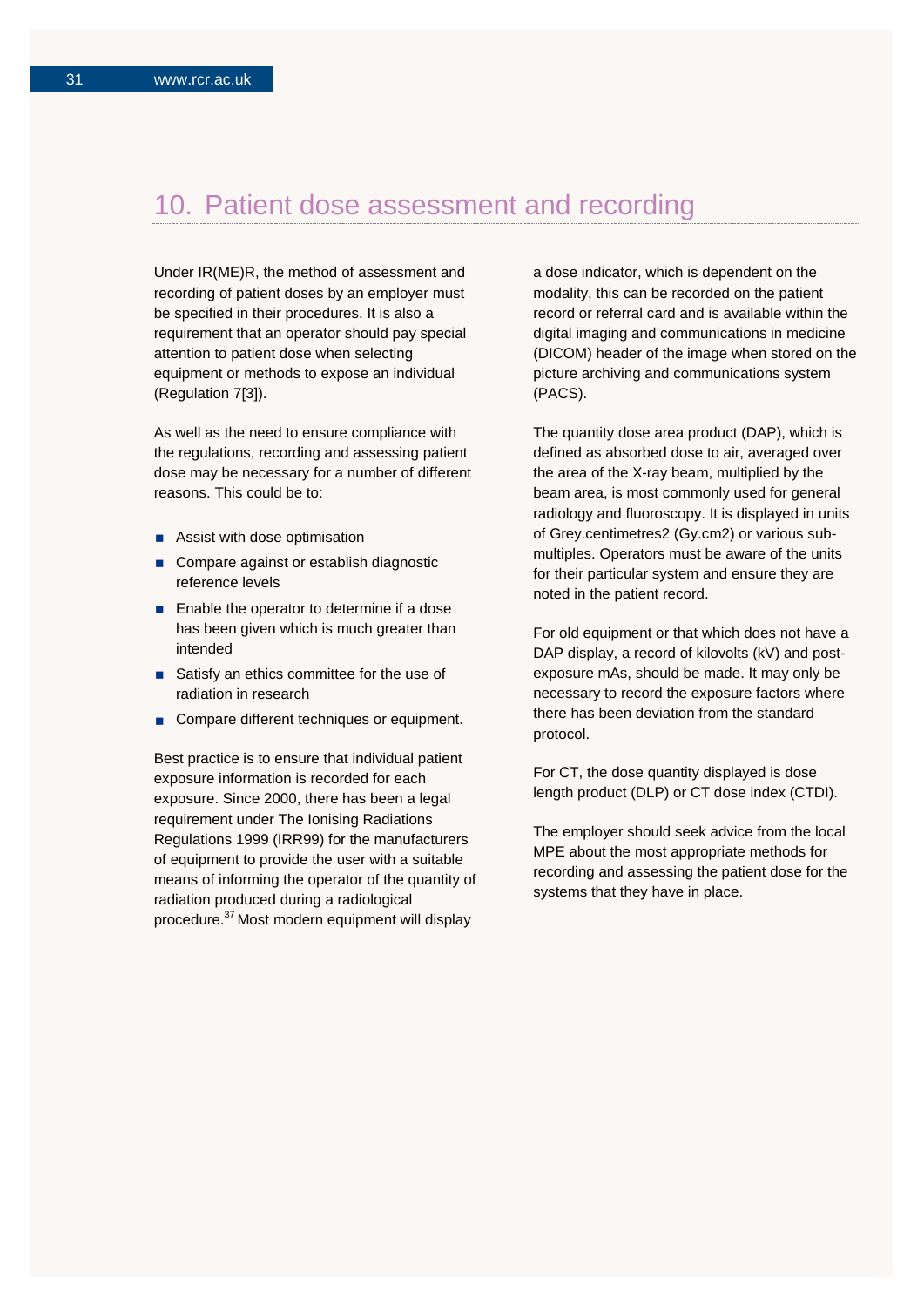## 10. Patient dose assessment and recording

Under IR(ME)R, the method of assessment and recording of patient doses by an employer must be specified in their procedures. It is also a requirement that an operator should pay special attention to patient dose when selecting equipment or methods to expose an individual (Regulation 7[3]).

As well as the need to ensure compliance with the regulations, recording and assessing patient dose may be necessary for a number of different reasons. This could be to:

- Assist with dose optimisation
- Compare against or establish diagnostic reference levels
- **Enable the operator to determine if a dose** has been given which is much greater than intended
- Satisfy an ethics committee for the use of radiation in research
- Compare different techniques or equipment.

Best practice is to ensure that individual patient exposure information is recorded for each exposure. Since 2000, there has been a legal requirement under The Ionising Radiations Regulations 1999 (IRR99) for the manufacturers of equipment to provide the user with a suitable means of informing the operator of the quantity of radiation produced during a radiological procedure. 37 Most modern equipment will display

a dose indicator, which is dependent on the modality, this can be recorded on the patient record or referral card and is available within the digital imaging and communications in medicine (DICOM) header of the image when stored on the picture archiving and communications system (PACS).

The quantity dose area product (DAP), which is defined as absorbed dose to air, averaged over the area of the X-ray beam, multiplied by the beam area, is most commonly used for general radiology and fluoroscopy. It is displayed in units of Grey.centimetres2 (Gy.cm2) or various submultiples. Operators must be aware of the units for their particular system and ensure they are noted in the patient record.

For old equipment or that which does not have a DAP display, a record of kilovolts (kV) and postexposure mAs, should be made. It may only be necessary to record the exposure factors where there has been deviation from the standard protocol.

For CT, the dose quantity displayed is dose length product (DLP) or CT dose index (CTDI).

The employer should seek advice from the local MPE about the most appropriate methods for recording and assessing the patient dose for the systems that they have in place.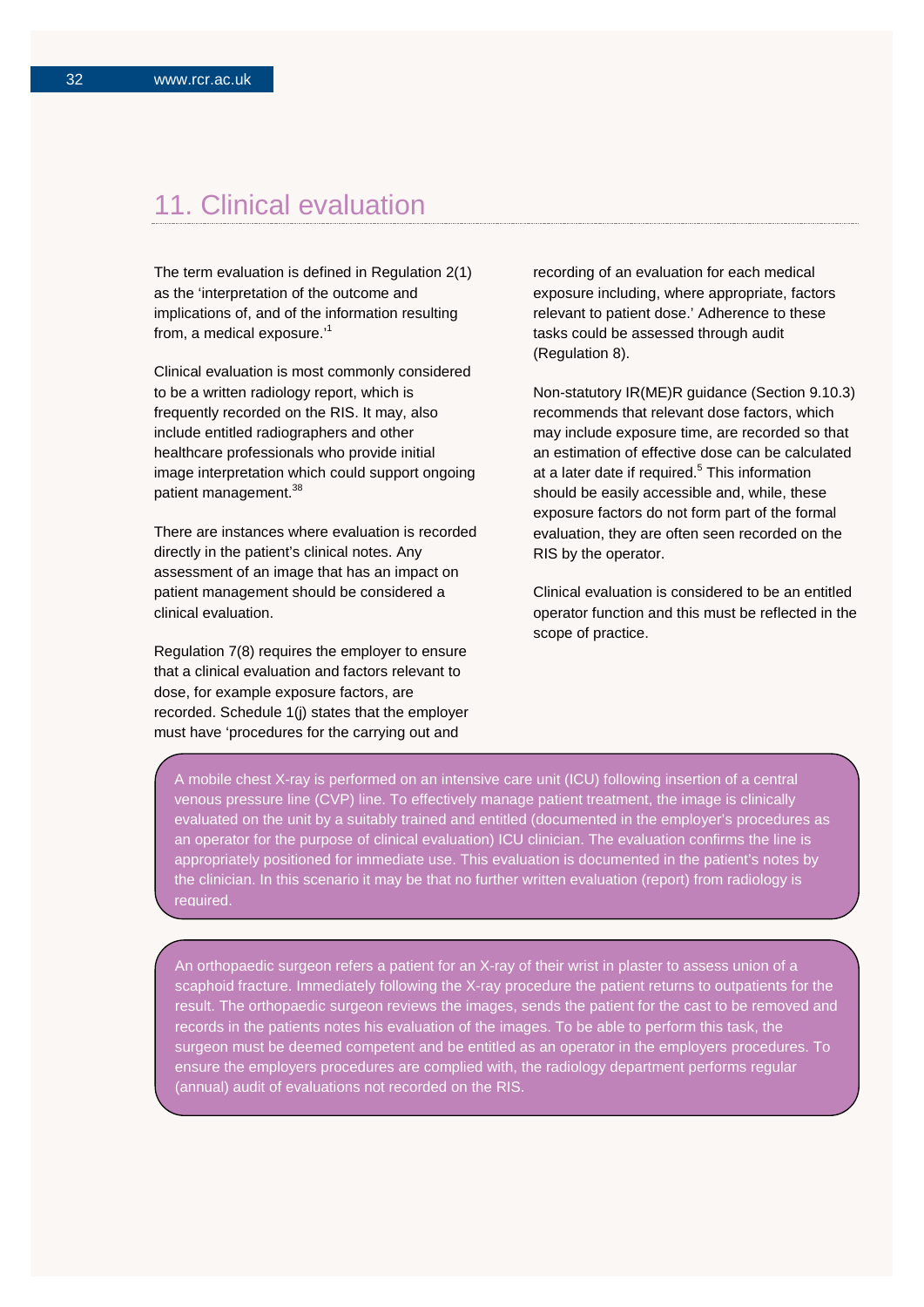## 11. Clinical evaluation

The term evaluation is defined in Regulation 2(1) as the 'interpretation of the outcome and implications of, and of the information resulting from, a medical exposure.'<sup>1</sup>

Clinical evaluation is most commonly considered to be a written radiology report, which is frequently recorded on the RIS. It may, also include entitled radiographers and other healthcare professionals who provide initial image interpretation which could support ongoing patient management.<sup>38</sup>

There are instances where evaluation is recorded directly in the patient's clinical notes. Any assessment of an image that has an impact on patient management should be considered a clinical evaluation.

Regulation 7(8) requires the employer to ensure that a clinical evaluation and factors relevant to dose, for example exposure factors, are recorded. Schedule 1(j) states that the employer must have 'procedures for the carrying out and

recording of an evaluation for each medical exposure including, where appropriate, factors relevant to patient dose.' Adherence to these tasks could be assessed through audit (Regulation 8).

Non-statutory IR(ME)R guidance (Section 9.10.3) recommends that relevant dose factors, which may include exposure time, are recorded so that an estimation of effective dose can be calculated at a later date if required.<sup>5</sup> This information should be easily accessible and, while, these exposure factors do not form part of the formal evaluation, they are often seen recorded on the RIS by the operator.

Clinical evaluation is considered to be an entitled operator function and this must be reflected in the scope of practice.

A mobile chest X-ray is performed on an intensive care unit (ICU) following insertion of a central venous pressure line (CVP) line. To effectively manage patient treatment, the image is clinically evaluated on the unit by a suitably trained and entitled (documented in the employer's procedures as an operator for the purpose of clinical evaluation) ICU clinician. The evaluation confirms the line is appropriately positioned for immediate use. This evaluation is documented in the patient's notes by the clinician. In this scenario it may be that no further written evaluation (report) from radiology is required.

An orthopaedic surgeon refers a patient for an X-ray of their wrist in plaster to assess union of a scaphoid fracture. Immediately following the X-ray procedure the patient returns to outpatients for the result. The orthopaedic surgeon reviews the images, sends the patient for the cast to be removed and records in the patients notes his evaluation of the images. To be able to perform this task, the surgeon must be deemed competent and be entitled as an operator in the employers procedures. To ensure the employers procedures are complied with, the radiology department performs regular (annual) audit of evaluations not recorded on the RIS.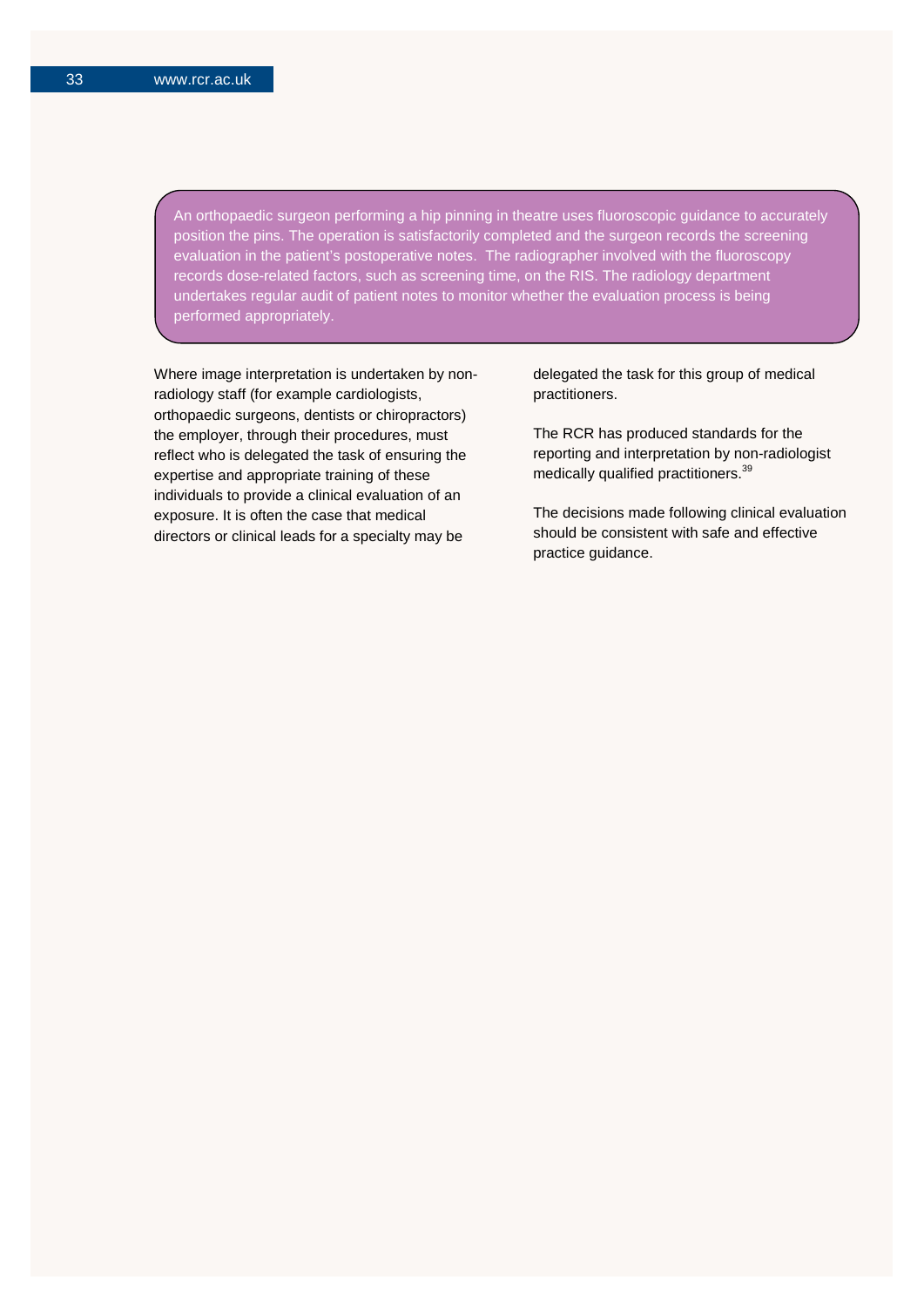An orthopaedic surgeon performing a hip pinning in theatre uses fluoroscopic guidance to accurately position the pins. The operation is satisfactorily completed and the surgeon records the screening evaluation in the patient's postoperative notes. The radiographer involved with the fluoroscopy records dose-related factors, such as screening time, on the RIS. The radiology department undertakes regular audit of patient notes to monitor whether the evaluation process is being performed appropriately.

Where image interpretation is undertaken by nonradiology staff (for example cardiologists, orthopaedic surgeons, dentists or chiropractors) the employer, through their procedures, must reflect who is delegated the task of ensuring the expertise and appropriate training of these individuals to provide a clinical evaluation of an exposure. It is often the case that medical directors or clinical leads for a specialty may be

delegated the task for this group of medical practitioners.

The RCR has produced standards for the reporting and interpretation by non-radiologist medically qualified practitioners.<sup>39</sup>

The decisions made following clinical evaluation should be consistent with safe and effective practice guidance.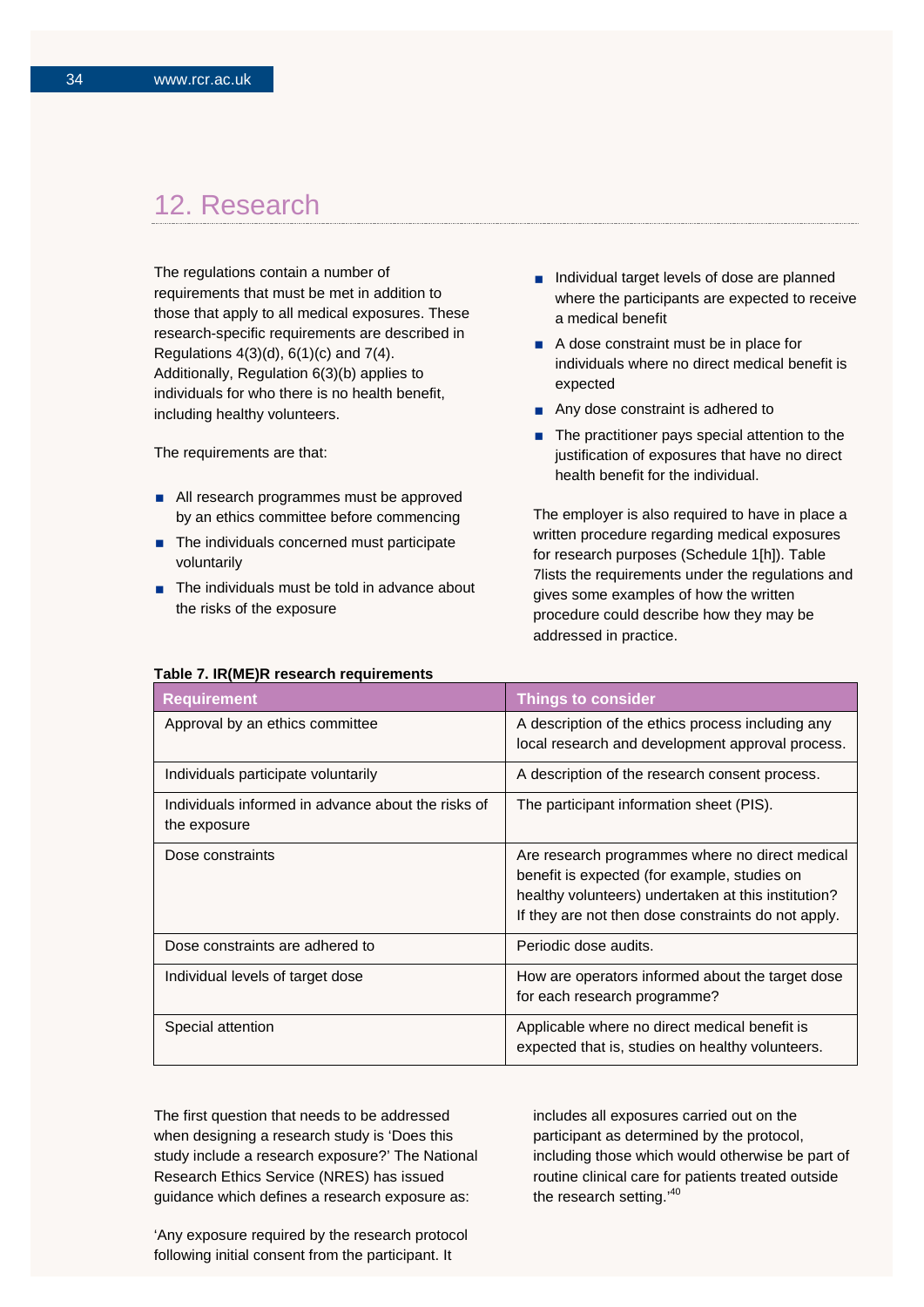## 12. Research

The regulations contain a number of requirements that must be met in addition to those that apply to all medical exposures. These research-specific requirements are described in Regulations 4(3)(d), 6(1)(c) and 7(4). Additionally, Regulation 6(3)(b) applies to individuals for who there is no health benefit, including healthy volunteers.

The requirements are that:

- All research programmes must be approved by an ethics committee before commencing
- The individuals concerned must participate voluntarily
- $\blacksquare$  The individuals must be told in advance about the risks of the exposure
- Individual target levels of dose are planned where the participants are expected to receive a medical benefit
- A dose constraint must be in place for individuals where no direct medical benefit is expected
- Any dose constraint is adhered to
- $\blacksquare$  The practitioner pays special attention to the justification of exposures that have no direct health benefit for the individual.

The employer is also required to have in place a written procedure regarding medical exposures for research purposes (Schedule 1[h]). Table 7lists the requirements under the regulations and gives some examples of how the written procedure could describe how they may be addressed in practice.

| <b>Requirement</b>                                                 | <b>Things to consider</b>                                                                                                                                                                                     |
|--------------------------------------------------------------------|---------------------------------------------------------------------------------------------------------------------------------------------------------------------------------------------------------------|
| Approval by an ethics committee                                    | A description of the ethics process including any<br>local research and development approval process.                                                                                                         |
| Individuals participate voluntarily                                | A description of the research consent process.                                                                                                                                                                |
| Individuals informed in advance about the risks of<br>the exposure | The participant information sheet (PIS).                                                                                                                                                                      |
| Dose constraints                                                   | Are research programmes where no direct medical<br>benefit is expected (for example, studies on<br>healthy volunteers) undertaken at this institution?<br>If they are not then dose constraints do not apply. |
| Dose constraints are adhered to                                    | Periodic dose audits.                                                                                                                                                                                         |
| Individual levels of target dose                                   | How are operators informed about the target dose<br>for each research programme?                                                                                                                              |
| Special attention                                                  | Applicable where no direct medical benefit is<br>expected that is, studies on healthy volunteers.                                                                                                             |

The first question that needs to be addressed when designing a research study is 'Does this study include a research exposure?' The National Research Ethics Service (NRES) has issued guidance which defines a research exposure as:

includes all exposures carried out on the participant as determined by the protocol, including those which would otherwise be part of routine clinical care for patients treated outside the research setting.'40

'Any exposure required by the research protocol following initial consent from the participant. It

#### **Table 7. IR(ME)R research requirements**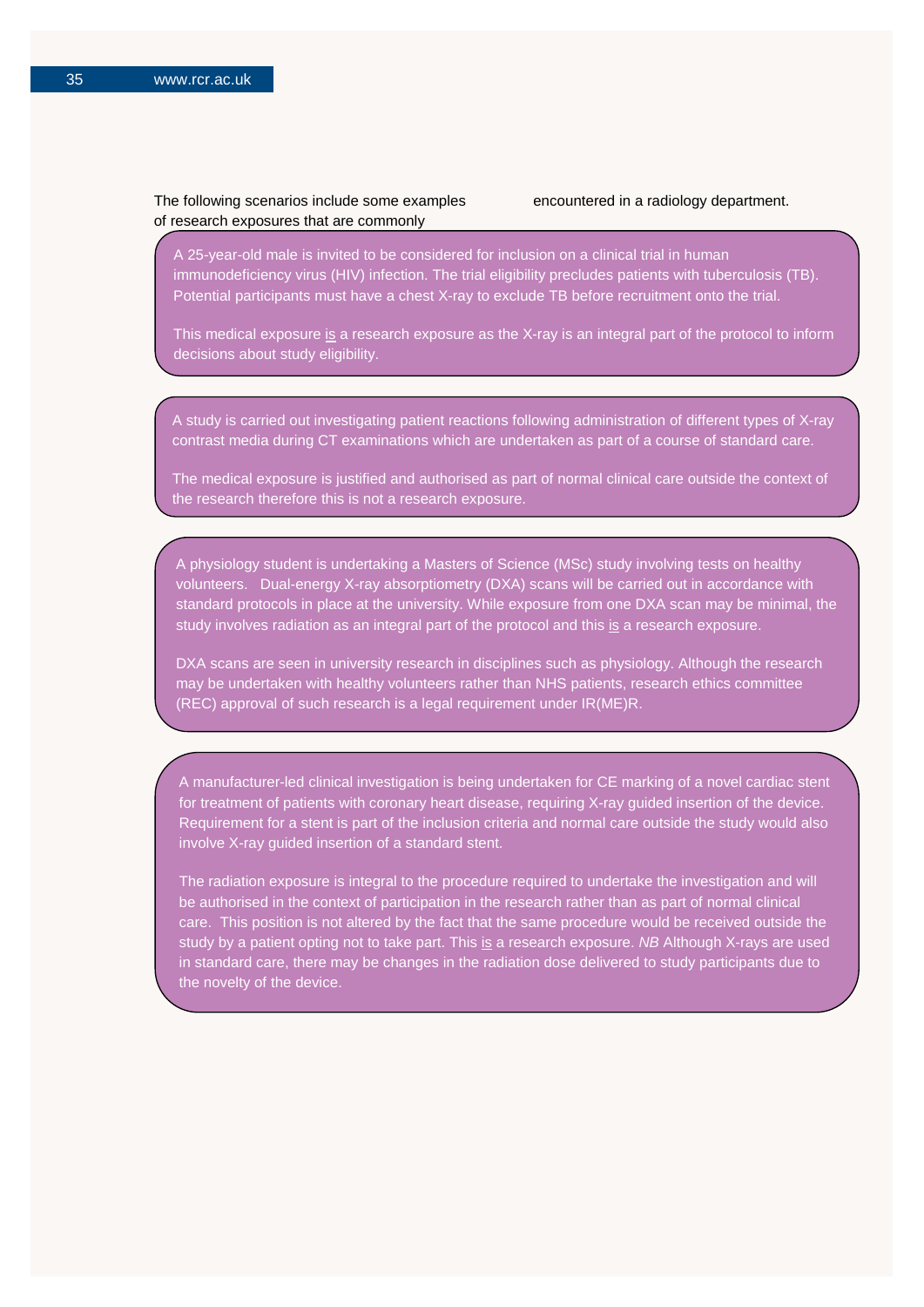## The following scenarios include some examples of research exposures that are commonly

encountered in a radiology department.

A 25-year-old male is invited to be considered for inclusion on a clinical trial in human immunodeficiency virus (HIV) infection. The trial eligibility precludes patients with tuberculosis (TB). Potential participants must have a chest X-ray to exclude TB before recruitment onto the trial.

This medical exposure is a research exposure as the X-ray is an integral part of the protocol to inform decisions about study eligibility.

A study is carried out investigating patient reactions following administration of different types of X-ray contrast media during CT examinations which are undertaken as part of a course of standard care.

The medical exposure is justified and authorised as part of normal clinical care outside the context of the research therefore this is not a research exposure.

A physiology student is undertaking a Masters of Science (MSc) study involving tests on healthy volunteers. Dual-energy X-ray absorptiometry (DXA) scans will be carried out in accordance with standard protocols in place at the university. While exposure from one DXA scan may be minimal, the study involves radiation as an integral part of the protocol and this is a research exposure.

DXA scans are seen in university research in disciplines such as physiology. Although the research may be undertaken with healthy volunteers rather than NHS patients, research ethics committee (REC) approval of such research is a legal requirement under IR(ME)R.

A manufacturer-led clinical investigation is being undertaken for CE marking of a novel cardiac stent for treatment of patients with coronary heart disease, requiring X-ray guided insertion of the device. Requirement for a stent is part of the inclusion criteria and normal care outside the study would also involve X-ray guided insertion of a standard stent.

The radiation exposure is integral to the procedure required to undertake the investigation and will be authorised in the context of participation in the research rather than as part of normal clinical care. This position is not altered by the fact that the same procedure would be received outside the study by a patient opting not to take part. This is a research exposure. *NB* Although X-rays are used in standard care, there may be changes in the radiation dose delivered to study participants due to the novelty of the device.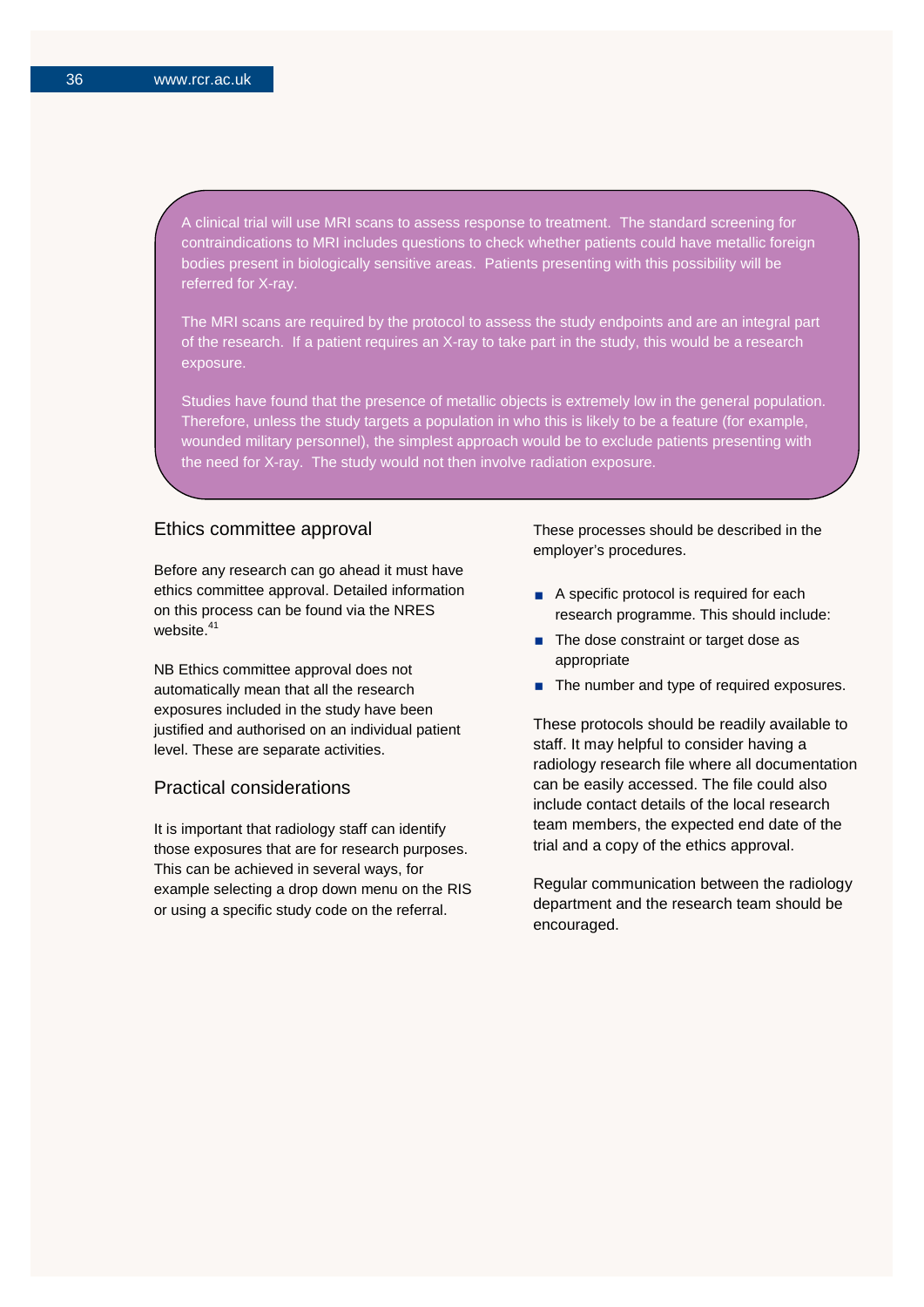A clinical trial will use MRI scans to assess response to treatment. The standard screening for contraindications to MRI includes questions to check whether patients could have metallic foreign bodies present in biologically sensitive areas. Patients presenting with this possibility will be referred for X-ray.

The MRI scans are required by the protocol to assess the study endpoints and are an integral part of the research. If a patient requires an X-ray to take part in the study, this would be a research exposure.

Studies have found that the presence of metallic objects is extremely low in the general population. Therefore, unless the study targets a population in who this is likely to be a feature (for example, wounded military personnel), the simplest approach would be to exclude patients presenting with the need for X-ray. The study would not then involve radiation exposure.

#### Ethics committee approval

Before any research can go ahead it must have ethics committee approval. Detailed information on this process can be found via the [NRES](http://www.nres.nhs.uk/) website.<sup>41</sup>

NB Ethics committee approval does not automatically mean that all the research exposures included in the study have been justified and authorised on an individual patient level. These are separate activities.

## Practical considerations

It is important that radiology staff can identify those exposures that are for research purposes. This can be achieved in several ways, for example selecting a drop down menu on the RIS or using a specific study code on the referral.

These processes should be described in the employer's procedures.

- A specific protocol is required for each research programme. This should include:
- The dose constraint or target dose as appropriate
- The number and type of required exposures.

These protocols should be readily available to staff. It may helpful to consider having a radiology research file where all documentation can be easily accessed. The file could also include contact details of the local research team members, the expected end date of the trial and a copy of the ethics approval.

Regular communication between the radiology department and the research team should be encouraged.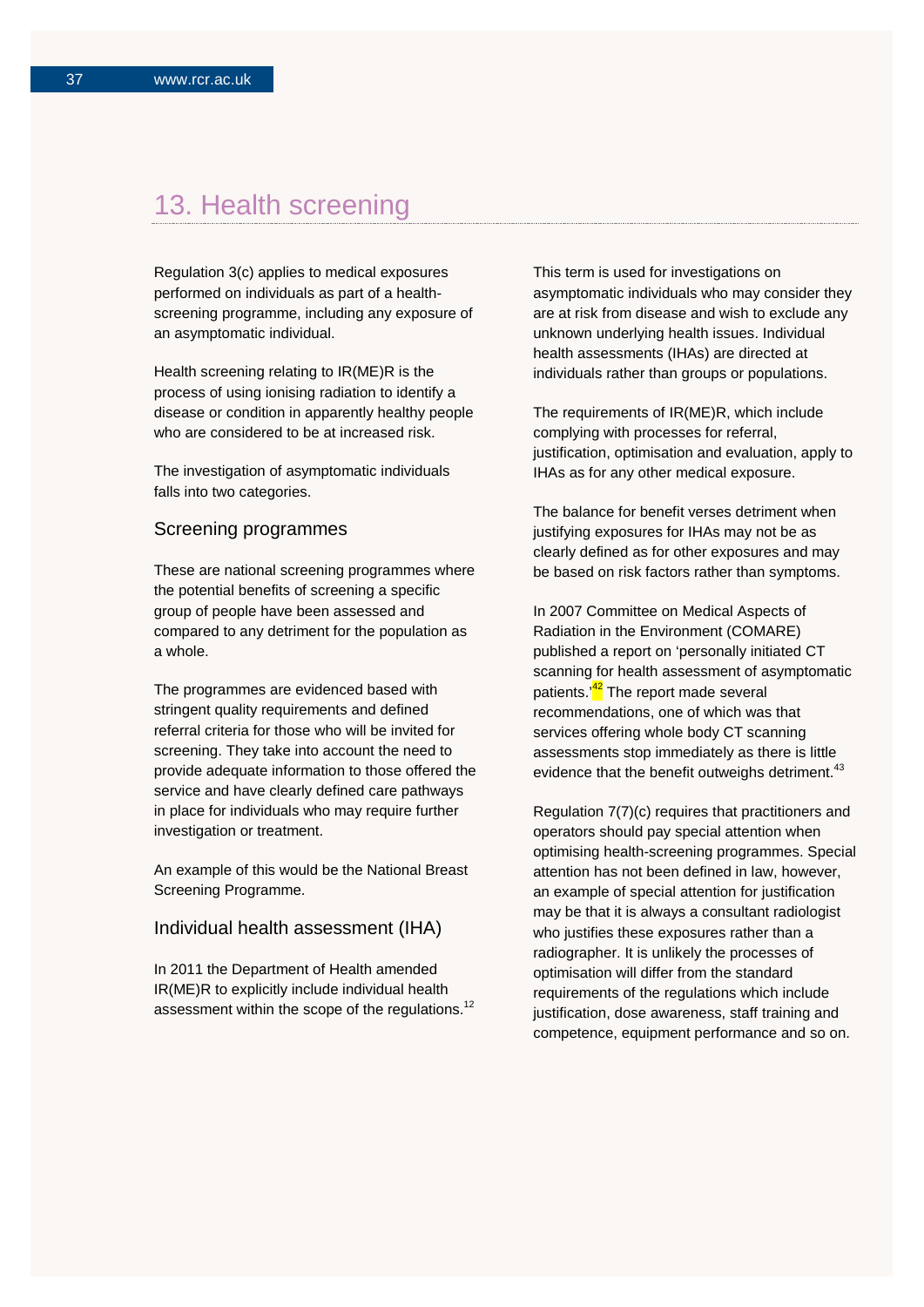## 13. Health screening

Regulation 3(c) applies to medical exposures performed on individuals as part of a healthscreening programme, including any exposure of an asymptomatic individual.

Health screening relating to IR(ME)R is the process of using ionising radiation to identify a disease or condition in apparently healthy people who are considered to be at increased risk.

The investigation of asymptomatic individuals falls into two categories.

### Screening programmes

These are national screening programmes where the potential benefits of screening a specific group of people have been assessed and compared to any detriment for the population as a whole.

The programmes are evidenced based with stringent quality requirements and defined referral criteria for those who will be invited for screening. They take into account the need to provide adequate information to those offered the service and have clearly defined care pathways in place for individuals who may require further investigation or treatment.

An example of this would be the National Breast Screening Programme.

### Individual health assessment (IHA)

In 2011 the Department of Health amended IR(ME)R to explicitly include individual health assessment within the scope of the regulations.<sup>12</sup> This term is used for investigations on asymptomatic individuals who may consider they are at risk from disease and wish to exclude any unknown underlying health issues. Individual health assessments (IHAs) are directed at individuals rather than groups or populations.

The requirements of IR(ME)R, which include complying with processes for referral, justification, optimisation and evaluation, apply to IHAs as for any other medical exposure.

The balance for benefit verses detriment when justifying exposures for IHAs may not be as clearly defined as for other exposures and may be based on risk factors rather than symptoms.

In 2007 Committee on Medical Aspects of Radiation in the Environment (COMARE) published a report on 'personally initiated CT scanning for health assessment of asymptomatic patients.<sup>'42</sup> The report made several recommendations, one of which was that services offering whole body CT scanning assessments stop immediately as there is little evidence that the benefit outweighs detriment.<sup>43</sup>

Regulation 7(7)(c) requires that practitioners and operators should pay special attention when optimising health-screening programmes. Special attention has not been defined in law, however, an example of special attention for justification may be that it is always a consultant radiologist who justifies these exposures rather than a radiographer. It is unlikely the processes of optimisation will differ from the standard requirements of the regulations which include justification, dose awareness, staff training and competence, equipment performance and so on.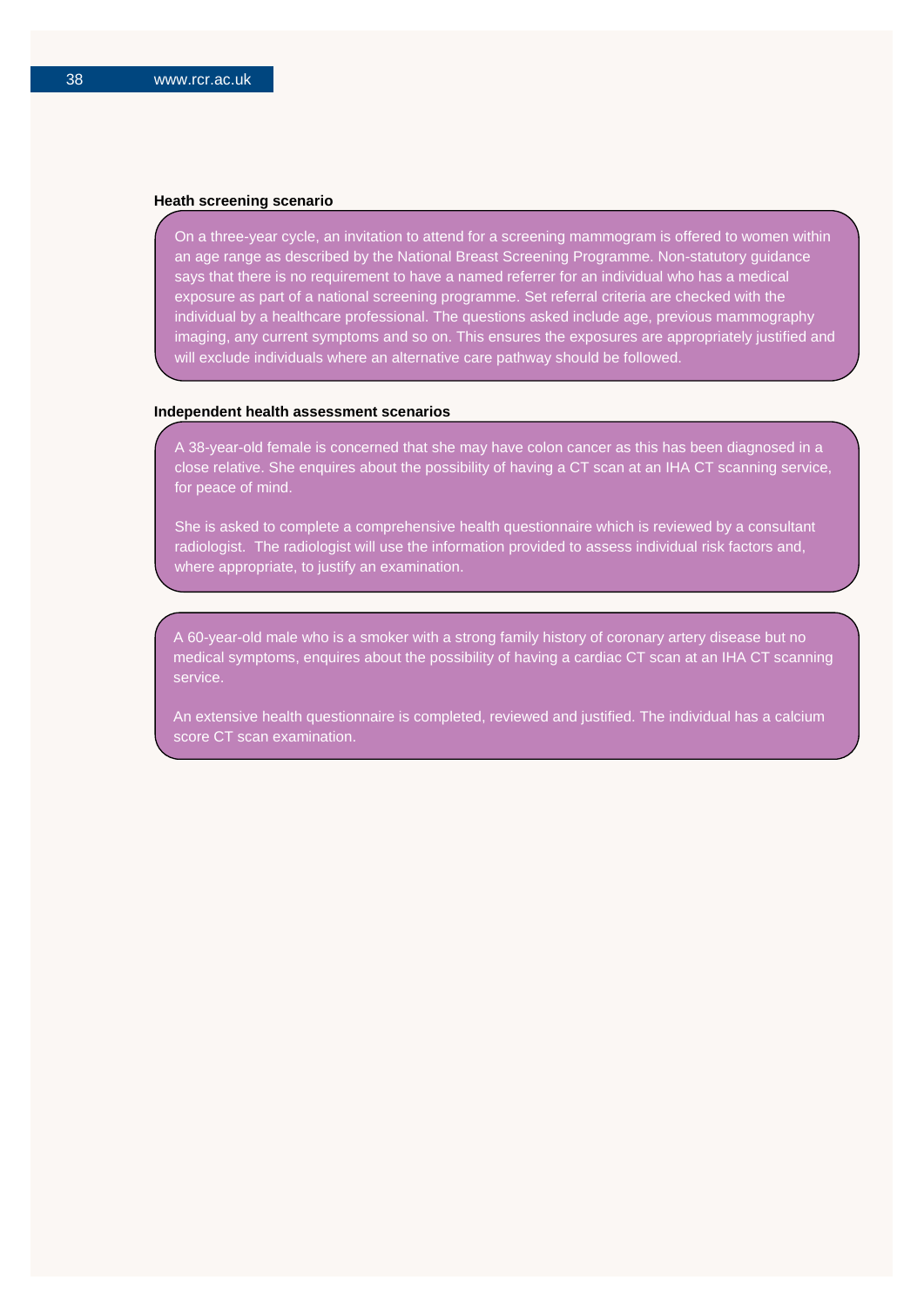$\overline{a}$ 

#### **Heath screening scenario**

On a three-year cycle, an invitation to attend for a screening mammogram is offered to women within an age range as described by the National Breast Screening Programme. Non-statutory guidance says that there is no requirement to have a named referrer for an individual who has a medical exposure as part of a national screening programme. Set referral criteria are checked with the individual by a healthcare professional. The questions asked include age, previous mammography imaging, any current symptoms and so on. This ensures the exposures are appropriately justified and will exclude individuals where an alternative care pathway should be followed.

#### **Independent health assessment scenarios**

A 38-year-old female is concerned that she may have colon cancer as this has been diagnosed in a close relative. She enquires about the possibility of having a CT scan at an IHA CT scanning service, for peace of mind.

She is asked to complete a comprehensive health questionnaire which is reviewed by a consultant radiologist. The radiologist will use the information provided to assess individual risk factors and, where appropriate, to justify an examination.

A 60-year-old male who is a smoker with a strong family history of coronary artery disease but no medical symptoms, enquires about the possibility of having a cardiac CT scan at an IHA CT scanning service.

An extensive health questionnaire is completed, reviewed and justified. The individual has a calcium score CT scan examination.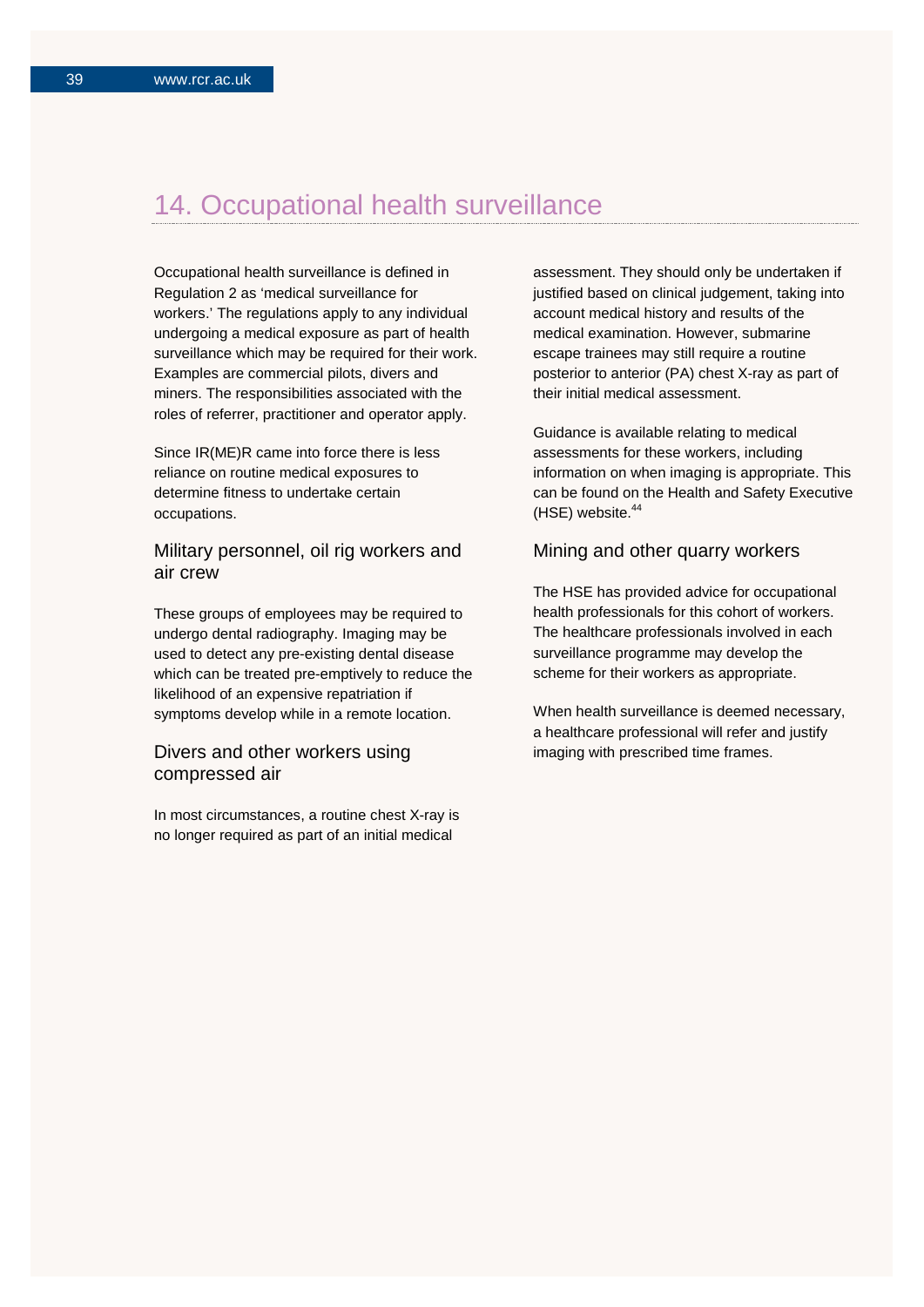## 14. Occupational health surveillance

Occupational health surveillance is defined in Regulation 2 as 'medical surveillance for workers.' The regulations apply to any individual undergoing a medical exposure as part of health surveillance which may be required for their work. Examples are commercial pilots, divers and miners. The responsibilities associated with the roles of referrer, practitioner and operator apply.

Since IR(ME)R came into force there is less reliance on routine medical exposures to determine fitness to undertake certain occupations.

## Military personnel, oil rig workers and air crew

These groups of employees may be required to undergo dental radiography. Imaging may be used to detect any pre-existing dental disease which can be treated pre-emptively to reduce the likelihood of an expensive repatriation if symptoms develop while in a remote location.

## Divers and other workers using compressed air

In most circumstances, a routine chest X-ray is no longer required as part of an initial medical

assessment. They should only be undertaken if justified based on clinical judgement, taking into account medical history and results of the medical examination. However, submarine escape trainees may still require a routine posterior to anterior (PA) chest X-ray as part of their initial medical assessment.

Guidance is available relating to medical assessments for these workers, including information on when imaging is appropriate. This can be found on the Health and Safety Executive (HSE) website.<sup>44</sup>

## Mining and other quarry workers

The HSE has provided advice for occupational health professionals for this cohort of workers. The healthcare professionals involved in each surveillance programme may develop the scheme for their workers as appropriate.

When health surveillance is deemed necessary, a healthcare professional will refer and justify imaging with prescribed time frames.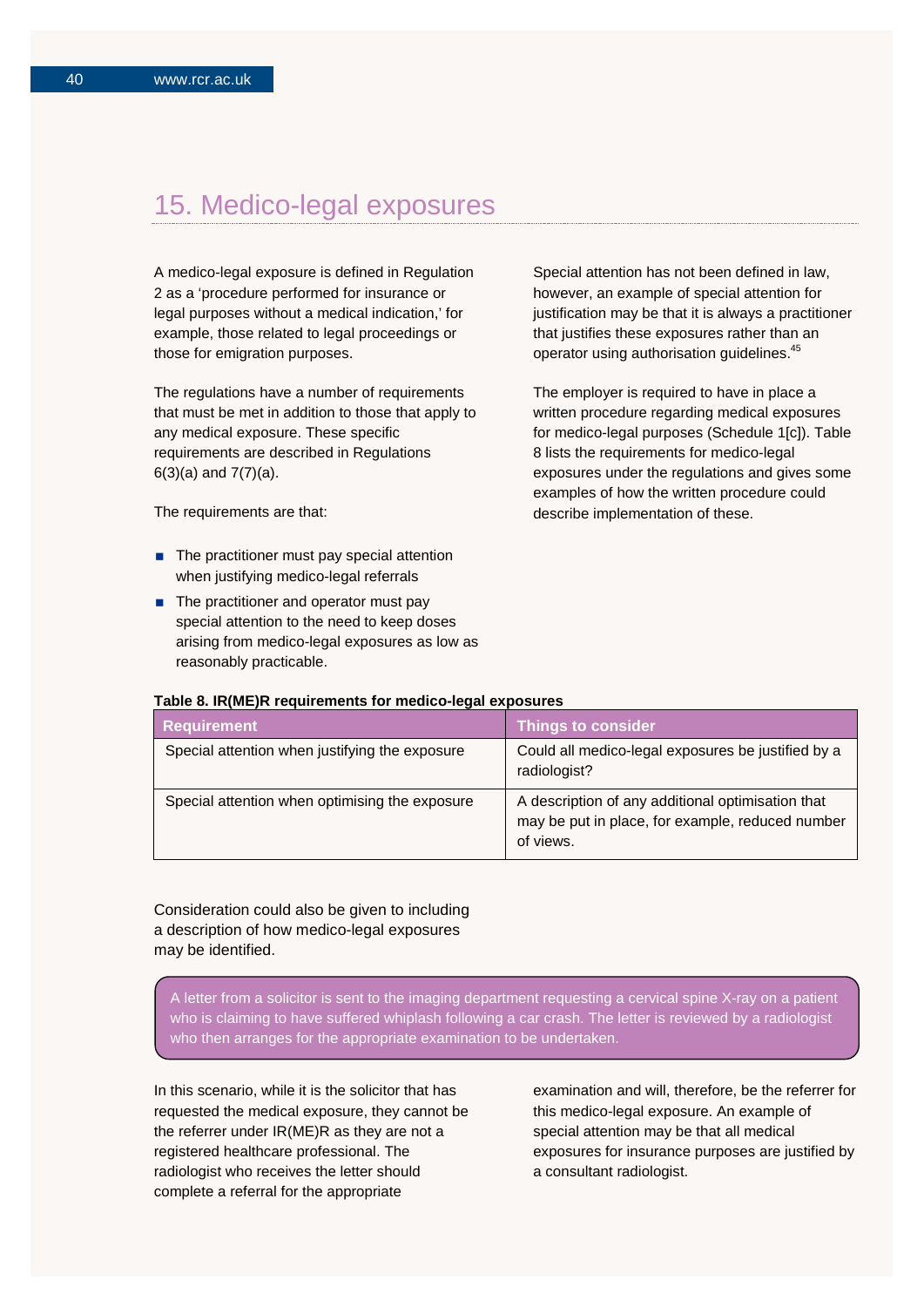## 15. Medico-legal exposures

A medico-legal exposure is defined in Regulation 2 as a 'procedure performed for insurance or legal purposes without a medical indication,' for example, those related to legal proceedings or those for emigration purposes.

The regulations have a number of requirements that must be met in addition to those that apply to any medical exposure. These specific requirements are described in Regulations 6(3)(a) and 7(7)(a).

The requirements are that:

- $\blacksquare$  The practitioner must pay special attention when justifying medico-legal referrals
- The practitioner and operator must pay special attention to the need to keep doses arising from medico-legal exposures as low as reasonably practicable.

Special attention has not been defined in law, however, an example of special attention for justification may be that it is always a practitioner that justifies these exposures rather than an operator using authorisation guidelines.45

The employer is required to have in place a written procedure regarding medical exposures for medico-legal purposes (Schedule 1[c]). Table 8 lists the requirements for medico-legal exposures under the regulations and gives some examples of how the written procedure could describe implementation of these.

#### **Table 8. IR(ME)R requirements for medico-legal exposures**

| <b>Requirement</b>                             | <b>Things to consider</b>                                                                                          |
|------------------------------------------------|--------------------------------------------------------------------------------------------------------------------|
| Special attention when justifying the exposure | Could all medico-legal exposures be justified by a<br>radiologist?                                                 |
| Special attention when optimising the exposure | A description of any additional optimisation that<br>may be put in place, for example, reduced number<br>of views. |

Consideration could also be given to including a description of how medico-legal exposures may be identified.

A letter from a solicitor is sent to the imaging department requesting a cervical spine X-ray on a patient who is claiming to have suffered whiplash following a car crash. The letter is reviewed by a radiologist who then arranges for the appropriate examination to be undertaken.

In this scenario, while it is the solicitor that has requested the medical exposure, they cannot be the referrer under IR(ME)R as they are not a registered healthcare professional. The radiologist who receives the letter should complete a referral for the appropriate

examination and will, therefore, be the referrer for this medico-legal exposure. An example of special attention may be that all medical exposures for insurance purposes are justified by a consultant radiologist.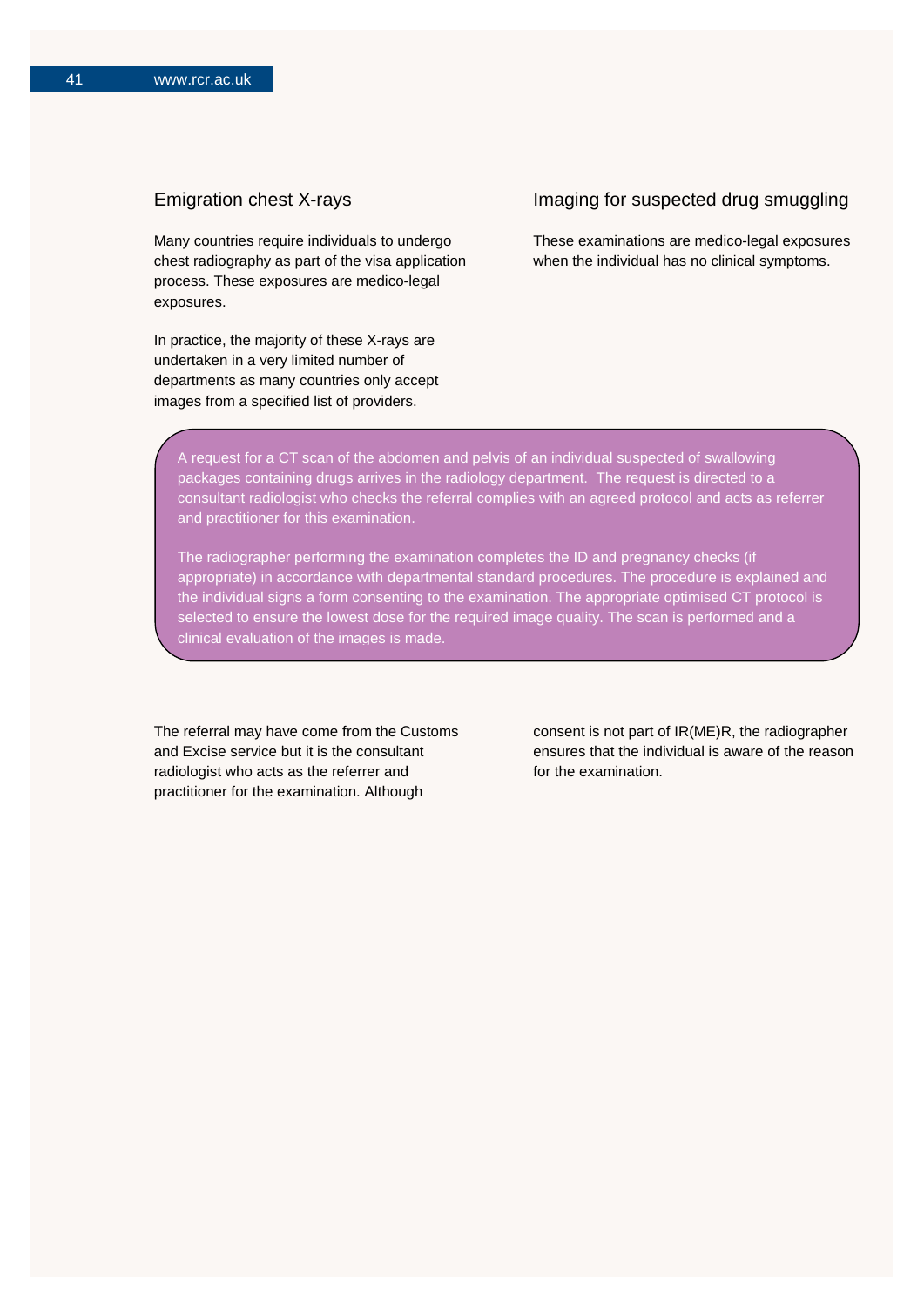## Emigration chest X-rays

Many countries require individuals to undergo chest radiography as part of the visa application process. These exposures are medico-legal exposures.

In practice, the majority of these X-rays are undertaken in a very limited number of departments as many countries only accept images from a specified list of providers.

### Imaging for suspected drug smuggling

These examinations are medico-legal exposures when the individual has no clinical symptoms.

A request for a CT scan of the abdomen and pelvis of an individual suspected of swallowing packages containing drugs arrives in the radiology department. The request is directed to a consultant radiologist who checks the referral complies with an agreed protocol and acts as referrer and practitioner for this examination.

The radiographer performing the examination completes the ID and pregnancy checks (if appropriate) in accordance with departmental standard procedures. The procedure is explained and the individual signs a form consenting to the examination. The appropriate optimised CT protocol is selected to ensure the lowest dose for the required image quality. The scan is performed and a clinical evaluation of the images is made.

The referral may have come from the Customs and Excise service but it is the consultant radiologist who acts as the referrer and practitioner for the examination. Although

consent is not part of IR(ME)R, the radiographer ensures that the individual is aware of the reason for the examination.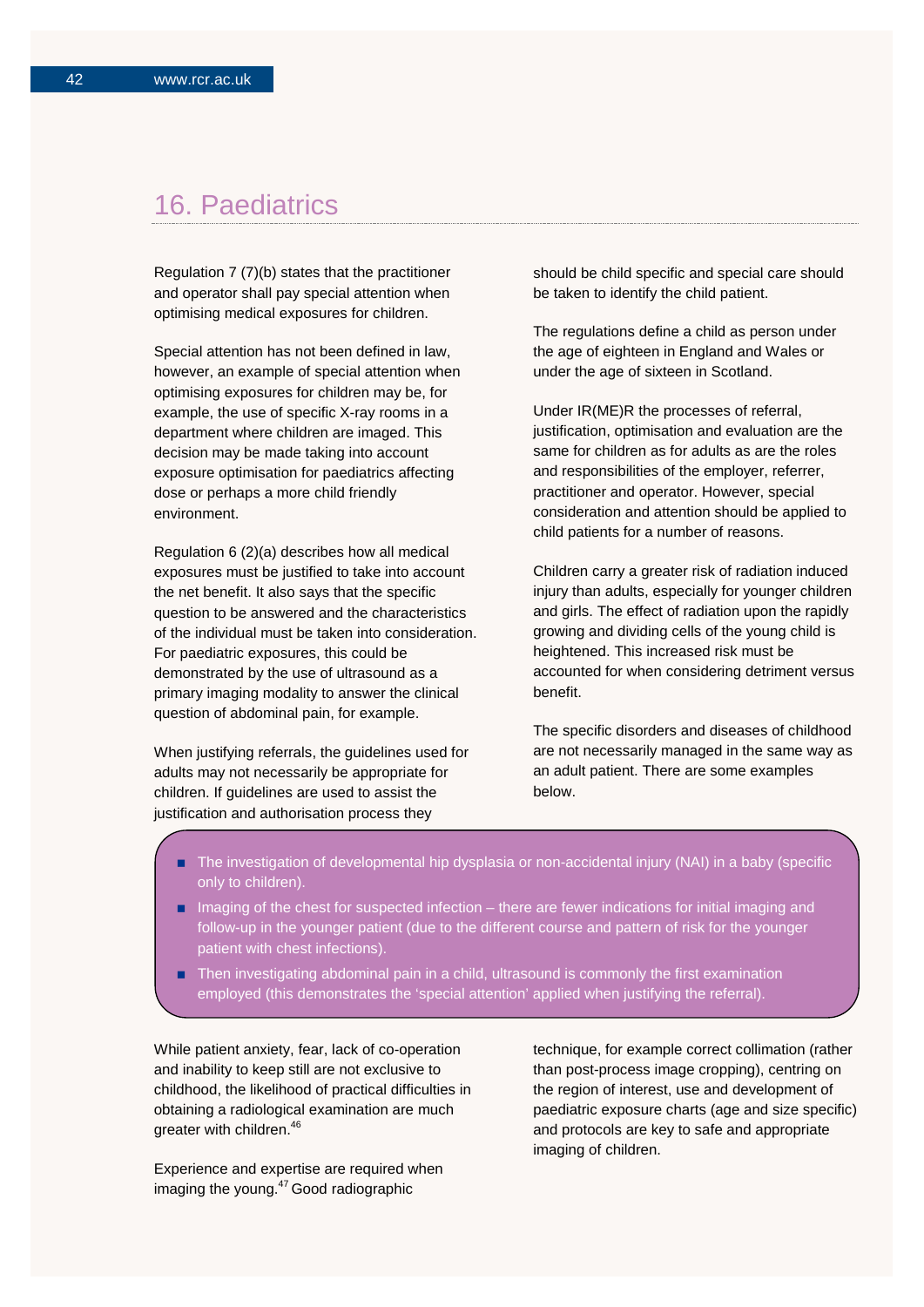## 16. Paediatrics

Regulation 7 (7)(b) states that the practitioner and operator shall pay special attention when optimising medical exposures for children.

Special attention has not been defined in law, however, an example of special attention when optimising exposures for children may be, for example, the use of specific X-ray rooms in a department where children are imaged. This decision may be made taking into account exposure optimisation for paediatrics affecting dose or perhaps a more child friendly environment.

Regulation 6 (2)(a) describes how all medical exposures must be justified to take into account the net benefit. It also says that the specific question to be answered and the characteristics of the individual must be taken into consideration. For paediatric exposures, this could be demonstrated by the use of ultrasound as a primary imaging modality to answer the clinical question of abdominal pain, for example.

When justifying referrals, the guidelines used for adults may not necessarily be appropriate for children. If guidelines are used to assist the justification and authorisation process they

should be child specific and special care should be taken to identify the child patient.

The regulations define a child as person under the age of eighteen in England and Wales or under the age of sixteen in Scotland.

Under IR(ME)R the processes of referral, justification, optimisation and evaluation are the same for children as for adults as are the roles and responsibilities of the employer, referrer, practitioner and operator. However, special consideration and attention should be applied to child patients for a number of reasons.

Children carry a greater risk of radiation induced injury than adults, especially for younger children and girls. The effect of radiation upon the rapidly growing and dividing cells of the young child is heightened. This increased risk must be accounted for when considering detriment versus benefit.

The specific disorders and diseases of childhood are not necessarily managed in the same way as an adult patient. There are some examples below.

- The investigation of developmental hip dysplasia or non-accidental injury (NAI) in a baby (specific only to children).
- Imaging of the chest for suspected infection there are fewer indications for initial imaging and follow-up in the younger patient (due to the different course and pattern of risk for the younger patient with chest infections).
- Then investigating abdominal pain in a child, ultrasound is commonly the first examination employed (this demonstrates the 'special attention' applied when justifying the referral).

While patient anxiety, fear, lack of co-operation and inability to keep still are not exclusive to childhood, the likelihood of practical difficulties in obtaining a radiological examination are much greater with children. 46

Experience and expertise are required when imaging the young. 47 Good radiographic

technique, for example correct collimation (rather than post-process image cropping), centring on the region of interest, use and development of paediatric exposure charts (age and size specific) and protocols are key to safe and appropriate imaging of children.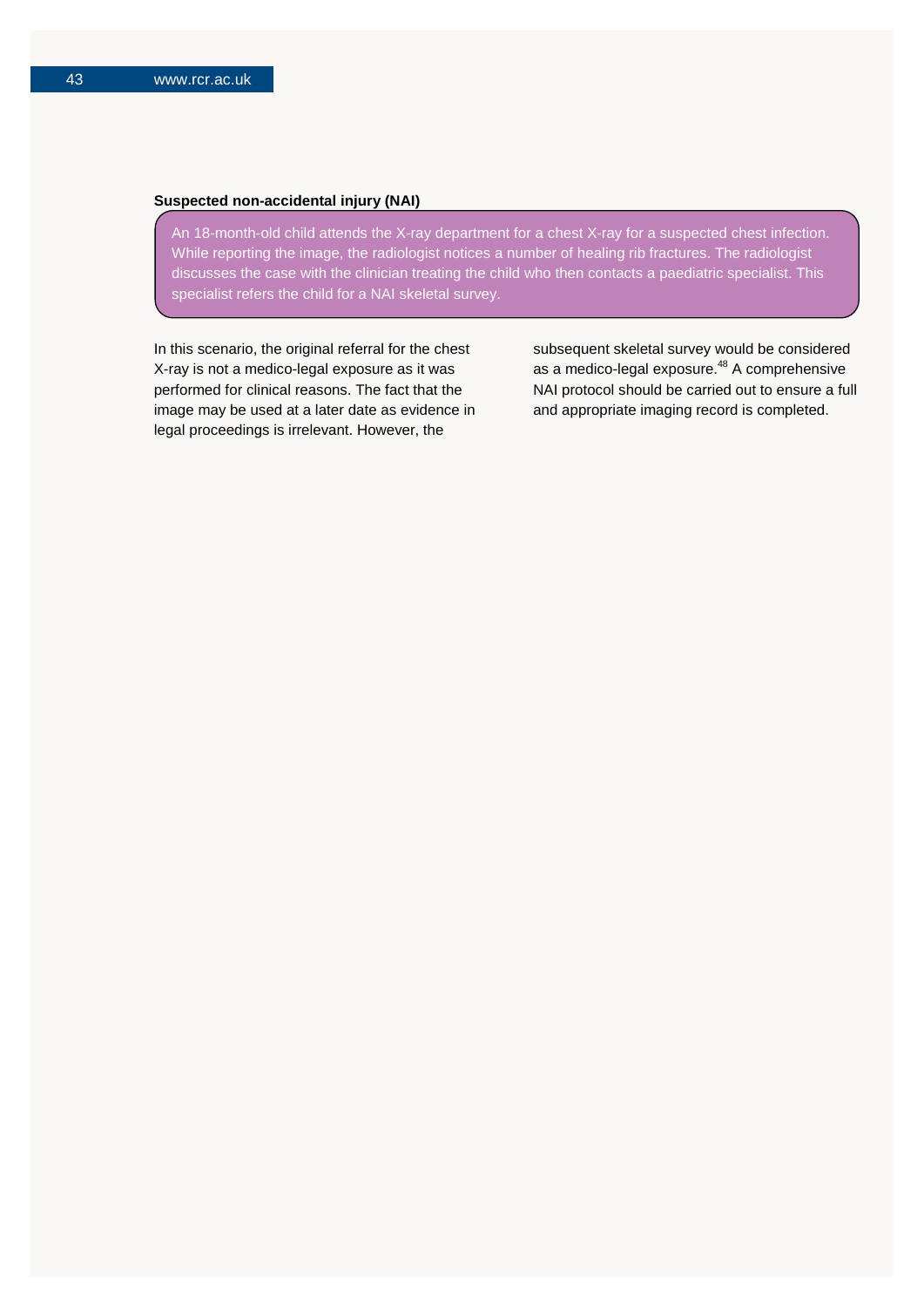#### **Suspected non-accidental injury (NAI)**

An 18-month-old child attends the X-ray department for a chest X-ray for a suspected chest infection. While reporting the image, the radiologist notices a number of healing rib fractures. The radiologist discusses the case with the clinician treating the child who then contacts a paediatric specialist. This specialist refers the child for a NAI skeletal survey.

In this scenario, the original referral for the chest X-ray is not a medico-legal exposure as it was performed for clinical reasons. The fact that the image may be used at a later date as evidence in legal proceedings is irrelevant. However, the

subsequent skeletal survey would be considered as a medico-legal exposure.<sup>48</sup> A comprehensive NAI protocol should be carried out to ensure a full and appropriate imaging record is completed.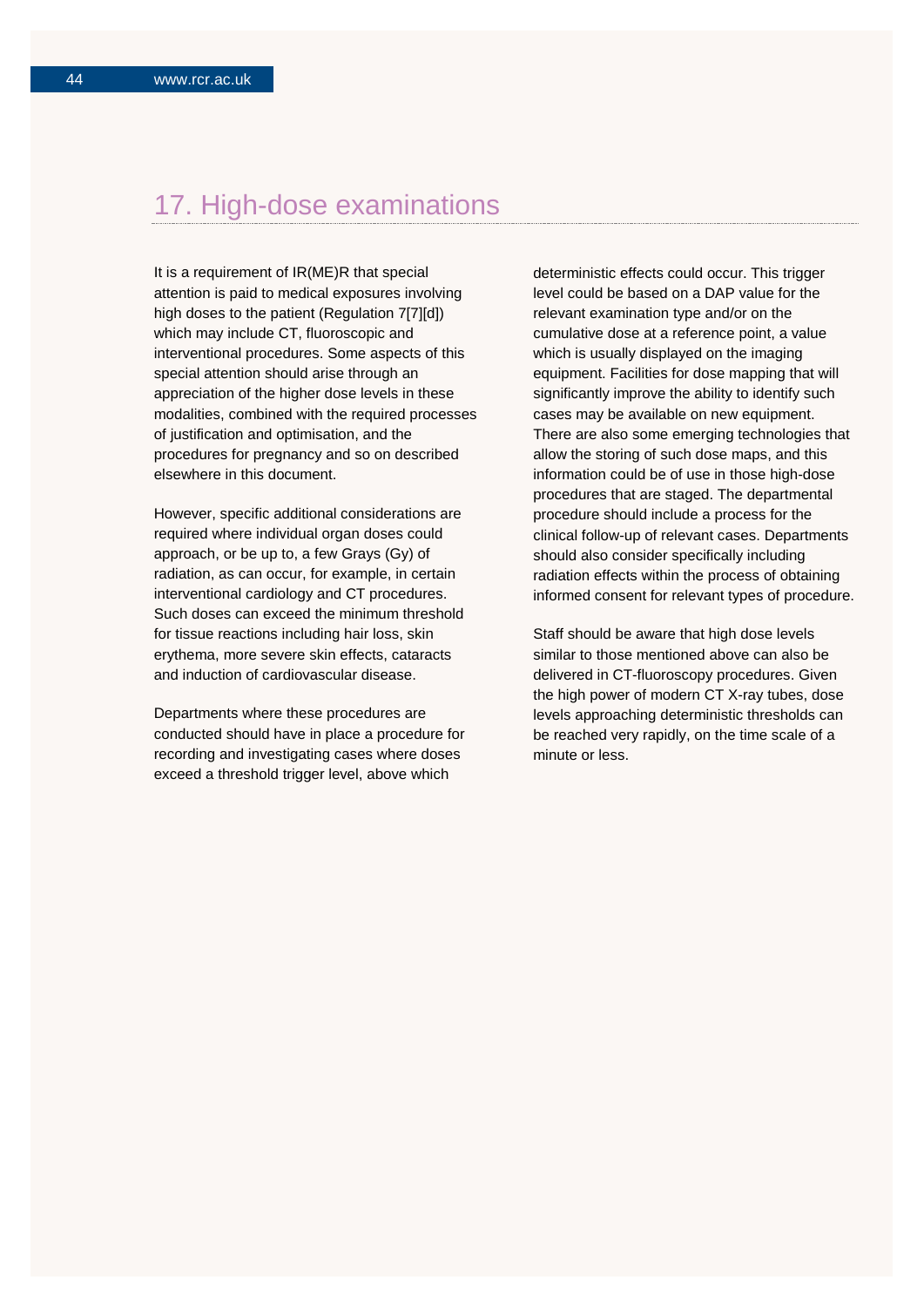## 17. High-dose examinations

It is a requirement of IR(ME)R that special attention is paid to medical exposures involving high doses to the patient (Regulation 7[7][d]) which may include CT, fluoroscopic and interventional procedures. Some aspects of this special attention should arise through an appreciation of the higher dose levels in these modalities, combined with the required processes of justification and optimisation, and the procedures for pregnancy and so on described elsewhere in this document.

However, specific additional considerations are required where individual organ doses could approach, or be up to, a few Grays (Gy) of radiation, as can occur, for example, in certain interventional cardiology and CT procedures. Such doses can exceed the minimum threshold for tissue reactions including hair loss, skin erythema, more severe skin effects, cataracts and induction of cardiovascular disease.

Departments where these procedures are conducted should have in place a procedure for recording and investigating cases where doses exceed a threshold trigger level, above which

deterministic effects could occur. This trigger level could be based on a DAP value for the relevant examination type and/or on the cumulative dose at a reference point, a value which is usually displayed on the imaging equipment. Facilities for dose mapping that will significantly improve the ability to identify such cases may be available on new equipment. There are also some emerging technologies that allow the storing of such dose maps, and this information could be of use in those high-dose procedures that are staged. The departmental procedure should include a process for the clinical follow-up of relevant cases. Departments should also consider specifically including radiation effects within the process of obtaining informed consent for relevant types of procedure.

Staff should be aware that high dose levels similar to those mentioned above can also be delivered in CT-fluoroscopy procedures. Given the high power of modern CT X-ray tubes, dose levels approaching deterministic thresholds can be reached very rapidly, on the time scale of a minute or less.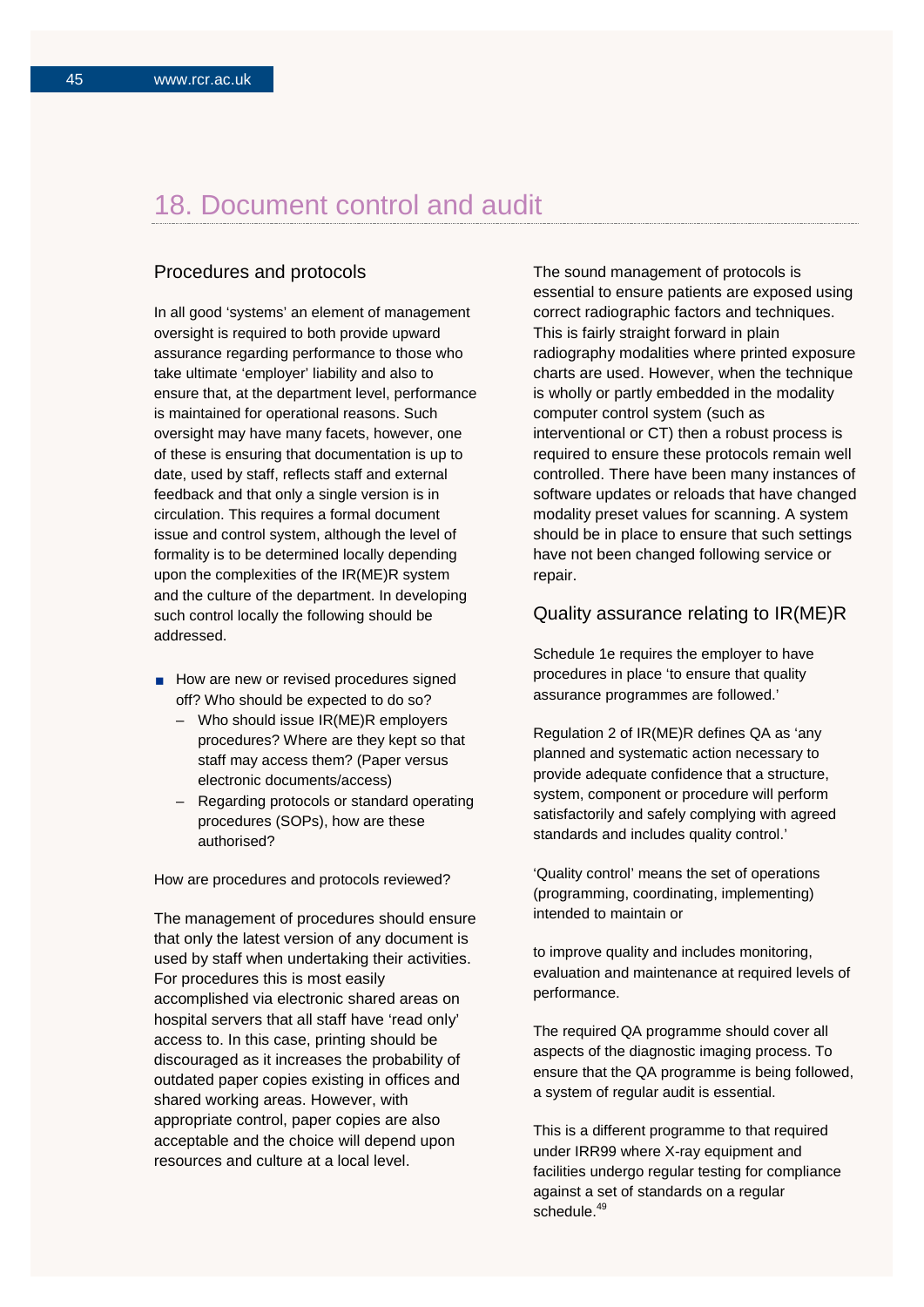## 18. Document control and audit

## Procedures and protocols

In all good 'systems' an element of management oversight is required to both provide upward assurance regarding performance to those who take ultimate 'employer' liability and also to ensure that, at the department level, performance is maintained for operational reasons. Such oversight may have many facets, however, one of these is ensuring that documentation is up to date, used by staff, reflects staff and external feedback and that only a single version is in circulation. This requires a formal document issue and control system, although the level of formality is to be determined locally depending upon the complexities of the IR(ME)R system and the culture of the department. In developing such control locally the following should be addressed.

- How are new or revised procedures signed off? Who should be expected to do so?
	- Who should issue IR(ME)R employers procedures? Where are they kept so that staff may access them? (Paper versus electronic documents/access)
	- Regarding protocols or standard operating procedures (SOPs), how are these authorised?

How are procedures and protocols reviewed?

The management of procedures should ensure that only the latest version of any document is used by staff when undertaking their activities. For procedures this is most easily accomplished via electronic shared areas on hospital servers that all staff have 'read only' access to. In this case, printing should be discouraged as it increases the probability of outdated paper copies existing in offices and shared working areas. However, with appropriate control, paper copies are also acceptable and the choice will depend upon resources and culture at a local level.

The sound management of protocols is essential to ensure patients are exposed using correct radiographic factors and techniques. This is fairly straight forward in plain radiography modalities where printed exposure charts are used. However, when the technique is wholly or partly embedded in the modality computer control system (such as interventional or CT) then a robust process is required to ensure these protocols remain well controlled. There have been many instances of software updates or reloads that have changed modality preset values for scanning. A system should be in place to ensure that such settings have not been changed following service or repair.

#### Quality assurance relating to IR(ME)R

Schedule 1e requires the employer to have procedures in place 'to ensure that quality assurance programmes are followed.'

Regulation 2 of IR(ME)R defines QA as 'any planned and systematic action necessary to provide adequate confidence that a structure, system, component or procedure will perform satisfactorily and safely complying with agreed standards and includes quality control.'

'Quality control' means the set of operations (programming, coordinating, implementing) intended to maintain or

to improve quality and includes monitoring, evaluation and maintenance at required levels of performance.

The required QA programme should cover all aspects of the diagnostic imaging process. To ensure that the QA programme is being followed, a system of regular audit is essential.

This is a different programme to that required under IRR99 where X-ray equipment and facilities undergo regular testing for compliance against a set of standards on a regular schedule.<sup>49</sup>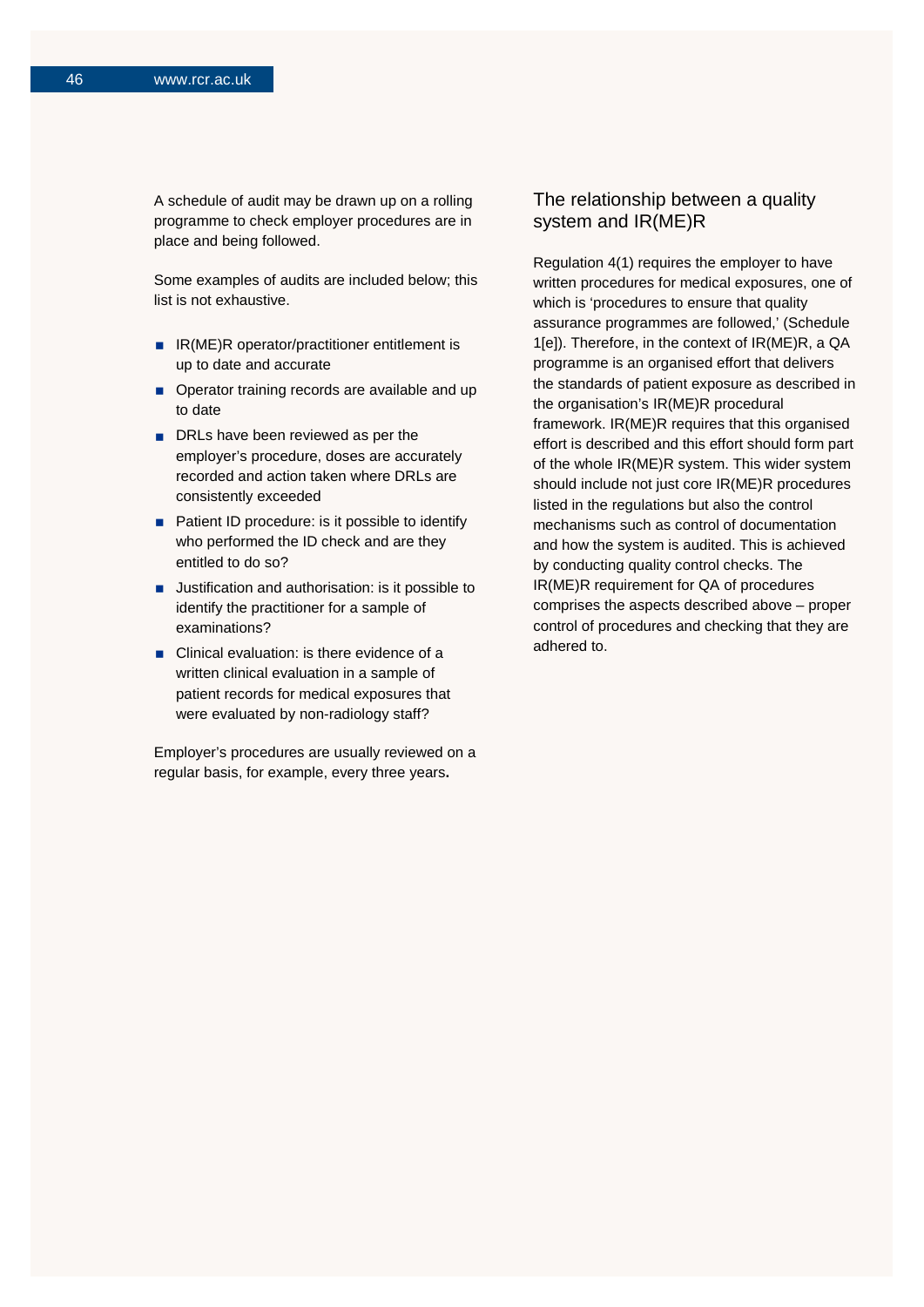A schedule of audit may be drawn up on a rolling programme to check employer procedures are in place and being followed.

Some examples of audits are included below; this list is not exhaustive.

- IR(ME)R operator/practitioner entitlement is up to date and accurate
- Operator training records are available and up to date
- DRLs have been reviewed as per the employer's procedure, doses are accurately recorded and action taken where DRLs are consistently exceeded
- **Patient ID procedure: is it possible to identify** who performed the ID check and are they entitled to do so?
- **Justification and authorisation: is it possible to** identify the practitioner for a sample of examinations?
- Clinical evaluation: is there evidence of a written clinical evaluation in a sample of patient records for medical exposures that were evaluated by non-radiology staff?

Employer's procedures are usually reviewed on a regular basis, for example, every three years**.**

## The relationship between a quality system and IR(ME)R

Regulation 4(1) requires the employer to have written procedures for medical exposures, one of which is 'procedures to ensure that quality assurance programmes are followed,' (Schedule 1[e]). Therefore, in the context of IR(ME)R, a QA programme is an organised effort that delivers the standards of patient exposure as described in the organisation's IR(ME)R procedural framework. IR(ME)R requires that this organised effort is described and this effort should form part of the whole IR(ME)R system. This wider system should include not just core IR(ME)R procedures listed in the regulations but also the control mechanisms such as control of documentation and how the system is audited. This is achieved by conducting quality control checks. The IR(ME)R requirement for QA of procedures comprises the aspects described above – proper control of procedures and checking that they are adhered to.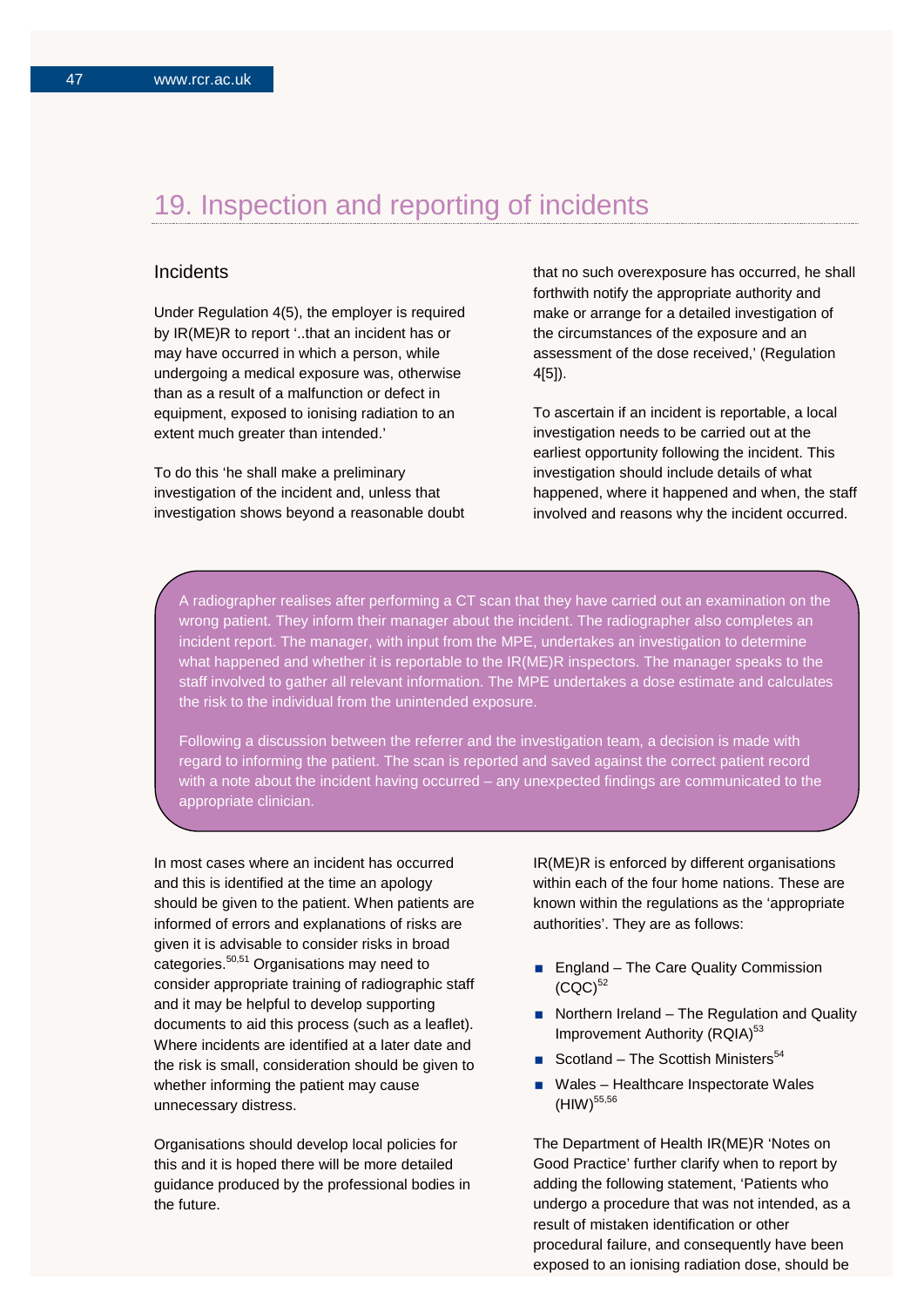## 19. Inspection and reporting of incidents

## **Incidents**

Under Regulation 4(5), the employer is required by IR(ME)R to report '..that an incident has or may have occurred in which a person, while undergoing a medical exposure was, otherwise than as a result of a malfunction or defect in equipment, exposed to ionising radiation to an extent much greater than intended.'

To do this 'he shall make a preliminary investigation of the incident and, unless that investigation shows beyond a reasonable doubt that no such overexposure has occurred, he shall forthwith notify the appropriate authority and make or arrange for a detailed investigation of the circumstances of the exposure and an assessment of the dose received,' (Regulation 4[5]).

To ascertain if an incident is reportable, a local investigation needs to be carried out at the earliest opportunity following the incident. This investigation should include details of what happened, where it happened and when, the staff involved and reasons why the incident occurred.

A radiographer realises after performing a CT scan that they have carried out an examination on the wrong patient. They inform their manager about the incident. The radiographer also completes an incident report. The manager, with input from the MPE, undertakes an investigation to determine what happened and whether it is reportable to the IR(ME)R inspectors. The manager speaks to the staff involved to gather all relevant information. The MPE undertakes a dose estimate and calculates the risk to the individual from the unintended exposure.

Following a discussion between the referrer and the investigation team, a decision is made with regard to informing the patient. The scan is reported and saved against the correct patient record with a note about the incident having occurred – any unexpected findings are communicated to the appropriate clinician.

In most cases where an incident has occurred and this is identified at the time an apology should be given to the patient. When patients are informed of errors and explanations of risks are given it is advisable to consider risks in broad categories.<sup>50,51</sup> Organisations may need to consider appropriate training of radiographic staff and it may be helpful to develop supporting documents to aid this process (such as a leaflet). Where incidents are identified at a later date and the risk is small, consideration should be given to whether informing the patient may cause unnecessary distress.

Organisations should develop local policies for this and it is hoped there will be more detailed guidance produced by the professional bodies in the future.

IR(ME)R is enforced by different organisations within each of the four home nations. These are known within the regulations as the 'appropriate authorities'. They are as follows:

- **England The Care Quality Commission**  $(CQC)^{52}$
- Northern Ireland The Regulation and Quality Improvement Authority (RQIA)<sup>53</sup>
- Scotland The Scottish Ministers<sup>54</sup>
- Wales Healthcare Inspectorate Wales (HIW) 55,56

The Department of Health IR(ME)R 'Notes on Good Practice' further clarify when to report by adding the following statement, 'Patients who undergo a procedure that was not intended, as a result of mistaken identification or other procedural failure, and consequently have been exposed to an ionising radiation dose, should be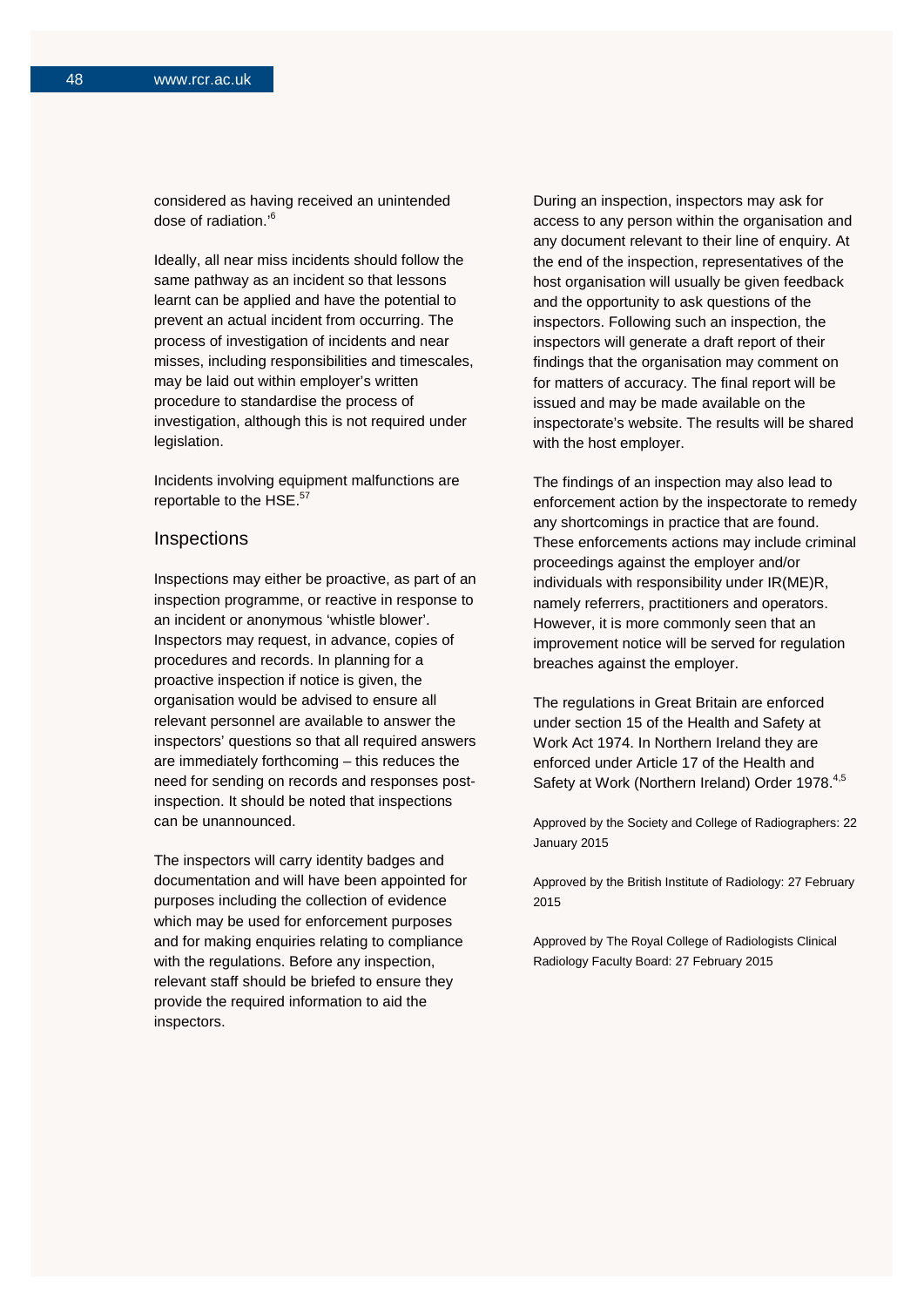considered as having received an unintended dose of radiation.' 6

Ideally, all near miss incidents should follow the same pathway as an incident so that lessons learnt can be applied and have the potential to prevent an actual incident from occurring. The process of investigation of incidents and near misses, including responsibilities and timescales, may be laid out within employer's written procedure to standardise the process of investigation, although this is not required under legislation.

Incidents involving equipment malfunctions are reportable to the HSE.<sup>57</sup>

#### **Inspections**

Inspections may either be proactive, as part of an inspection programme, or reactive in response to an incident or anonymous 'whistle blower'. Inspectors may request, in advance, copies of procedures and records. In planning for a proactive inspection if notice is given, the organisation would be advised to ensure all relevant personnel are available to answer the inspectors' questions so that all required answers are immediately forthcoming – this reduces the need for sending on records and responses postinspection. It should be noted that inspections can be unannounced.

The inspectors will carry identity badges and documentation and will have been appointed for purposes including the collection of evidence which may be used for enforcement purposes and for making enquiries relating to compliance with the regulations. Before any inspection, relevant staff should be briefed to ensure they provide the required information to aid the inspectors.

During an inspection, inspectors may ask for access to any person within the organisation and any document relevant to their line of enquiry. At the end of the inspection, representatives of the host organisation will usually be given feedback and the opportunity to ask questions of the inspectors. Following such an inspection, the inspectors will generate a draft report of their findings that the organisation may comment on for matters of accuracy. The final report will be issued and may be made available on the inspectorate's website. The results will be shared with the host employer.

The findings of an inspection may also lead to enforcement action by the inspectorate to remedy any shortcomings in practice that are found. These enforcements actions may include criminal proceedings against the employer and/or individuals with responsibility under IR(ME)R, namely referrers, practitioners and operators. However, it is more commonly seen that an improvement notice will be served for regulation breaches against the employer.

The regulations in Great Britain are enforced under section 15 of the Health and Safety at Work Act 1974. In Northern Ireland they are enforced under Article 17 of the Health and Safety at Work (Northern Ireland) Order 1978.<sup>4,5</sup>

Approved by the Society and College of Radiographers: 22 January 2015

Approved by the British Institute of Radiology: 27 February 2015

Approved by The Royal College of Radiologists Clinical Radiology Faculty Board: 27 February 2015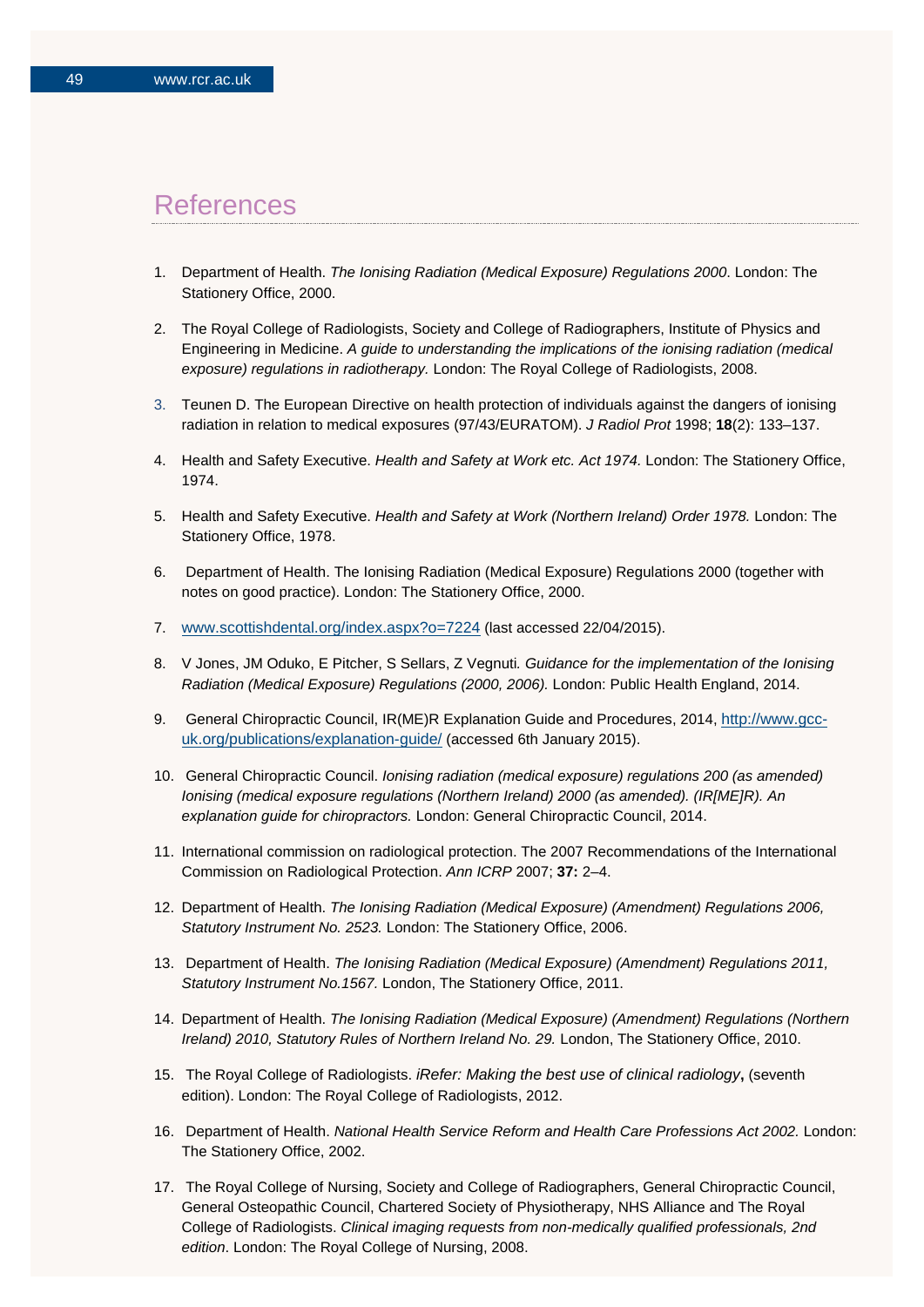## References

- 1. Department of Health. *The Ionising Radiation (Medical Exposure) Regulations 2000*. London: The Stationery Office, 2000.
- 2. The Royal College of Radiologists, Society and College of Radiographers, Institute of Physics and Engineering in Medicine. *A guide to understanding the implications of the ionising radiation (medical exposure) regulations in radiotherapy.* London: The Royal College of Radiologists, 2008.
- 3. Teunen D. The European Directive on health protection of individuals against the dangers of ionising radiation in relation to medical exposures (97/43/EURATOM). *J Radiol Prot* 1998; **18**(2): 133–137.
- 4. Health and Safety Executive. *Health and Safety at Work etc. Act 1974.* London: The Stationery Office, 1974.
- 5. Health and Safety Executive. *Health and Safety at Work (Northern Ireland) Order 1978.* London: The Stationery Office, 1978.
- 6. Department of Health. The Ionising Radiation (Medical Exposure) Regulations 2000 (together with notes on good practice). London: The Stationery Office, 2000.
- 7. [www.scottishdental.org/index.aspx?o=7224](http://www.scottishdental.org/index.aspx?o=7224) (last accessed 22/04/2015).
- 8. V Jones, JM Oduko, E Pitcher, S Sellars, Z Vegnuti*. Guidance for the implementation of the Ionising Radiation (Medical Exposure) Regulations (2000, 2006).* London: Public Health England, 2014.
- 9. General Chiropractic Council, IR(ME)R Explanation Guide and Procedures, 2014, [http://www.gcc](http://www.gcc-uk.org/publications/explanation-guide/)[uk.org/publications/explanation-guide/](http://www.gcc-uk.org/publications/explanation-guide/) (accessed 6th January 2015).
- 10. General Chiropractic Council. *Ionising radiation (medical exposure) regulations 200 (as amended) Ionising (medical exposure regulations (Northern Ireland) 2000 (as amended). (IR[ME]R). An explanation guide for chiropractors.* London: General Chiropractic Council, 2014.
- 11. International commission on radiological protection. The 2007 Recommendations of the International Commission on Radiological Protection. *Ann ICRP* 2007; **37:** 2–4.
- 12. Department of Health. *The Ionising Radiation (Medical Exposure) (Amendment) Regulations 2006, Statutory Instrument No. 2523.* London: The Stationery Office, 2006.
- 13. Department of Health. *The Ionising Radiation (Medical Exposure) (Amendment) Regulations 2011, Statutory Instrument No.1567.* London, The Stationery Office, 2011.
- 14. Department of Health. *The Ionising Radiation (Medical Exposure) (Amendment) Regulations (Northern Ireland) 2010, Statutory Rules of Northern Ireland No. 29.* London, The Stationery Office, 2010.
- 15. The Royal College of Radiologists. *iRefer: Making the best use of clinical radiology***,** (seventh edition). London: The Royal College of Radiologists, 2012.
- 16. Department of Health. *National Health Service Reform and Health Care Professions Act 2002.* London: The Stationery Office, 2002.
- 17. The Royal College of Nursing, Society and College of Radiographers, General Chiropractic Council, General Osteopathic Council, Chartered Society of Physiotherapy, NHS Alliance and The Royal College of Radiologists. *Clinical imaging requests from non-medically qualified professionals, 2nd edition*. London: The Royal College of Nursing, 2008.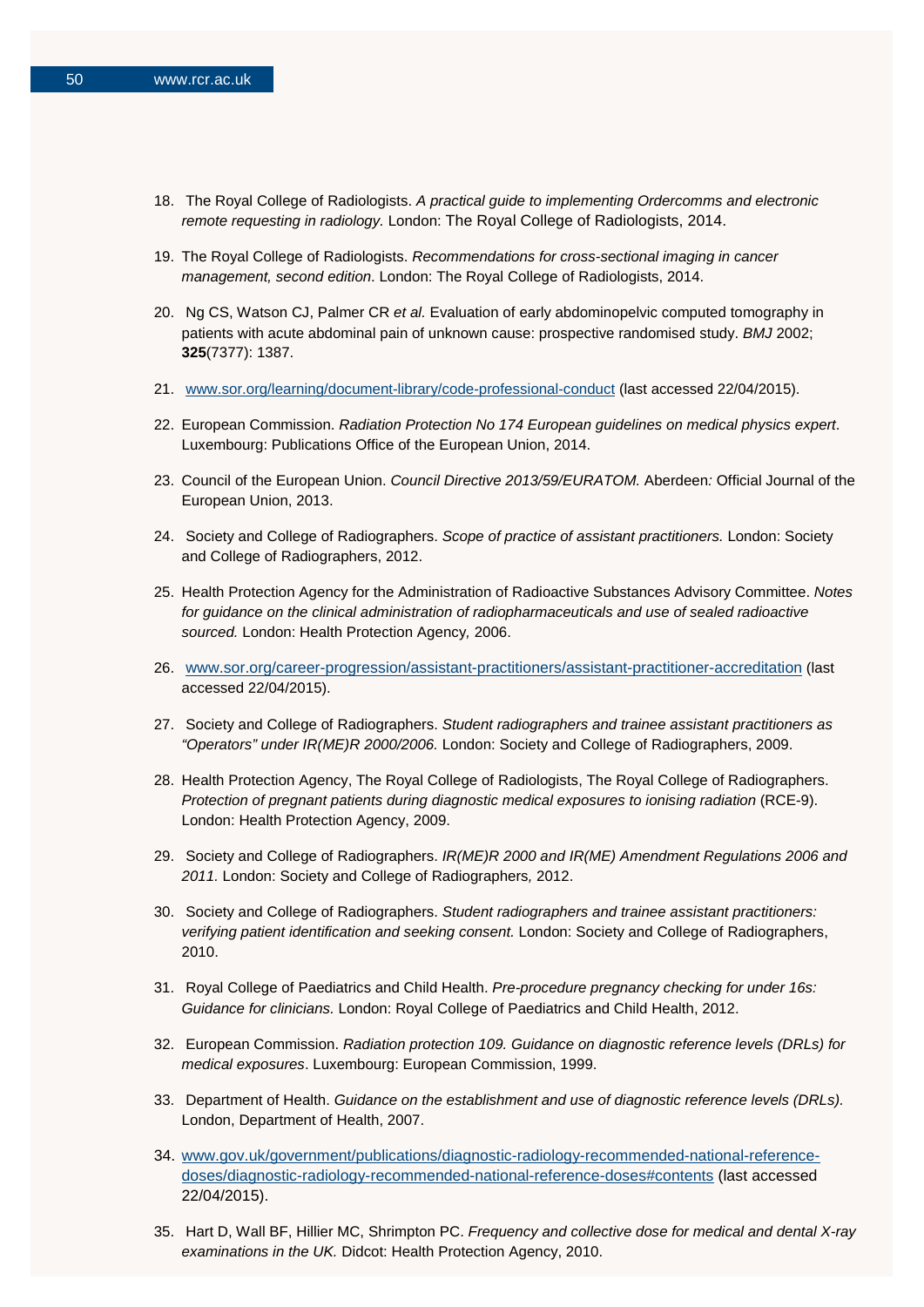- 18. The Royal College of Radiologists. *[A practical guide to implementing Ordercomms](http://www.rcr.ac.uk/docs/radiology/pdf/bfcr(14)1_order_final.pdf) and electronic [remote requesting in radiology.](http://www.rcr.ac.uk/docs/radiology/pdf/bfcr(14)1_order_final.pdf)* London: The Royal College of Radiologists, 2014.
- 19. The Royal College of Radiologists. *Recommendations for cross-sectional imaging in cancer management, second edition*. London: The Royal College of Radiologists, 2014.
- 20. Ng CS, Watson CJ, Palmer CR *et al.* Evaluation of early abdominopelvic computed tomography in patients with acute abdominal pain of unknown cause: prospective randomised study. *BMJ* 2002; **325**(7377): 1387.
- 21. [www.sor.org/learning/document-library/code-professional-conduct](http://www.sor.org/learning/document-library/code-professional-conduct) (last accessed 22/04/2015).
- 22. European Commission. *Radiation Protection No 174 European guidelines on medical physics expert*. Luxembourg: Publications Office of the European Union, 2014.
- 23. Council of the European Union. *Council Directive 2013/59/EURATOM.* Aberdeen*:* Official Journal of the European Union, 2013.
- 24. Society and College of Radiographers. *Scope of practice of assistant practitioners.* London: Society and College of Radiographers, 2012.
- 25. Health Protection Agency for the Administration of Radioactive Substances Advisory Committee. *Notes for guidance on the clinical administration of radiopharmaceuticals and use of sealed radioactive sourced.* London: Health Protection Agency*,* 2006.
- 26. [www.sor.org/career-progression/assistant-practitioners/assistant-practitioner-accreditation](http://www.sor.org/career-progression/assistant-practitioners/assistant-practitioner-accreditation) (last accessed 22/04/2015).
- 27. Society and College of Radiographers. *Student radiographers and trainee assistant practitioners as "Operators" under IR(ME)R 2000/2006.* London: Society and College of Radiographers, 2009.
- 28. Health Protection Agency, The Royal College of Radiologists, The Royal College of Radiographers. *Protection of pregnant patients during diagnostic medical exposures to ionising radiation* (RCE-9). London: Health Protection Agency, 2009.
- 29. Society and College of Radiographers. *IR(ME)R 2000 and IR(ME) Amendment Regulations 2006 and 2011.* London: Society and College of Radiographers*,* 2012.
- 30. Society and College of Radiographers. *Student radiographers and trainee assistant practitioners: verifying patient identification and seeking consent.* London: Society and College of Radiographers, 2010.
- 31. Royal College of Paediatrics and Child Health. *Pre-procedure pregnancy checking for under 16s: Guidance for clinicians.* London: Royal College of Paediatrics and Child Health, 2012.
- 32. European Commission. *Radiation protection 109. Guidance on diagnostic reference levels (DRLs) for medical exposures*. Luxembourg: European Commission, 1999.
- 33. Department of Health. *Guidance on the establishment and use of diagnostic reference levels (DRLs).* London, Department of Health, 2007.
- 34. [www.gov.uk/government/publications/diagnostic-radiology-recommended-national-reference](http://www.gov.uk/government/publications/diagnostic-radiology-recommended-national-reference-doses/diagnostic-radiology-recommended-national-reference-doses%23contents)[doses/diagnostic-radiology-recommended-national-reference-doses#contents](http://www.gov.uk/government/publications/diagnostic-radiology-recommended-national-reference-doses/diagnostic-radiology-recommended-national-reference-doses%23contents) (last accessed 22/04/2015).
- 35. Hart D, Wall BF, Hillier MC, Shrimpton PC. *Frequency and collective dose for medical and dental X-ray examinations in the UK.* Didcot: Health Protection Agency, 2010.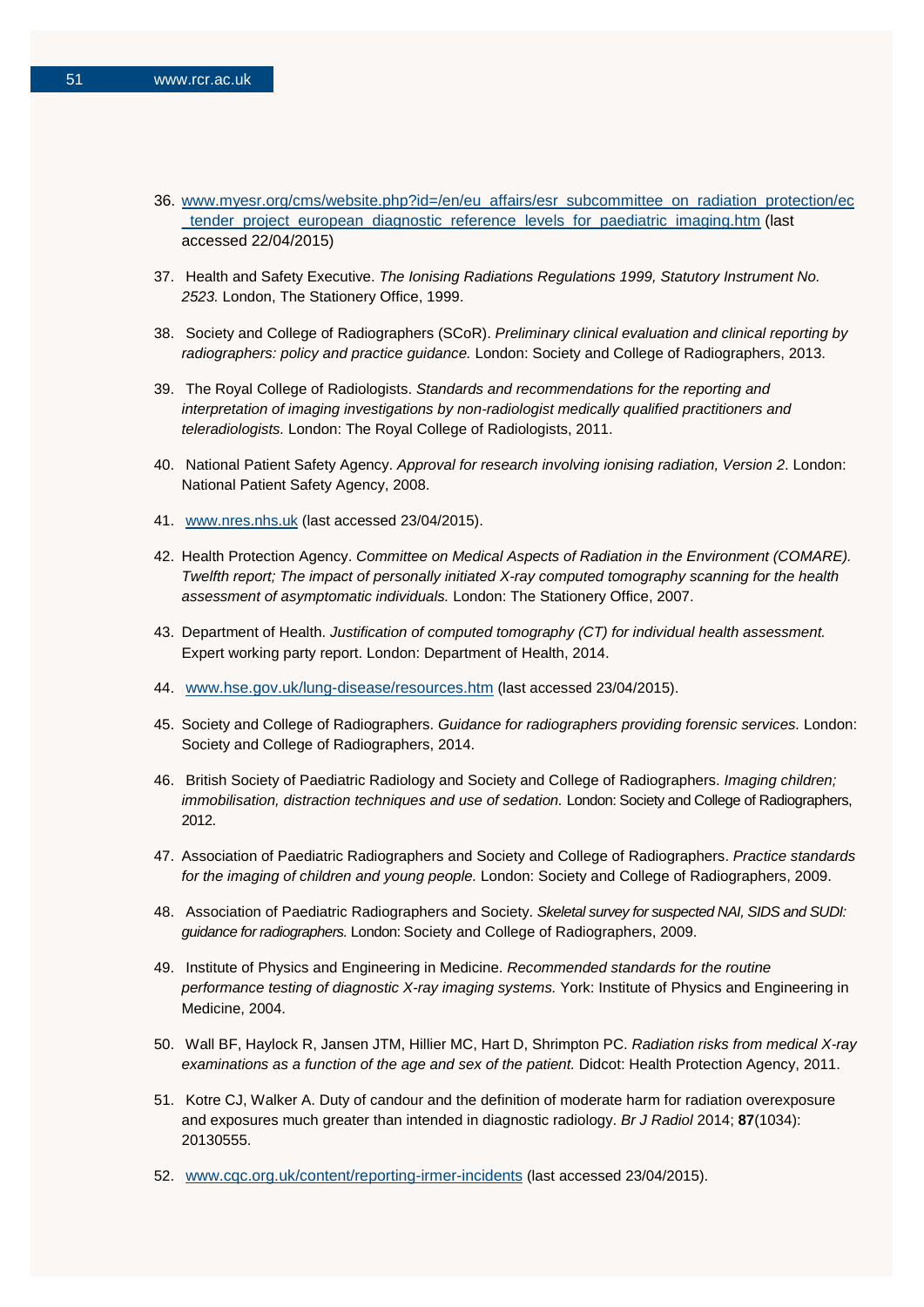- 36. [www.myesr.org/cms/website.php?id=/en/eu\\_affairs/esr\\_subcommittee\\_on\\_radiation\\_protection/ec](http://www.myesr.org/cms/website.php?id=/en/eu_affairs/esr_subcommittee_on_radiation_protection/ec_tender_project_european_diagnostic_reference_levels_for_paediatric_imaging.htm) [\\_tender\\_project\\_european\\_diagnostic\\_reference\\_levels\\_for\\_paediatric\\_imaging.htm](http://www.myesr.org/cms/website.php?id=/en/eu_affairs/esr_subcommittee_on_radiation_protection/ec_tender_project_european_diagnostic_reference_levels_for_paediatric_imaging.htm) (last accessed 22/04/2015)
- 37. Health and Safety Executive. *The Ionising Radiations Regulations 1999, Statutory Instrument No. 2523.* London, The Stationery Office, 1999.
- 38. Society and College of Radiographers (SCoR). *Preliminary clinical evaluation and clinical reporting by radiographers: policy and practice guidance.* London: Society and College of Radiographers, 2013.
- 39. The Royal College of Radiologists. *Standards and recommendations for the reporting and interpretation of imaging investigations by non-radiologist medically qualified practitioners and teleradiologists.* London: The Royal College of Radiologists, 2011.
- 40. National Patient Safety Agency. *Approval for research involving ionising radiation, Version 2*. London: National Patient Safety Agency, 2008.
- 41. [www.nres.nhs.uk](http://www.nres.nhs.uk/) (last accessed 23/04/2015).
- 42. Health Protection Agency. *Committee on Medical Aspects of Radiation in the Environment (COMARE). Twelfth report; The impact of personally initiated X-ray computed tomography scanning for the health assessment of asymptomatic individuals.* London: The Stationery Office, 2007.
- 43. Department of Health. *Justification of computed tomography (CT) for individual health assessment.* Expert working party report. London: Department of Health, 2014.
- 44. [www.hse.gov.uk/lung-disease/resources.htm](http://www.hse.gov.uk/lung-disease/resources.htm) (last accessed 23/04/2015).
- 45. Society and College of Radiographers. *Guidance for radiographers providing forensic services.* London: Society and College of Radiographers, 2014.
- 46. British Society of Paediatric Radiology and Society and College of Radiographers. *Imaging children; immobilisation, distraction techniques and use of sedation.* London: Society and College of Radiographers, 2012.
- 47. Association of Paediatric Radiographers and Society and College of Radiographers. *Practice standards for the imaging of children and young people.* London: Society and College of Radiographers, 2009.
- 48. Association of Paediatric Radiographers and Society. *Skeletal survey for suspected NAI, SIDS and SUDI: guidance for radiographers.* London: Society and College of Radiographers, 2009.
- 49. Institute of Physics and Engineering in Medicine. *Recommended standards for the routine performance testing of diagnostic X-ray imaging systems.* York: Institute of Physics and Engineering in Medicine, 2004.
- 50. Wall BF, Haylock R, Jansen JTM, Hillier MC, Hart D, Shrimpton PC. *Radiation risks from medical X-ray examinations as a function of the age and sex of the patient.* Didcot: Health Protection Agency, 2011.
- 51. Kotre CJ, Walker A. Duty of candour and the definition of moderate harm for radiation overexposure and exposures much greater than intended in diagnostic radiology. *Br J Radiol* 2014; **87**(1034): 20130555.
- 52. [www.cqc.org.uk/content/reporting-irmer-incidents](http://www.cqc.org.uk/content/reporting-irmer-incidents) (last accessed 23/04/2015).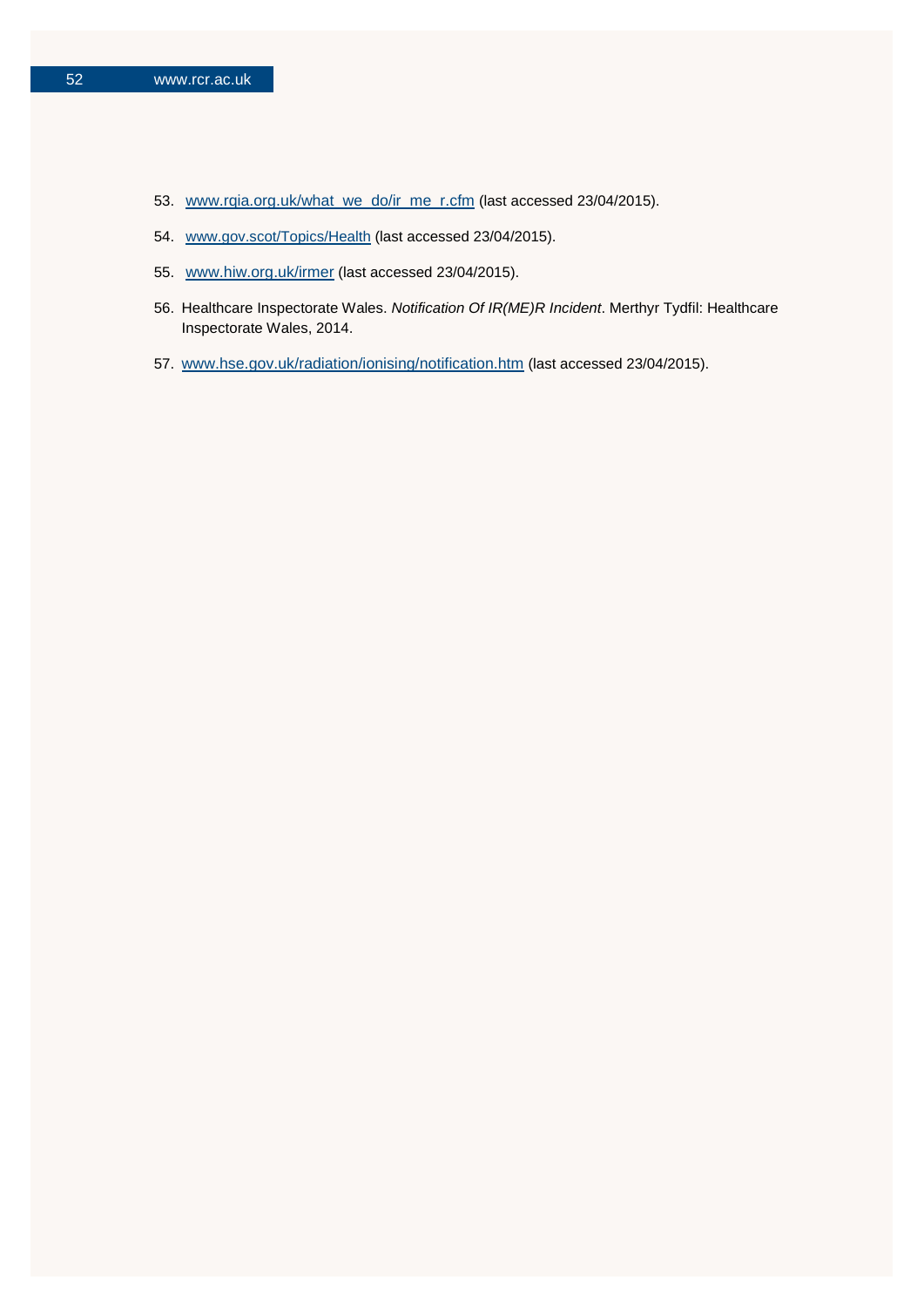- 53. [www.rqia.org.uk/what\\_we\\_do/ir\\_me\\_r.cfm](http://www.rqia.org.uk/what_we_do/ir_me_r.cfm) (last accessed 23/04/2015).
- 54. [www.gov.scot/Topics/Health](http://www.gov.scot/Topics/Health) (last accessed 23/04/2015).
- 55. [www.hiw.org.uk/irmer](http://www.hiw.org.uk/irmer) (last accessed 23/04/2015).
- 56. Healthcare Inspectorate Wales. *Notification Of IR(ME)R Incident*. Merthyr Tydfil: Healthcare Inspectorate Wales, 2014.
- 57. [www.hse.gov.uk/radiation/ionising/notification.htm](http://www.hse.gov.uk/radiation/ionising/notification.htm) (last accessed 23/04/2015).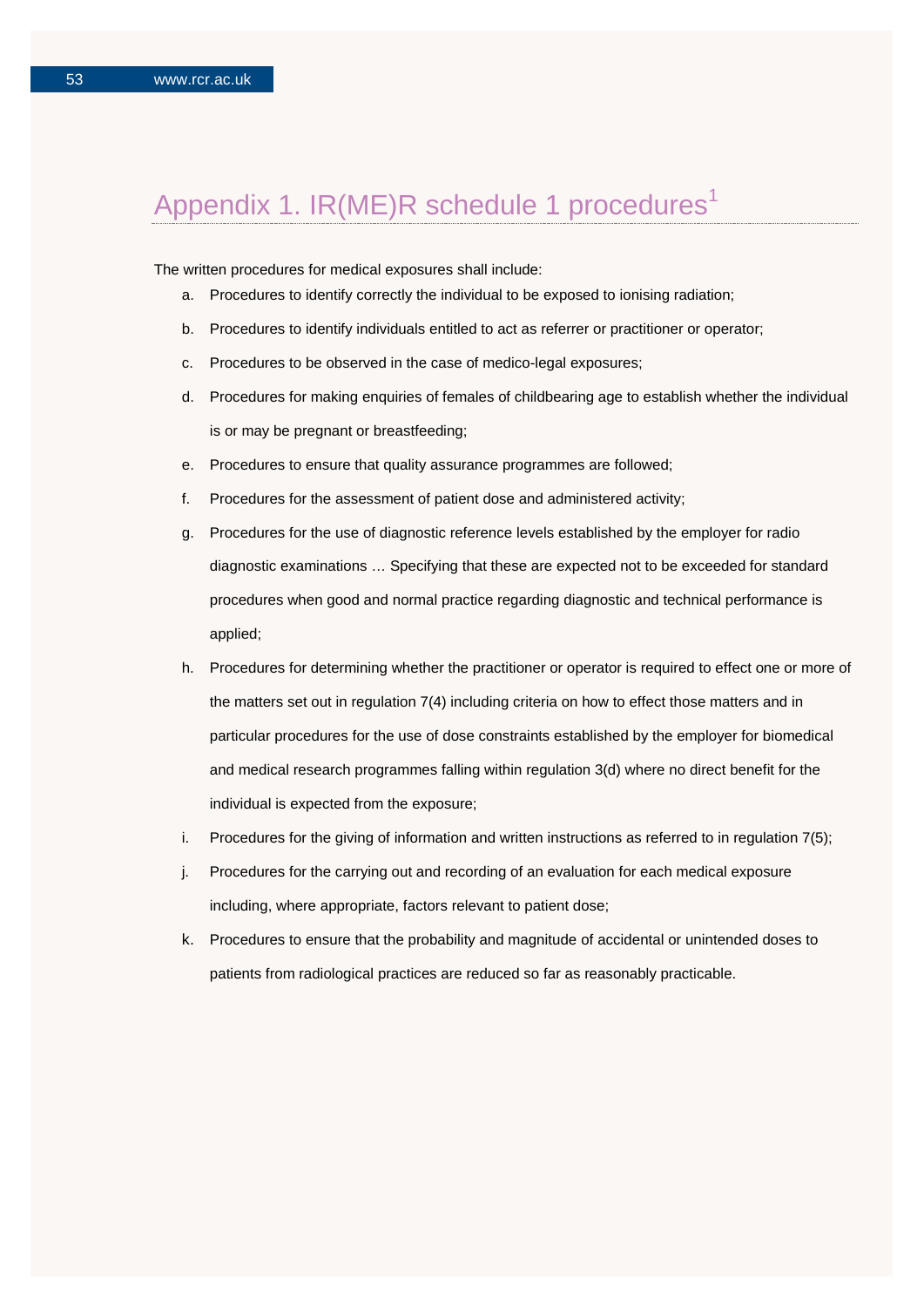# Appendix 1. IR(ME)R schedule 1 procedures<sup>1</sup>

The written procedures for medical exposures shall include:

- a. Procedures to identify correctly the individual to be exposed to ionising radiation;
- b. Procedures to identify individuals entitled to act as referrer or practitioner or operator;
- c. Procedures to be observed in the case of medico-legal exposures;
- d. Procedures for making enquiries of females of childbearing age to establish whether the individual is or may be pregnant or breastfeeding;
- e. Procedures to ensure that quality assurance programmes are followed;
- f. Procedures for the assessment of patient dose and administered activity;
- g. Procedures for the use of diagnostic reference levels established by the employer for radio diagnostic examinations … Specifying that these are expected not to be exceeded for standard procedures when good and normal practice regarding diagnostic and technical performance is applied;
- h. Procedures for determining whether the practitioner or operator is required to effect one or more of the matters set out in regulation 7(4) including criteria on how to effect those matters and in particular procedures for the use of dose constraints established by the employer for biomedical and medical research programmes falling within regulation 3(d) where no direct benefit for the individual is expected from the exposure;
- i. Procedures for the giving of information and written instructions as referred to in regulation 7(5);
- j. Procedures for the carrying out and recording of an evaluation for each medical exposure including, where appropriate, factors relevant to patient dose;
- k. Procedures to ensure that the probability and magnitude of accidental or unintended doses to patients from radiological practices are reduced so far as reasonably practicable.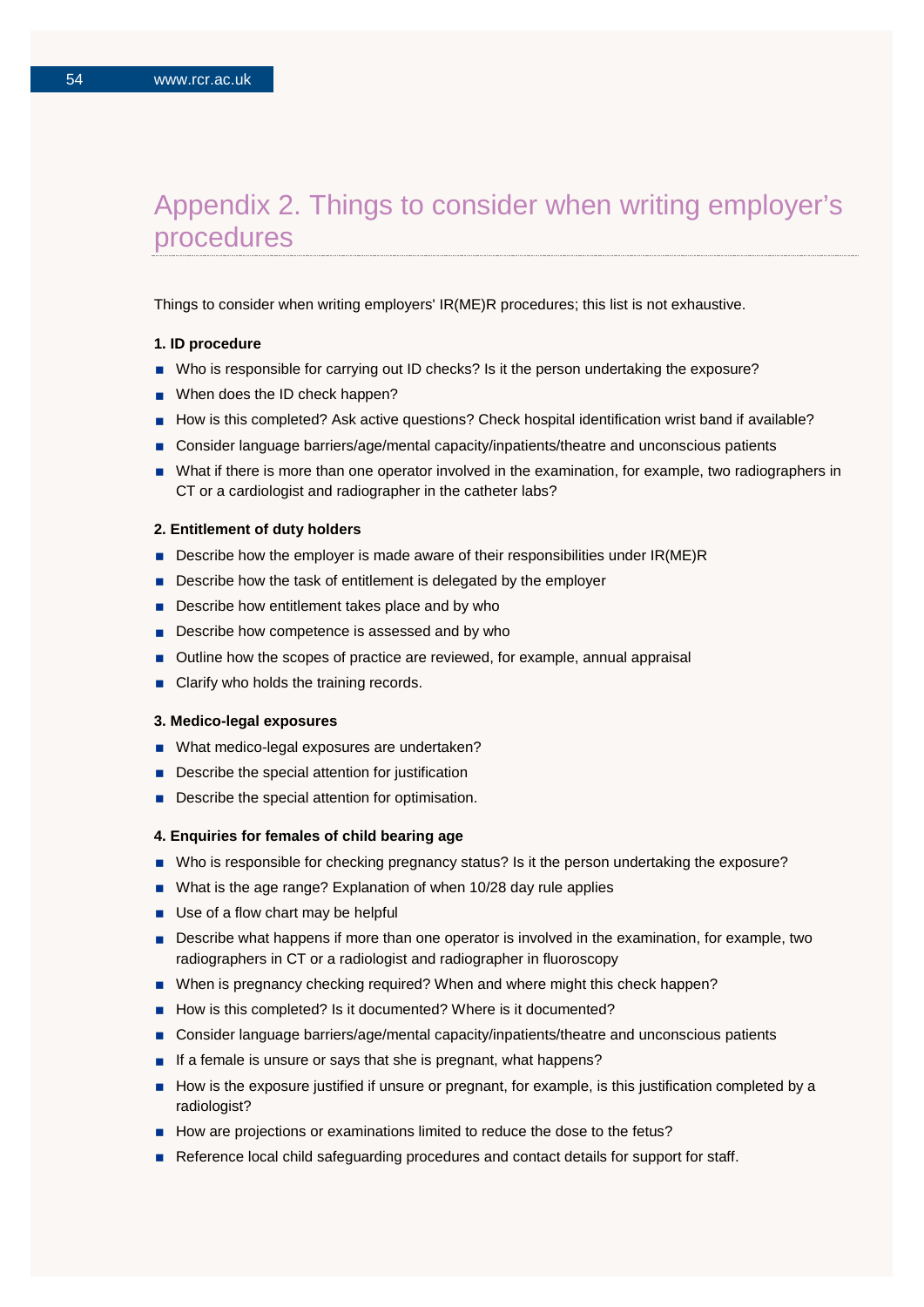## Appendix 2. Things to consider when writing employer's procedures

Things to consider when writing employers' IR(ME)R procedures; this list is not exhaustive.

#### **1. ID procedure**

- Who is responsible for carrying out ID checks? Is it the person undertaking the exposure?
- When does the ID check happen?
- How is this completed? Ask active questions? Check hospital identification wrist band if available?
- Consider language barriers/age/mental capacity/inpatients/theatre and unconscious patients
- What if there is more than one operator involved in the examination, for example, two radiographers in CT or a cardiologist and radiographer in the catheter labs?

#### **2. Entitlement of duty holders**

- Describe how the employer is made aware of their responsibilities under IR(ME)R
- Describe how the task of entitlement is delegated by the employer
- Describe how entitlement takes place and by who
- Describe how competence is assessed and by who
- Outline how the scopes of practice are reviewed, for example, annual appraisal
- Clarify who holds the training records.

#### **3. Medico-legal exposures**

- What medico-legal exposures are undertaken?
- Describe the special attention for justification
- Describe the special attention for optimisation.

#### **4. Enquiries for females of child bearing age**

- Who is responsible for checking pregnancy status? Is it the person undertaking the exposure?
- What is the age range? Explanation of when 10/28 day rule applies
- Use of a flow chart may be helpful
- **Describe what happens if more than one operator is involved in the examination, for example, two** radiographers in CT or a radiologist and radiographer in fluoroscopy
- When is pregnancy checking required? When and where might this check happen?
- How is this completed? Is it documented? Where is it documented?
- Consider language barriers/age/mental capacity/inpatients/theatre and unconscious patients
- If a female is unsure or says that she is pregnant, what happens?
- How is the exposure justified if unsure or pregnant, for example, is this justification completed by a radiologist?
- How are projections or examinations limited to reduce the dose to the fetus?
- Reference local child safeguarding procedures and contact details for support for staff.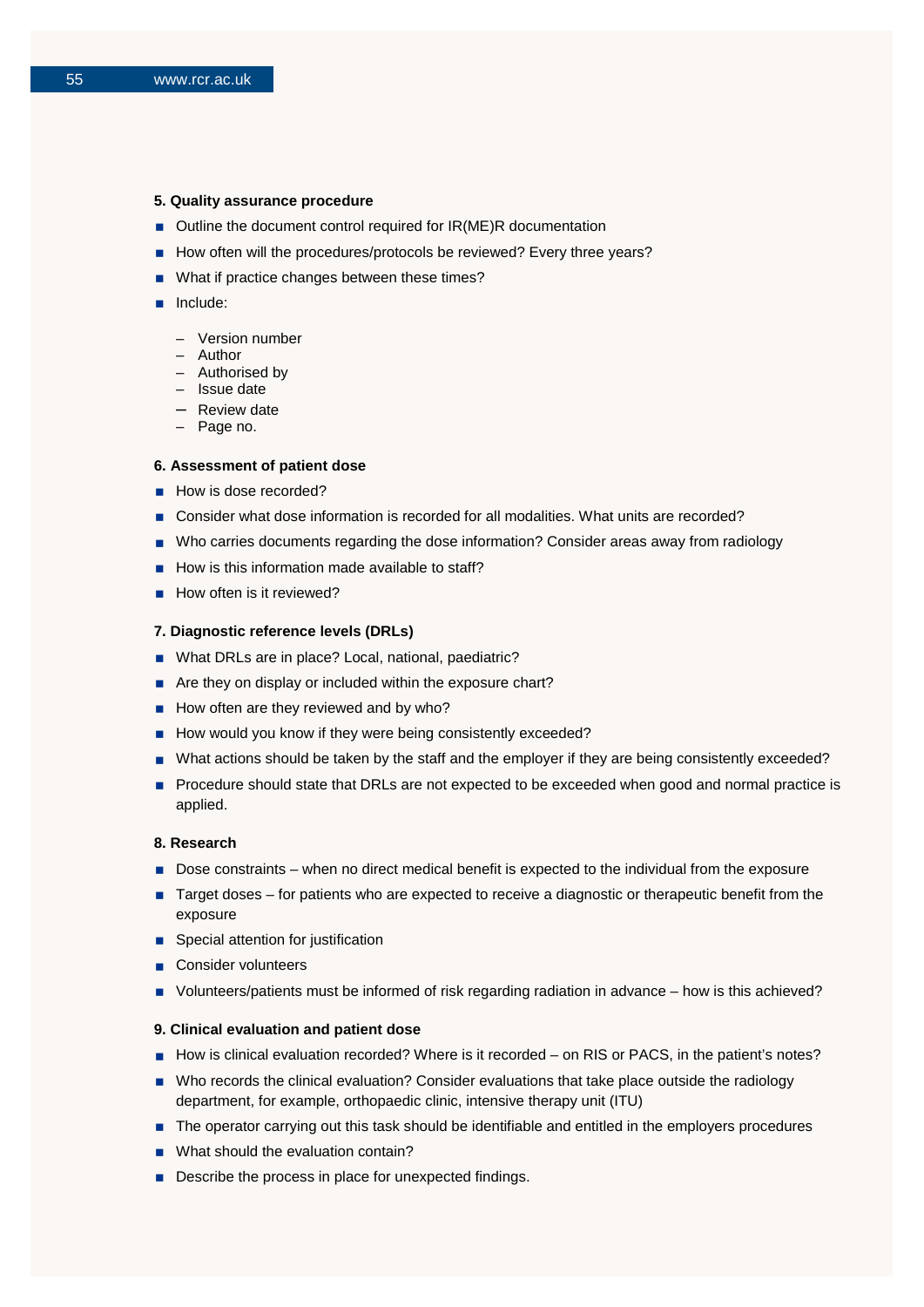#### **5. Quality assurance procedure**

- Outline the document control required for IR(ME)R documentation
- How often will the procedures/protocols be reviewed? Every three years?
- What if practice changes between these times?
- **n** Include:
	- Version number
	- Author
	- Authorised by
	- Issue date
	- Review date
	- Page no.

#### **6. Assessment of patient dose**

- How is dose recorded?
- Consider what dose information is recorded for all modalities. What units are recorded?
- Who carries documents regarding the dose information? Consider areas away from radiology
- $\blacksquare$  How is this information made available to staff?
- How often is it reviewed?

#### **7. Diagnostic reference levels (DRLs)**

- What DRLs are in place? Local, national, paediatric?
- Are they on display or included within the exposure chart?
- $\blacksquare$  How often are they reviewed and by who?
- How would you know if they were being consistently exceeded?
- What actions should be taken by the staff and the employer if they are being consistently exceeded?
- **Procedure should state that DRLs are not expected to be exceeded when good and normal practice is** applied.

#### **8. Research**

- Dose constraints when no direct medical benefit is expected to the individual from the exposure
- Target doses for patients who are expected to receive a diagnostic or therapeutic benefit from the exposure
- Special attention for justification
- Consider volunteers
- Volunteers/patients must be informed of risk regarding radiation in advance how is this achieved?

#### **9. Clinical evaluation and patient dose**

- How is clinical evaluation recorded? Where is it recorded on RIS or PACS, in the patient's notes?
- Who records the clinical evaluation? Consider evaluations that take place outside the radiology department, for example, orthopaedic clinic, intensive therapy unit (ITU)
- The operator carrying out this task should be identifiable and entitled in the employers procedures
- What should the evaluation contain?
- Describe the process in place for unexpected findings.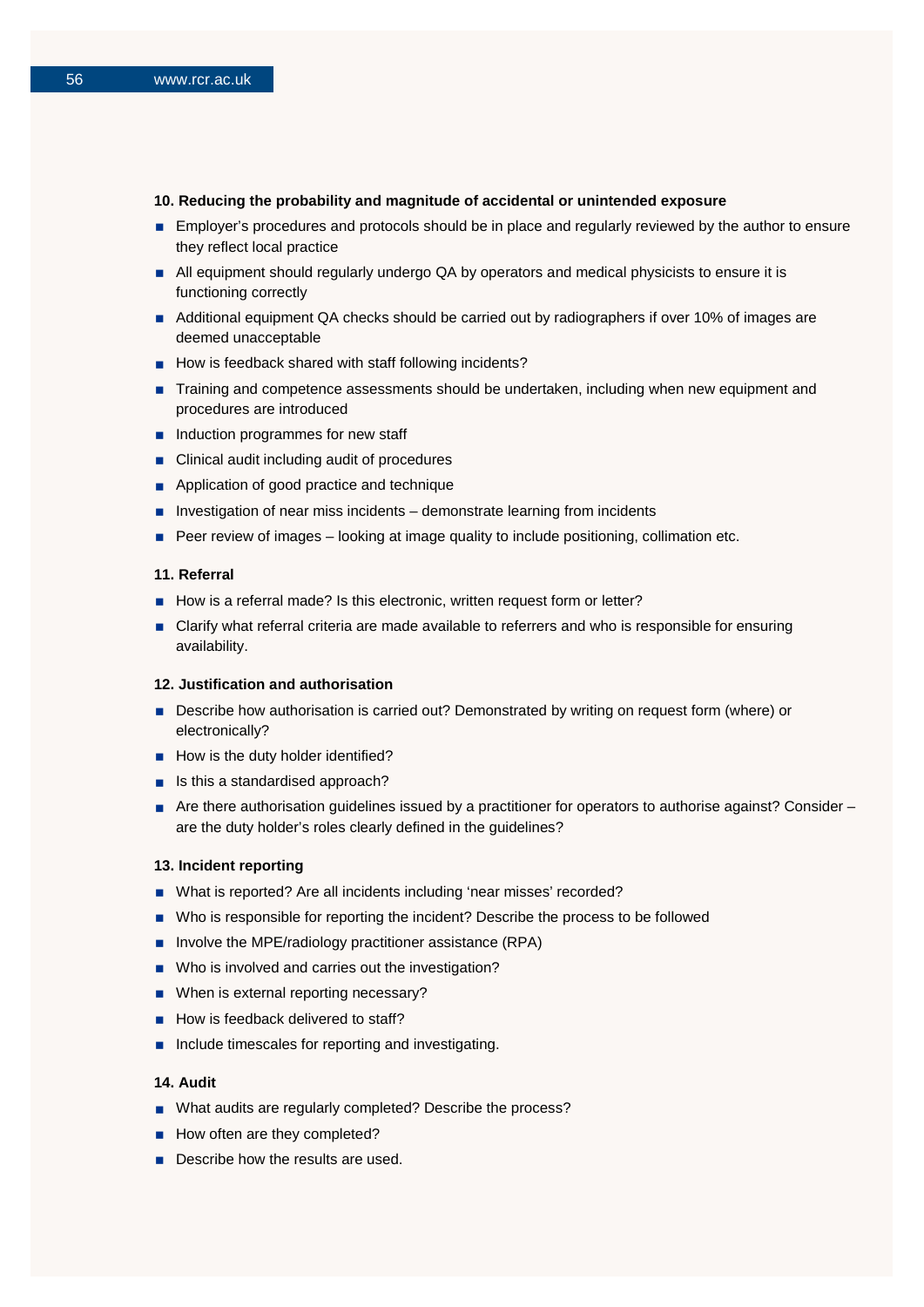### **10. Reducing the probability and magnitude of accidental or unintended exposure**

- **Employer's procedures and protocols should be in place and regularly reviewed by the author to ensure** they reflect local practice
- All equipment should regularly undergo QA by operators and medical physicists to ensure it is functioning correctly
- Additional equipment QA checks should be carried out by radiographers if over 10% of images are deemed unacceptable
- How is feedback shared with staff following incidents?
- Training and competence assessments should be undertaken, including when new equipment and procedures are introduced
- $\blacksquare$  Induction programmes for new staff
- Clinical audit including audit of procedures
- Application of good practice and technique
- **Investigation of near miss incidents demonstrate learning from incidents**
- Peer review of images looking at image quality to include positioning, collimation etc.

### **11. Referral**

- How is a referral made? Is this electronic, written request form or letter?
- Clarify what referral criteria are made available to referrers and who is responsible for ensuring availability.

### **12. Justification and authorisation**

- Describe how authorisation is carried out? Demonstrated by writing on request form (where) or electronically?
- How is the duty holder identified?
- $\blacksquare$  Is this a standardised approach?
- Are there authorisation guidelines issued by a practitioner for operators to authorise against? Consider are the duty holder's roles clearly defined in the guidelines?

### **13. Incident reporting**

- What is reported? Are all incidents including 'near misses' recorded?
- Who is responsible for reporting the incident? Describe the process to be followed
- **Involve the MPE/radiology practitioner assistance (RPA)**
- Who is involved and carries out the investigation?
- When is external reporting necessary?
- How is feedback delivered to staff?
- Include timescales for reporting and investigating.

#### **14. Audit**

- What audits are regularly completed? Describe the process?
- $\blacksquare$  How often are they completed?
- Describe how the results are used.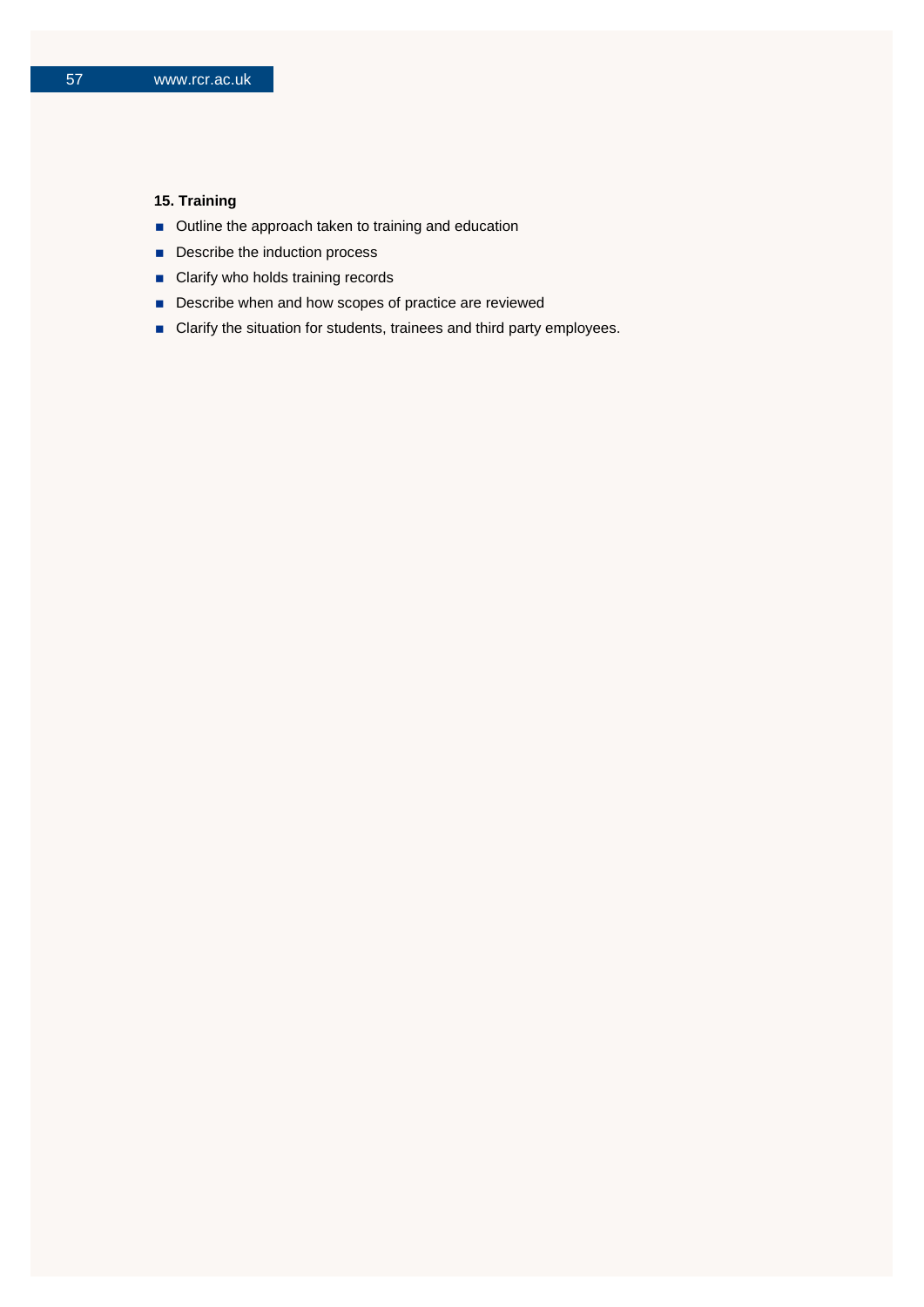## **15. Training**

- **Dutline the approach taken to training and education**
- Describe the induction process
- **Clarify who holds training records**
- Describe when and how scopes of practice are reviewed
- Clarify the situation for students, trainees and third party employees.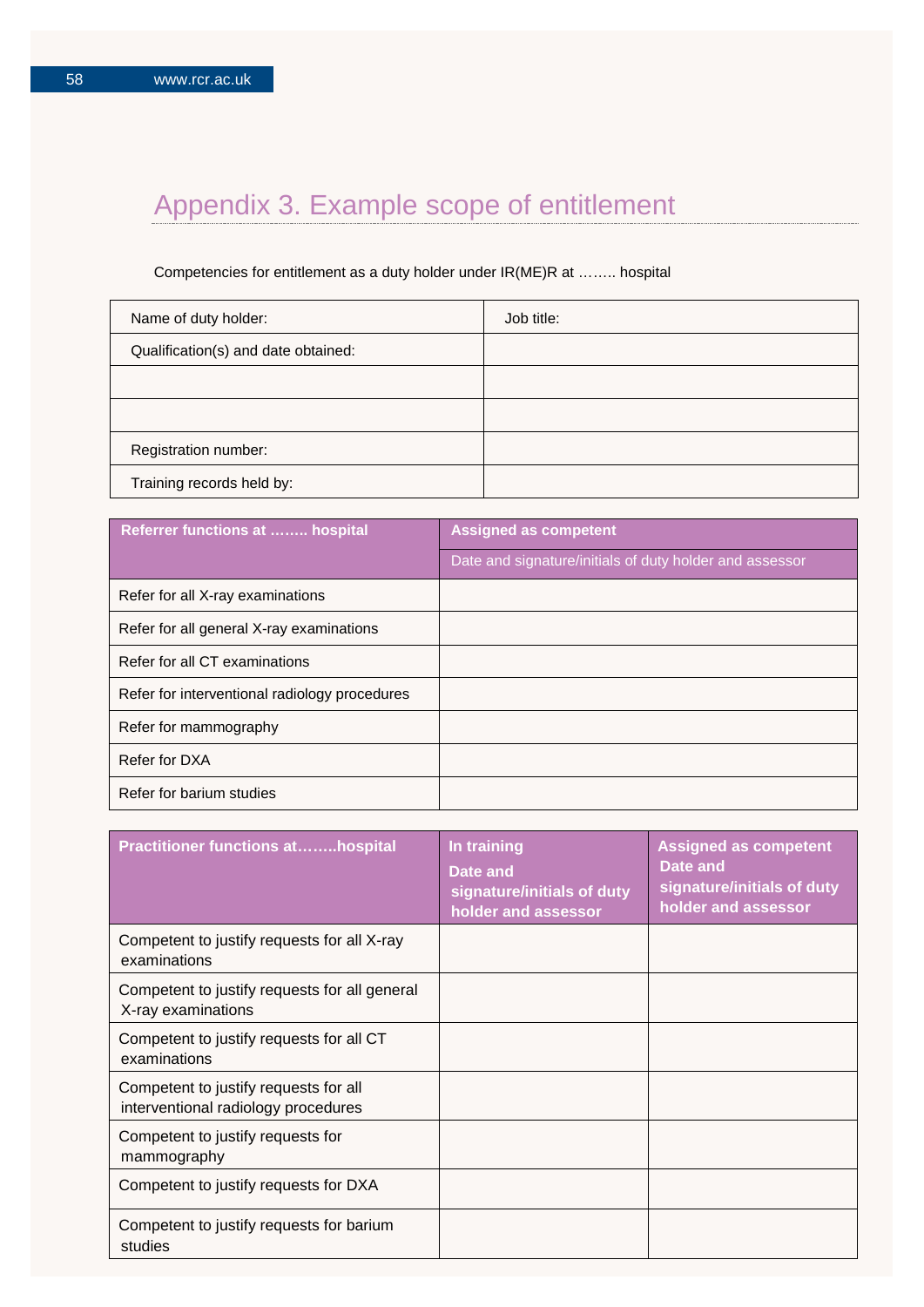# Appendix 3. Example scope of entitlement

## Competencies for entitlement as a duty holder under IR(ME)R at …….. hospital

| Name of duty holder:                | Job title: |
|-------------------------------------|------------|
| Qualification(s) and date obtained: |            |
|                                     |            |
|                                     |            |
| Registration number:                |            |
| Training records held by:           |            |

| <b>Referrer functions at  hospital</b>        | <b>Assigned as competent</b>                            |
|-----------------------------------------------|---------------------------------------------------------|
|                                               | Date and signature/initials of duty holder and assessor |
| Refer for all X-ray examinations              |                                                         |
| Refer for all general X-ray examinations      |                                                         |
| Refer for all CT examinations                 |                                                         |
| Refer for interventional radiology procedures |                                                         |
| Refer for mammography                         |                                                         |
| Refer for DXA                                 |                                                         |
| Refer for barium studies                      |                                                         |

| <b>Practitioner functions athospital</b>                                     | In training<br>Date and<br>signature/initials of duty<br>holder and assessor | <b>Assigned as competent</b><br>Date and<br>signature/initials of duty<br>holder and assessor |
|------------------------------------------------------------------------------|------------------------------------------------------------------------------|-----------------------------------------------------------------------------------------------|
| Competent to justify requests for all X-ray<br>examinations                  |                                                                              |                                                                                               |
| Competent to justify requests for all general<br>X-ray examinations          |                                                                              |                                                                                               |
| Competent to justify requests for all CT<br>examinations                     |                                                                              |                                                                                               |
| Competent to justify requests for all<br>interventional radiology procedures |                                                                              |                                                                                               |
| Competent to justify requests for<br>mammography                             |                                                                              |                                                                                               |
| Competent to justify requests for DXA                                        |                                                                              |                                                                                               |
| Competent to justify requests for barium<br>studies                          |                                                                              |                                                                                               |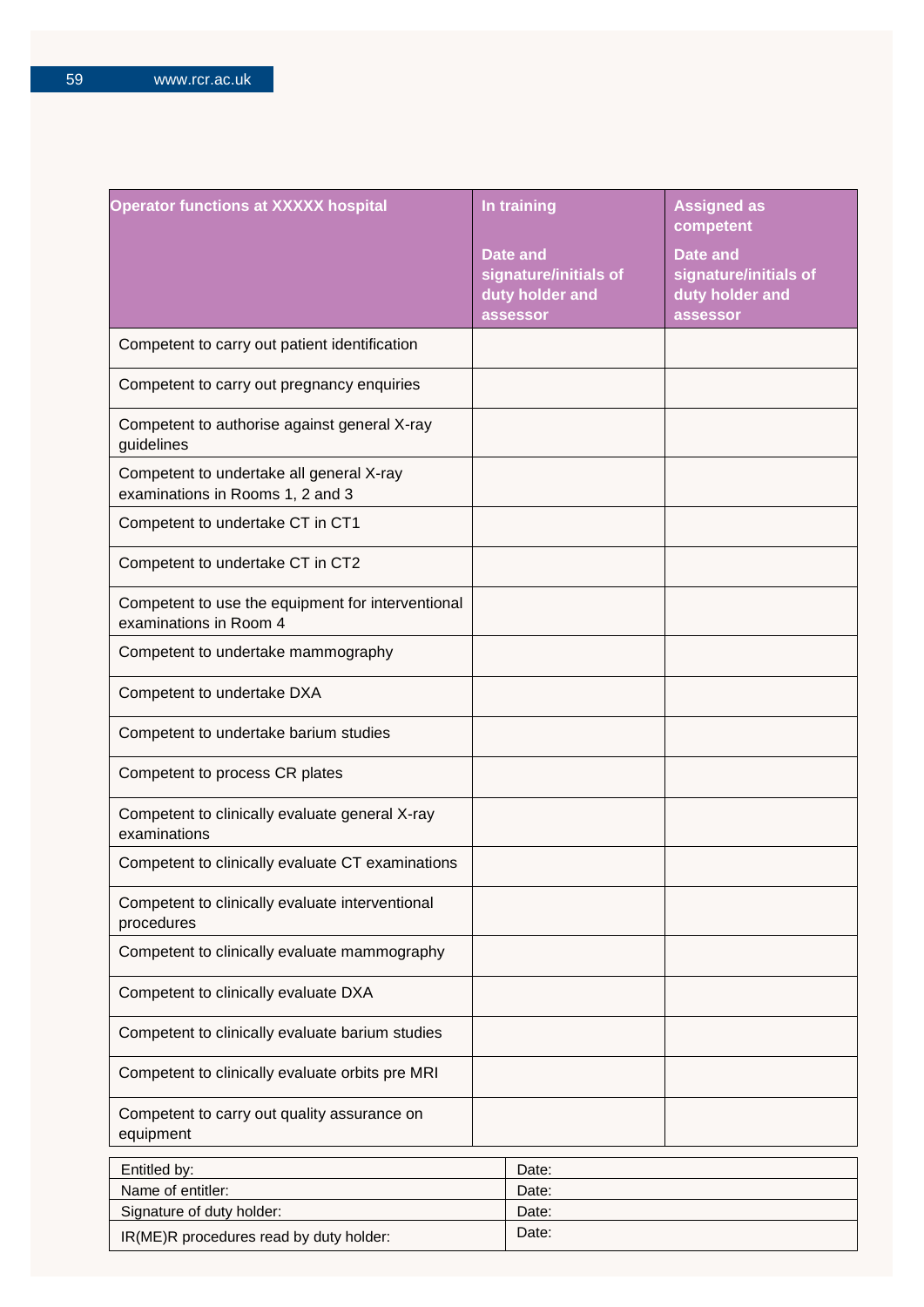| <b>Operator functions at XXXXX hospital</b>                                  | In training                                                             | <b>Assigned as</b><br>competent                                         |
|------------------------------------------------------------------------------|-------------------------------------------------------------------------|-------------------------------------------------------------------------|
|                                                                              | <b>Date and</b><br>signature/initials of<br>duty holder and<br>assessor | <b>Date and</b><br>signature/initials of<br>duty holder and<br>assessor |
| Competent to carry out patient identification                                |                                                                         |                                                                         |
| Competent to carry out pregnancy enquiries                                   |                                                                         |                                                                         |
| Competent to authorise against general X-ray<br>guidelines                   |                                                                         |                                                                         |
| Competent to undertake all general X-ray<br>examinations in Rooms 1, 2 and 3 |                                                                         |                                                                         |
| Competent to undertake CT in CT1                                             |                                                                         |                                                                         |
| Competent to undertake CT in CT2                                             |                                                                         |                                                                         |
| Competent to use the equipment for interventional<br>examinations in Room 4  |                                                                         |                                                                         |
| Competent to undertake mammography                                           |                                                                         |                                                                         |
| Competent to undertake DXA                                                   |                                                                         |                                                                         |
| Competent to undertake barium studies                                        |                                                                         |                                                                         |
| Competent to process CR plates                                               |                                                                         |                                                                         |
| Competent to clinically evaluate general X-ray<br>examinations               |                                                                         |                                                                         |
| Competent to clinically evaluate CT examinations                             |                                                                         |                                                                         |
| Competent to clinically evaluate interventional<br>procedures                |                                                                         |                                                                         |
| Competent to clinically evaluate mammography                                 |                                                                         |                                                                         |
| Competent to clinically evaluate DXA                                         |                                                                         |                                                                         |
| Competent to clinically evaluate barium studies                              |                                                                         |                                                                         |
| Competent to clinically evaluate orbits pre MRI                              |                                                                         |                                                                         |
| Competent to carry out quality assurance on<br>equipment                     |                                                                         |                                                                         |
| Entitled by:                                                                 | Date:                                                                   |                                                                         |
| Name of entitler:                                                            | Date:                                                                   |                                                                         |
| Signature of duty holder:                                                    | Date:                                                                   |                                                                         |

IR(ME)R procedures read by duty holder: Date: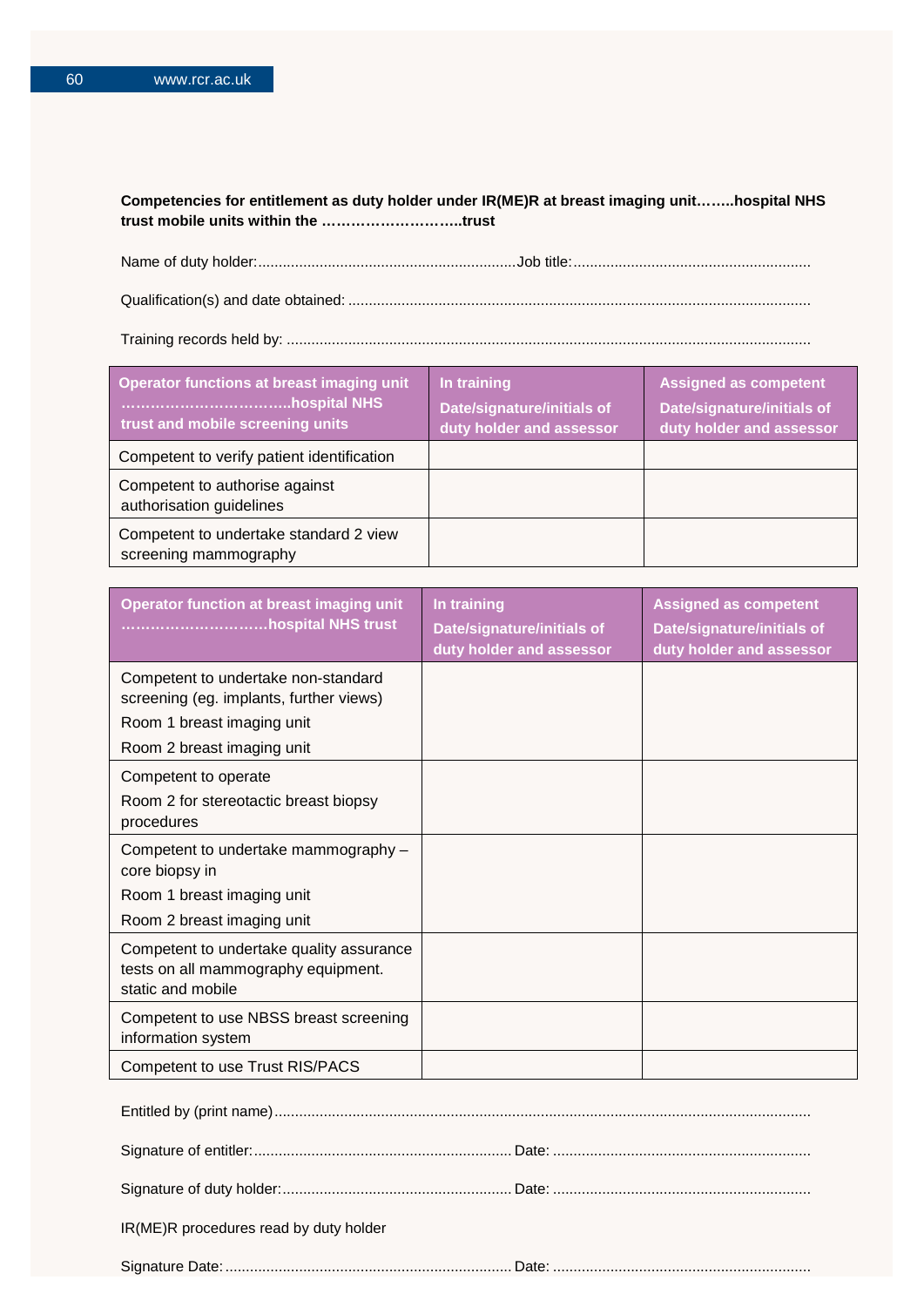### **Competencies for entitlement as duty holder under IR(ME)R at breast imaging unit……..hospital NHS trust mobile units within the ………………………..trust**

Name of duty holder:...............................................................Job title:.......................................................... Qualification(s) and date obtained: .................................................................................................................

Training records held by: ................................................................................................................................

| <b>Operator functions at breast imaging unit</b><br>trust and mobile screening units | In training<br><b>Date/signature/initials of</b><br>duty holder and assessor | <b>Assigned as competent</b><br><b>Date/signature/initials of</b><br>duty holder and assessor |
|--------------------------------------------------------------------------------------|------------------------------------------------------------------------------|-----------------------------------------------------------------------------------------------|
| Competent to verify patient identification                                           |                                                                              |                                                                                               |
| Competent to authorise against<br>authorisation guidelines                           |                                                                              |                                                                                               |
| Competent to undertake standard 2 view<br>screening mammography                      |                                                                              |                                                                                               |

| <b>Operator function at breast imaging unit</b><br>hospital NHS trust                                                                      | In training<br>Date/signature/initials of<br>duty holder and assessor | <b>Assigned as competent</b><br>Date/signature/initials of<br>duty holder and assessor |
|--------------------------------------------------------------------------------------------------------------------------------------------|-----------------------------------------------------------------------|----------------------------------------------------------------------------------------|
| Competent to undertake non-standard<br>screening (eg. implants, further views)<br>Room 1 breast imaging unit<br>Room 2 breast imaging unit |                                                                       |                                                                                        |
| Competent to operate<br>Room 2 for stereotactic breast biopsy<br>procedures                                                                |                                                                       |                                                                                        |
| Competent to undertake mammography -<br>core biopsy in<br>Room 1 breast imaging unit<br>Room 2 breast imaging unit                         |                                                                       |                                                                                        |
| Competent to undertake quality assurance<br>tests on all mammography equipment.<br>static and mobile                                       |                                                                       |                                                                                        |
| Competent to use NBSS breast screening<br>information system                                                                               |                                                                       |                                                                                        |
| Competent to use Trust RIS/PACS                                                                                                            |                                                                       |                                                                                        |

| IR(ME)R procedures read by duty holder |  |
|----------------------------------------|--|
|                                        |  |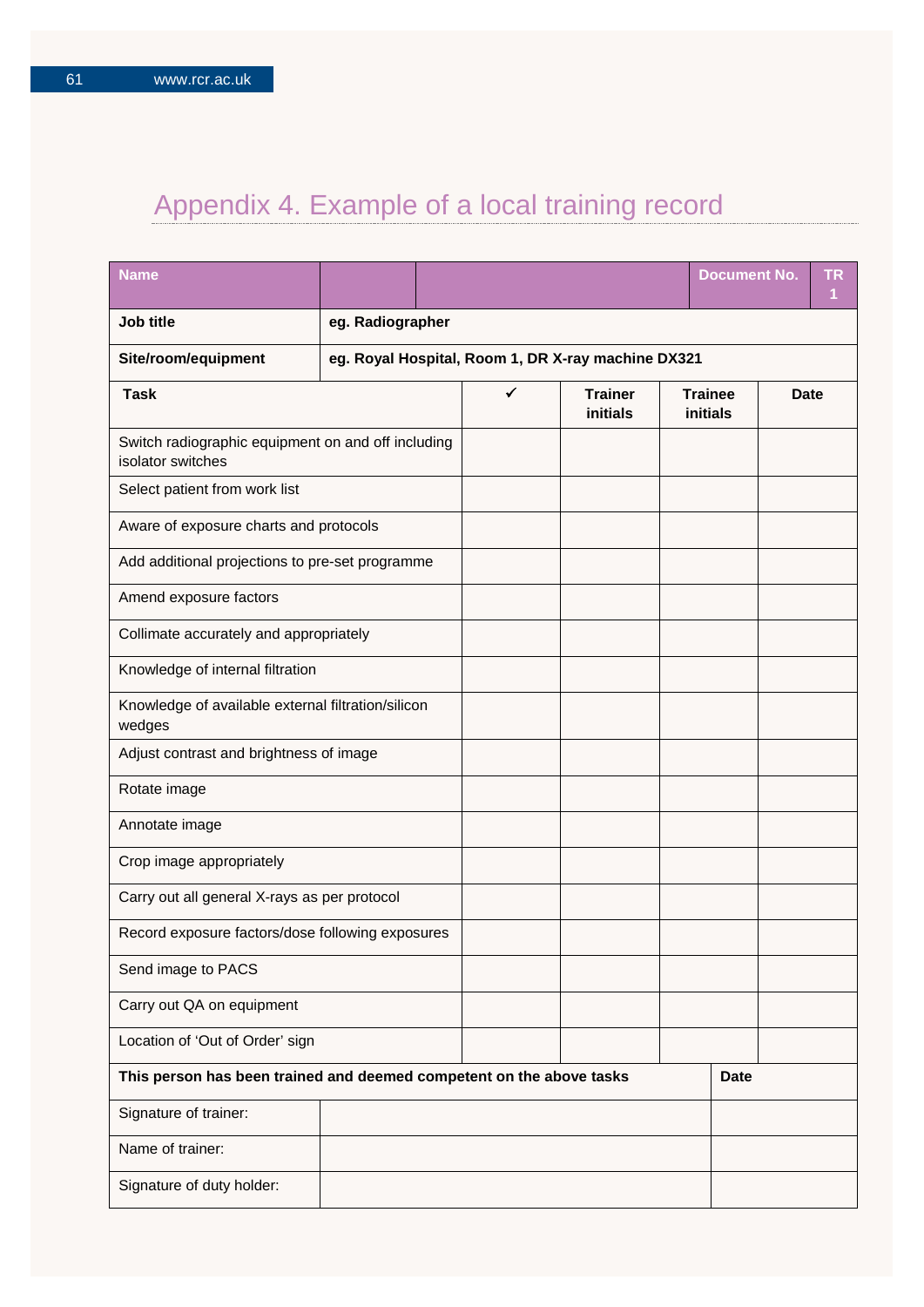# Appendix 4. Example of a local training record

| <b>Name</b>                                                             |  |                  |                                                    |                            |             | <b>Document No.</b>        |             | ΤR<br>1 |
|-------------------------------------------------------------------------|--|------------------|----------------------------------------------------|----------------------------|-------------|----------------------------|-------------|---------|
| Job title                                                               |  | eg. Radiographer |                                                    |                            |             |                            |             |         |
| Site/room/equipment                                                     |  |                  | eg. Royal Hospital, Room 1, DR X-ray machine DX321 |                            |             |                            |             |         |
| <b>Task</b>                                                             |  |                  | $\checkmark$                                       | <b>Trainer</b><br>initials |             | <b>Trainee</b><br>initials | <b>Date</b> |         |
| Switch radiographic equipment on and off including<br>isolator switches |  |                  |                                                    |                            |             |                            |             |         |
| Select patient from work list                                           |  |                  |                                                    |                            |             |                            |             |         |
| Aware of exposure charts and protocols                                  |  |                  |                                                    |                            |             |                            |             |         |
| Add additional projections to pre-set programme                         |  |                  |                                                    |                            |             |                            |             |         |
| Amend exposure factors                                                  |  |                  |                                                    |                            |             |                            |             |         |
| Collimate accurately and appropriately                                  |  |                  |                                                    |                            |             |                            |             |         |
| Knowledge of internal filtration                                        |  |                  |                                                    |                            |             |                            |             |         |
| Knowledge of available external filtration/silicon<br>wedges            |  |                  |                                                    |                            |             |                            |             |         |
| Adjust contrast and brightness of image                                 |  |                  |                                                    |                            |             |                            |             |         |
| Rotate image                                                            |  |                  |                                                    |                            |             |                            |             |         |
| Annotate image                                                          |  |                  |                                                    |                            |             |                            |             |         |
| Crop image appropriately                                                |  |                  |                                                    |                            |             |                            |             |         |
| Carry out all general X-rays as per protocol                            |  |                  |                                                    |                            |             |                            |             |         |
| Record exposure factors/dose following exposures                        |  |                  |                                                    |                            |             |                            |             |         |
| Send image to PACS                                                      |  |                  |                                                    |                            |             |                            |             |         |
| Carry out QA on equipment                                               |  |                  |                                                    |                            |             |                            |             |         |
| Location of 'Out of Order' sign                                         |  |                  |                                                    |                            |             |                            |             |         |
| This person has been trained and deemed competent on the above tasks    |  |                  |                                                    |                            | <b>Date</b> |                            |             |         |
| Signature of trainer:                                                   |  |                  |                                                    |                            |             |                            |             |         |
| Name of trainer:                                                        |  |                  |                                                    |                            |             |                            |             |         |
| Signature of duty holder:                                               |  |                  |                                                    |                            |             |                            |             |         |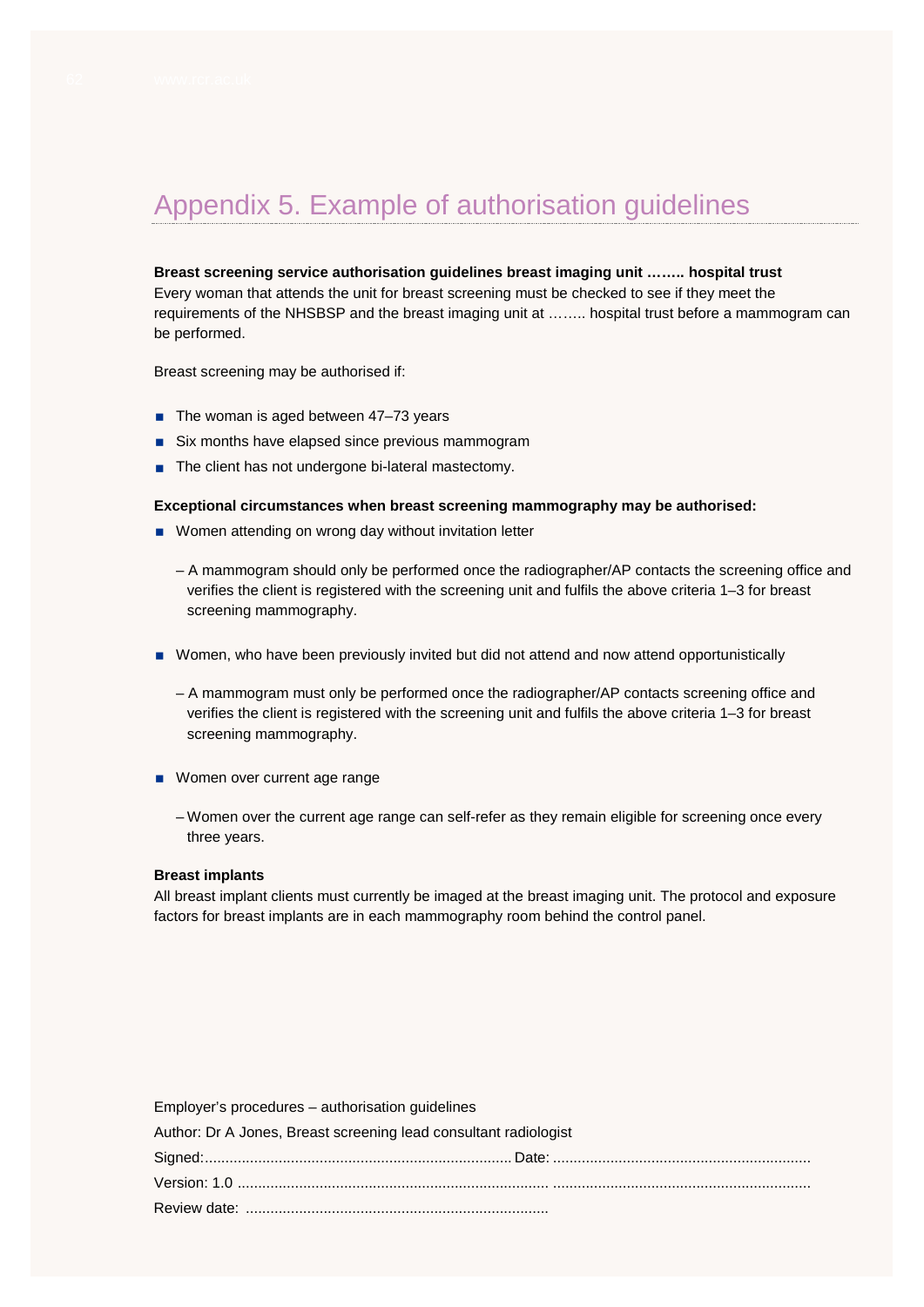# Appendix 5. Example of authorisation guidelines

**Breast screening service authorisation guidelines breast imaging unit …….. hospital trust** Every woman that attends the unit for breast screening must be checked to see if they meet the requirements of the NHSBSP and the breast imaging unit at …….. hospital trust before a mammogram can be performed.

Breast screening may be authorised if:

- $\blacksquare$  The woman is aged between 47-73 years
- Six months have elapsed since previous mammogram
- The client has not undergone bi-lateral mastectomy.

#### **Exceptional circumstances when breast screening mammography may be authorised:**

- **Nomen attending on wrong day without invitation letter** 
	- A mammogram should only be performed once the radiographer/AP contacts the screening office and verifies the client is registered with the screening unit and fulfils the above criteria 1–3 for breast screening mammography.
- Women, who have been previously invited but did not attend and now attend opportunistically
	- A mammogram must only be performed once the radiographer/AP contacts screening office and verifies the client is registered with the screening unit and fulfils the above criteria 1–3 for breast screening mammography.
- **Women over current age range** 
	- Women over the current age range can self-refer as they remain eligible for screening once every three years.

#### **Breast implants**

All breast implant clients must currently be imaged at the breast imaging unit. The protocol and exposure factors for breast implants are in each mammography room behind the control panel.

| Employer's procedures – authorisation guidelines                 |  |
|------------------------------------------------------------------|--|
| Author: Dr A Jones, Breast screening lead consultant radiologist |  |
|                                                                  |  |
|                                                                  |  |
|                                                                  |  |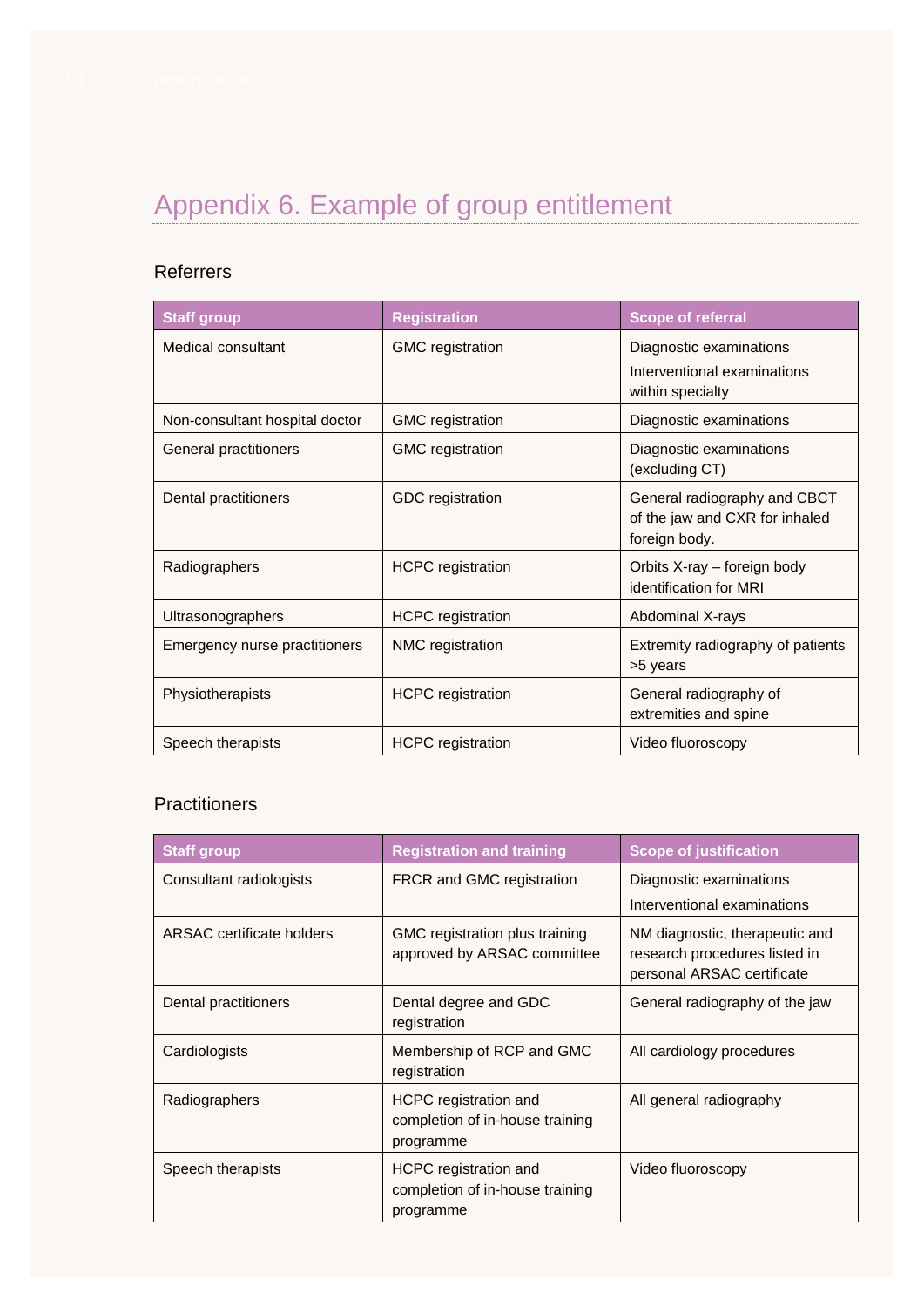# Appendix 6. Example of group entitlement

## Referrers

| <b>Staff group</b>             | <b>Registration</b>      | <b>Scope of referral</b>                                                        |
|--------------------------------|--------------------------|---------------------------------------------------------------------------------|
| Medical consultant             | <b>GMC</b> registration  | Diagnostic examinations                                                         |
|                                |                          | Interventional examinations<br>within specialty                                 |
| Non-consultant hospital doctor | <b>GMC</b> registration  | Diagnostic examinations                                                         |
| General practitioners          | <b>GMC</b> registration  | Diagnostic examinations<br>(excluding CT)                                       |
| Dental practitioners           | GDC registration         | General radiography and CBCT<br>of the jaw and CXR for inhaled<br>foreign body. |
| Radiographers                  | <b>HCPC</b> registration | Orbits X-ray - foreign body<br>identification for MRI                           |
| Ultrasonographers              | <b>HCPC</b> registration | Abdominal X-rays                                                                |
| Emergency nurse practitioners  | NMC registration         | Extremity radiography of patients<br>>5 years                                   |
| Physiotherapists               | <b>HCPC</b> registration | General radiography of<br>extremities and spine                                 |
| Speech therapists              | <b>HCPC</b> registration | Video fluoroscopy                                                               |

## **Practitioners**

| <b>Staff group</b>        | <b>Registration and training</b>                                      | <b>Scope of justification</b>                                                                 |
|---------------------------|-----------------------------------------------------------------------|-----------------------------------------------------------------------------------------------|
| Consultant radiologists   | FRCR and GMC registration                                             | Diagnostic examinations<br>Interventional examinations                                        |
| ARSAC certificate holders | GMC registration plus training<br>approved by ARSAC committee         | NM diagnostic, therapeutic and<br>research procedures listed in<br>personal ARSAC certificate |
| Dental practitioners      | Dental degree and GDC<br>registration                                 | General radiography of the jaw                                                                |
| Cardiologists             | Membership of RCP and GMC<br>registration                             | All cardiology procedures                                                                     |
| Radiographers             | HCPC registration and<br>completion of in-house training<br>programme | All general radiography                                                                       |
| Speech therapists         | HCPC registration and<br>completion of in-house training<br>programme | Video fluoroscopy                                                                             |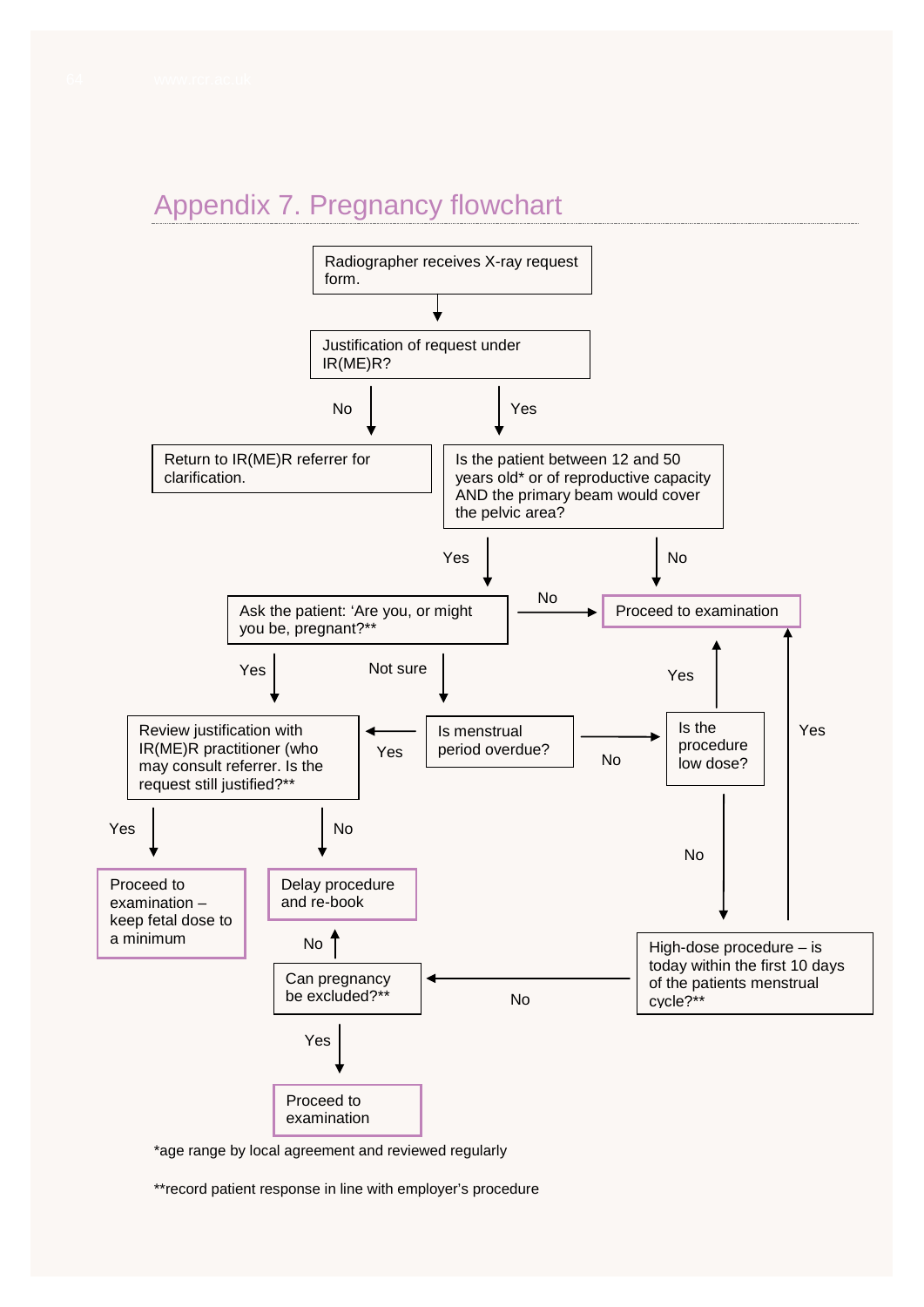# Appendix 7. Pregnancy flowchart



\*age range by local agreement and reviewed regularly

\*\*record patient response in line with employer's procedure